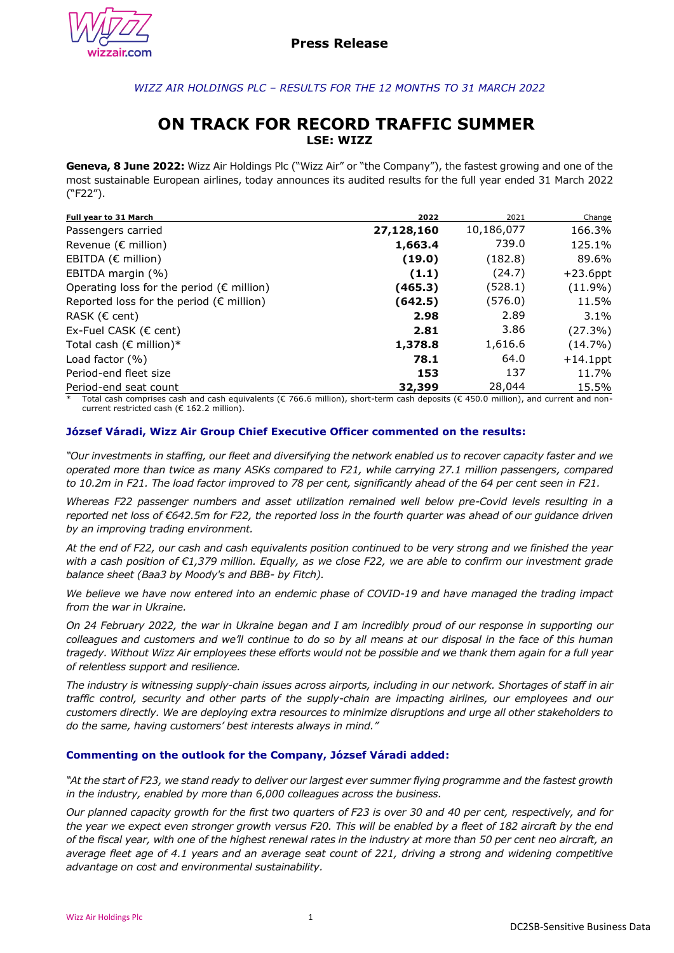

# *WIZZ AIR HOLDINGS PLC – RESULTS FOR THE 12 MONTHS TO 31 MARCH 2022*

# **ON TRACK FOR RECORD TRAFFIC SUMMER LSE: WIZZ**

**Geneva, 8 June 2022:** Wizz Air Holdings Plc ("Wizz Air" or "the Company"), the fastest growing and one of the most sustainable European airlines, today announces its audited results for the full year ended 31 March 2022 ("F22").

| Full year to 31 March                               | 2022       | 2021       | Change      |
|-----------------------------------------------------|------------|------------|-------------|
| Passengers carried                                  | 27,128,160 | 10,186,077 | 166.3%      |
| Revenue ( $\epsilon$ million)                       | 1,663.4    | 739.0      | 125.1%      |
| EBITDA (€ million)                                  | (19.0)     | (182.8)    | 89.6%       |
| EBITDA margin (%)                                   | (1.1)      | (24.7)     | $+23.6$ ppt |
| Operating loss for the period ( $\epsilon$ million) | (465.3)    | (528.1)    | $(11.9\%)$  |
| Reported loss for the period ( $\epsilon$ million)  | (642.5)    | (576.0)    | 11.5%       |
| RASK ( $\epsilon$ cent)                             | 2.98       | 2.89       | 3.1%        |
| Ex-Fuel CASK (€ cent)                               | 2.81       | 3.86       | $(27.3\%)$  |
| Total cash ( $\epsilon$ million)*                   | 1,378.8    | 1,616.6    | (14.7%)     |
| Load factor $(% )$                                  | 78.1       | 64.0       | $+14.1$ ppt |
| Period-end fleet size                               | 153        | 137        | 11.7%       |
| Period-end seat count                               | 32,399     | 28,044     | 15.5%       |

Total cash comprises cash and cash equivalents ( $\epsilon$  766.6 million), short-term cash deposits ( $\epsilon$  450.0 million), and current and noncurrent restricted cash (€ 162.2 million).

### **József Váradi, Wizz Air Group Chief Executive Officer commented on the results:**

*"Our investments in staffing, our fleet and diversifying the network enabled us to recover capacity faster and we operated more than twice as many ASKs compared to F21, while carrying 27.1 million passengers, compared to 10.2m in F21. The load factor improved to 78 per cent, significantly ahead of the 64 per cent seen in F21.* 

*Whereas F22 passenger numbers and asset utilization remained well below pre-Covid levels resulting in a reported net loss of €642.5m for F22, the reported loss in the fourth quarter was ahead of our guidance driven by an improving trading environment.*

*At the end of F22, our cash and cash equivalents position continued to be very strong and we finished the year with a cash position of €1,379 million. Equally, as we close F22, we are able to confirm our investment grade balance sheet (Baa3 by Moody's and BBB- by Fitch).* 

We believe we have now entered into an endemic phase of COVID-19 and have managed the trading impact *from the war in Ukraine.*

*On 24 February 2022, the war in Ukraine began and I am incredibly proud of our response in supporting our colleagues and customers and we'll continue to do so by all means at our disposal in the face of this human tragedy. Without Wizz Air employees these efforts would not be possible and we thank them again for a full year of relentless support and resilience.*

*The industry is witnessing supply-chain issues across airports, including in our network. Shortages of staff in air traffic control, security and other parts of the supply-chain are impacting airlines, our employees and our customers directly. We are deploying extra resources to minimize disruptions and urge all other stakeholders to do the same, having customers' best interests always in mind."*

### **Commenting on the outlook for the Company, József Váradi added:**

*"At the start of F23, we stand ready to deliver our largest ever summer flying programme and the fastest growth in the industry, enabled by more than 6,000 colleagues across the business.*

*Our planned capacity growth for the first two quarters of F23 is over 30 and 40 per cent, respectively, and for the year we expect even stronger growth versus F20. This will be enabled by a fleet of 182 aircraft by the end of the fiscal year, with one of the highest renewal rates in the industry at more than 50 per cent neo aircraft, an average fleet age of 4.1 years and an average seat count of 221, driving a strong and widening competitive advantage on cost and environmental sustainability.*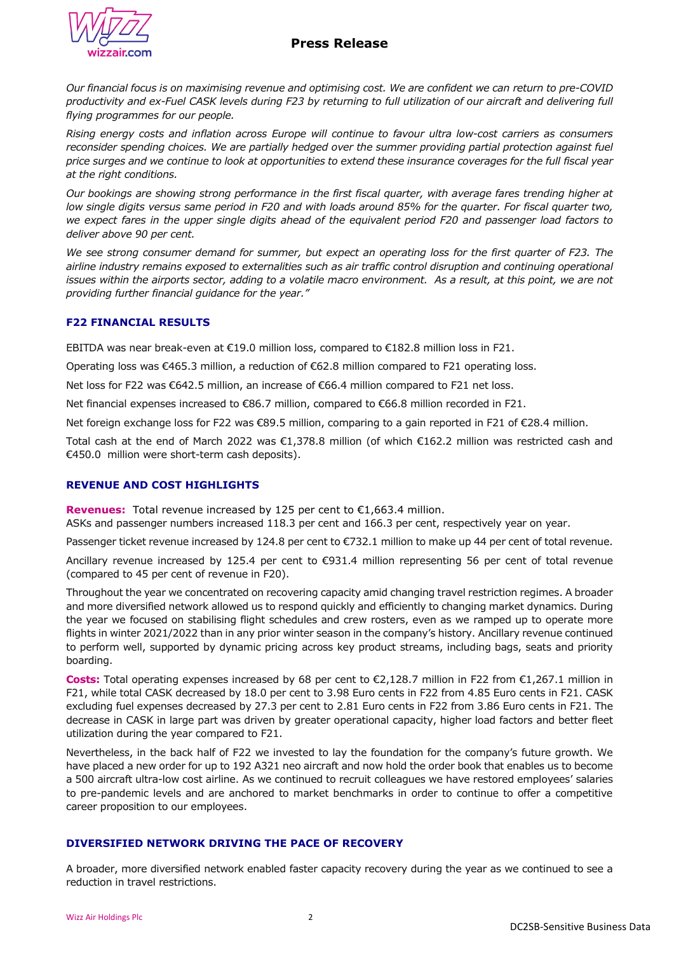# **Press Release**



*Our financial focus is on maximising revenue and optimising cost. We are confident we can return to pre-COVID productivity and ex-Fuel CASK levels during F23 by returning to full utilization of our aircraft and delivering full flying programmes for our people.* 

*Rising energy costs and inflation across Europe will continue to favour ultra low-cost carriers as consumers reconsider spending choices. We are partially hedged over the summer providing partial protection against fuel price surges and we continue to look at opportunities to extend these insurance coverages for the full fiscal year at the right conditions.*

*Our bookings are showing strong performance in the first fiscal quarter, with average fares trending higher at low single digits versus same period in F20 and with loads around 85% for the quarter. For fiscal quarter two, we expect fares in the upper single digits ahead of the equivalent period F20 and passenger load factors to deliver above 90 per cent.* 

*We see strong consumer demand for summer, but expect an operating loss for the first quarter of F23. The airline industry remains exposed to externalities such as air traffic control disruption and continuing operational issues within the airports sector, adding to a volatile macro environment. As a result, at this point, we are not providing further financial guidance for the year."*

## **F22 FINANCIAL RESULTS**

EBITDA was near break-even at €19.0 million loss, compared to €182.8 million loss in F21.

Operating loss was €465.3 million, a reduction of €62.8 million compared to F21 operating loss.

Net loss for F22 was €642.5 million, an increase of €66.4 million compared to F21 net loss.

Net financial expenses increased to €86.7 million, compared to €66.8 million recorded in F21.

Net foreign exchange loss for F22 was €89.5 million, comparing to a gain reported in F21 of €28.4 million.

Total cash at the end of March 2022 was €1,378.8 million (of which €162.2 million was restricted cash and €450.0 million were short-term cash deposits).

## **REVENUE AND COST HIGHLIGHTS**

**Revenues:**Total revenue increased by 125 per cent to €1,663.4 million.

ASKs and passenger numbers increased 118.3 per cent and 166.3 per cent, respectively year on year.

Passenger ticket revenue increased by 124.8 per cent to €732.1 million to make up 44 per cent of total revenue.

Ancillary revenue increased by 125.4 per cent to €931.4 million representing 56 per cent of total revenue (compared to 45 per cent of revenue in F20).

Throughout the year we concentrated on recovering capacity amid changing travel restriction regimes. A broader and more diversified network allowed us to respond quickly and efficiently to changing market dynamics. During the year we focused on stabilising flight schedules and crew rosters, even as we ramped up to operate more flights in winter 2021/2022 than in any prior winter season in the company's history. Ancillary revenue continued to perform well, supported by dynamic pricing across key product streams, including bags, seats and priority boarding.

**Costs:** Total operating expenses increased by 68 per cent to €2,128.7 million in F22 from €1,267.1 million in F21, while total CASK decreased by 18.0 per cent to 3.98 Euro cents in F22 from 4.85 Euro cents in F21. CASK excluding fuel expenses decreased by 27.3 per cent to 2.81 Euro cents in F22 from 3.86 Euro cents in F21. The decrease in CASK in large part was driven by greater operational capacity, higher load factors and better fleet utilization during the year compared to F21.

Nevertheless, in the back half of F22 we invested to lay the foundation for the company's future growth. We have placed a new order for up to 192 A321 neo aircraft and now hold the order book that enables us to become a 500 aircraft ultra-low cost airline. As we continued to recruit colleagues we have restored employees' salaries to pre-pandemic levels and are anchored to market benchmarks in order to continue to offer a competitive career proposition to our employees.

## **DIVERSIFIED NETWORK DRIVING THE PACE OF RECOVERY**

A broader, more diversified network enabled faster capacity recovery during the year as we continued to see a reduction in travel restrictions.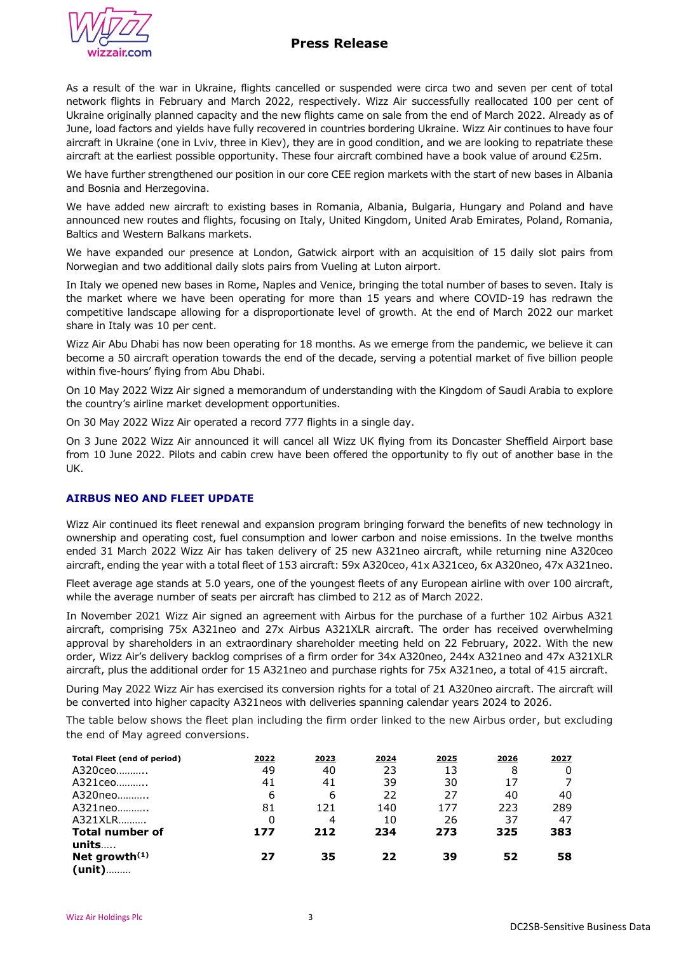

# **Press Release**

As a result of the war in Ukraine, flights cancelled or suspended were circa two and seven per cent of total network flights in February and March 2022, respectively. Wizz Air successfully reallocated 100 per cent of Ukraine originally planned capacity and the new flights came on sale from the end of March 2022. Already as of June, load factors and yields have fully recovered in countries bordering Ukraine. Wizz Air continues to have four aircraft in Ukraine (one in Lviv, three in Kiev), they are in good condition, and we are looking to repatriate these aircraft at the earliest possible opportunity. These four aircraft combined have a book value of around €25m.

We have further strengthened our position in our core CEE region markets with the start of new bases in Albania and Bosnia and Herzegovina.

We have added new aircraft to existing bases in Romania, Albania, Bulgaria, Hungary and Poland and have announced new routes and flights, focusing on Italy, United Kingdom, United Arab Emirates, Poland, Romania, Baltics and Western Balkans markets.

We have expanded our presence at London, Gatwick airport with an acquisition of 15 daily slot pairs from Norwegian and two additional daily slots pairs from Vueling at Luton airport.

In Italy we opened new bases in Rome, Naples and Venice, bringing the total number of bases to seven. Italy is the market where we have been operating for more than 15 years and where COVID-19 has redrawn the competitive landscape allowing for a disproportionate level of growth. At the end of March 2022 our market share in Italy was 10 per cent.

Wizz Air Abu Dhabi has now been operating for 18 months. As we emerge from the pandemic, we believe it can become a 50 aircraft operation towards the end of the decade, serving a potential market of five billion people within five-hours' flying from Abu Dhabi.

On 10 May 2022 Wizz Air signed a memorandum of understanding with the Kingdom of Saudi Arabia to explore the country's airline market development opportunities.

On 30 May 2022 Wizz Air operated a record 777 flights in a single day.

On 3 June 2022 Wizz Air announced it will cancel all Wizz UK flying from its Doncaster Sheffield Airport base from 10 June 2022. Pilots and cabin crew have been offered the opportunity to fly out of another base in the UK.

## **AIRBUS NEO AND FLEET UPDATE**

Wizz Air continued its fleet renewal and expansion program bringing forward the benefits of new technology in ownership and operating cost, fuel consumption and lower carbon and noise emissions. In the twelve months ended 31 March 2022 Wizz Air has taken delivery of 25 new A321neo aircraft, while returning nine A320ceo aircraft, ending the year with a total fleet of 153 aircraft: 59x A320ceo, 41x A321ceo, 6x A320neo, 47x A321neo.

Fleet average age stands at 5.0 years, one of the youngest fleets of any European airline with over 100 aircraft, while the average number of seats per aircraft has climbed to 212 as of March 2022.

In November 2021 Wizz Air signed an agreement with Airbus for the purchase of a further 102 Airbus A321 aircraft, comprising 75x A321neo and 27x Airbus A321XLR aircraft. The order has received overwhelming approval by shareholders in an extraordinary shareholder meeting held on 22 February, 2022. With the new order, Wizz Air's delivery backlog comprises of a firm order for 34x A320neo, 244x A321neo and 47x A321XLR aircraft, plus the additional order for 15 A321neo and purchase rights for 75x A321neo, a total of 415 aircraft.

During May 2022 Wizz Air has exercised its conversion rights for a total of 21 A320neo aircraft. The aircraft will be converted into higher capacity A321neos with deliveries spanning calendar years 2024 to 2026.

The table below shows the fleet plan including the firm order linked to the new Airbus order, but excluding the end of May agreed conversions.

| <b>Total Fleet (end of period)</b> | 2022 | 2023 | 2024 | 2025 | 2026 | 2027 |
|------------------------------------|------|------|------|------|------|------|
| A320ceo                            | 49   | 40   | 23   | 13   | 8    | 0    |
| A321ceo                            | 41   | 41   | 39   | 30   | 17   |      |
| A320neo                            | 6    | 6    | 22   | 27   | 40   | 40   |
| A321neo                            | 81   | 121  | 140  | 177  | 223  | 289  |
| A321XLR                            | 0    | 4    | 10   | 26   | 37   | 47   |
| <b>Total number of</b>             | 177  | 212  | 234  | 273  | 325  | 383  |
| units                              |      |      |      |      |      |      |
| Net growth $(1)$                   | 27   | 35   | 22   | 39   | 52   | 58   |
| (unit)                             |      |      |      |      |      |      |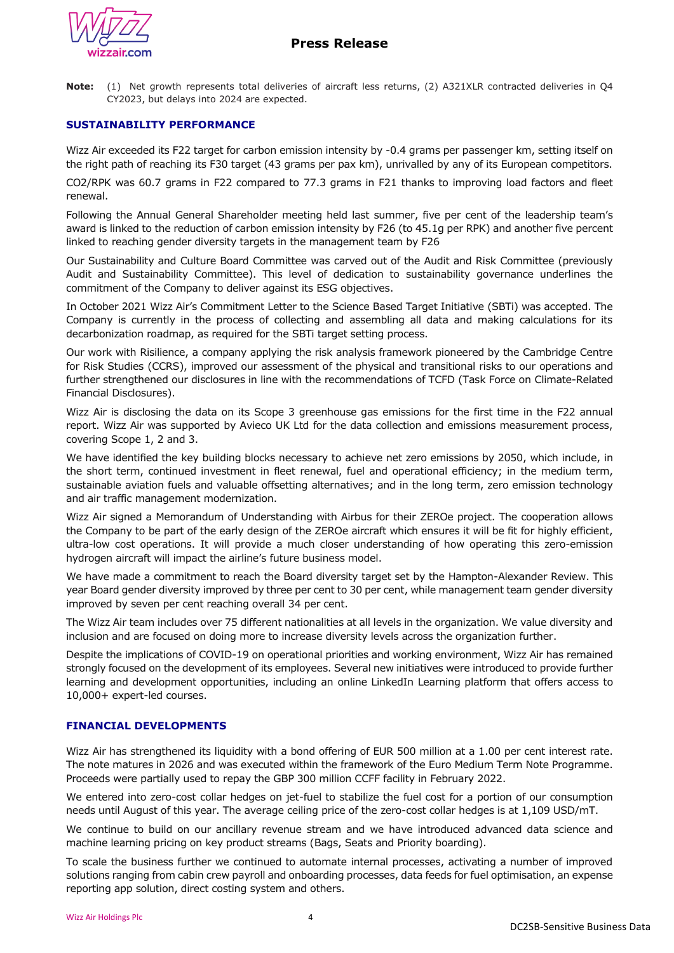

**Note:** (1) Net growth represents total deliveries of aircraft less returns, (2) A321XLR contracted deliveries in Q4 CY2023, but delays into 2024 are expected.

## **SUSTAINABILITY PERFORMANCE**

Wizz Air exceeded its F22 target for carbon emission intensity by -0.4 grams per passenger km, setting itself on the right path of reaching its F30 target (43 grams per pax km), unrivalled by any of its European competitors.

CO2/RPK was 60.7 grams in F22 compared to 77.3 grams in F21 thanks to improving load factors and fleet renewal.

Following the Annual General Shareholder meeting held last summer, five per cent of the leadership team's award is linked to the reduction of carbon emission intensity by F26 (to 45.1g per RPK) and another five percent linked to reaching gender diversity targets in the management team by F26

Our Sustainability and Culture Board Committee was carved out of the Audit and Risk Committee (previously Audit and Sustainability Committee). This level of dedication to sustainability governance underlines the commitment of the Company to deliver against its ESG objectives.

In October 2021 Wizz Air's Commitment Letter to the Science Based Target Initiative (SBTi) was accepted. The Company is currently in the process of collecting and assembling all data and making calculations for its decarbonization roadmap, as required for the SBTi target setting process.

Our work with Risilience, a company applying the risk analysis framework pioneered by the Cambridge Centre for Risk Studies (CCRS), improved our assessment of the physical and transitional risks to our operations and further strengthened our disclosures in line with the recommendations of TCFD (Task Force on Climate-Related Financial Disclosures).

Wizz Air is disclosing the data on its Scope 3 greenhouse gas emissions for the first time in the F22 annual report. Wizz Air was supported by Avieco UK Ltd for the data collection and emissions measurement process, covering Scope 1, 2 and 3.

We have identified the key building blocks necessary to achieve net zero emissions by 2050, which include, in the short term, continued investment in fleet renewal, fuel and operational efficiency; in the medium term, sustainable aviation fuels and valuable offsetting alternatives; and in the long term, zero emission technology and air traffic management modernization.

Wizz Air signed a Memorandum of Understanding with Airbus for their ZEROe project. The cooperation allows the Company to be part of the early design of the ZEROe aircraft which ensures it will be fit for highly efficient, ultra-low cost operations. It will provide a much closer understanding of how operating this zero-emission hydrogen aircraft will impact the airline's future business model.

We have made a commitment to reach the Board diversity target set by the Hampton-Alexander Review. This year Board gender diversity improved by three per cent to 30 per cent, while management team gender diversity improved by seven per cent reaching overall 34 per cent.

The Wizz Air team includes over 75 different nationalities at all levels in the organization. We value diversity and inclusion and are focused on doing more to increase diversity levels across the organization further.

Despite the implications of COVID-19 on operational priorities and working environment, Wizz Air has remained strongly focused on the development of its employees. Several new initiatives were introduced to provide further learning and development opportunities, including an online LinkedIn Learning platform that offers access to 10,000+ expert-led courses.

## **FINANCIAL DEVELOPMENTS**

Wizz Air has strengthened its liquidity with a bond offering of EUR 500 million at a 1.00 per cent interest rate. The note matures in 2026 and was executed within the framework of the Euro Medium Term Note Programme. Proceeds were partially used to repay the GBP 300 million CCFF facility in February 2022.

We entered into zero-cost collar hedges on jet-fuel to stabilize the fuel cost for a portion of our consumption needs until August of this year. The average ceiling price of the zero-cost collar hedges is at 1,109 USD/mT.

We continue to build on our ancillary revenue stream and we have introduced advanced data science and machine learning pricing on key product streams (Bags, Seats and Priority boarding).

To scale the business further we continued to automate internal processes, activating a number of improved solutions ranging from cabin crew payroll and onboarding processes, data feeds for fuel optimisation, an expense reporting app solution, direct costing system and others.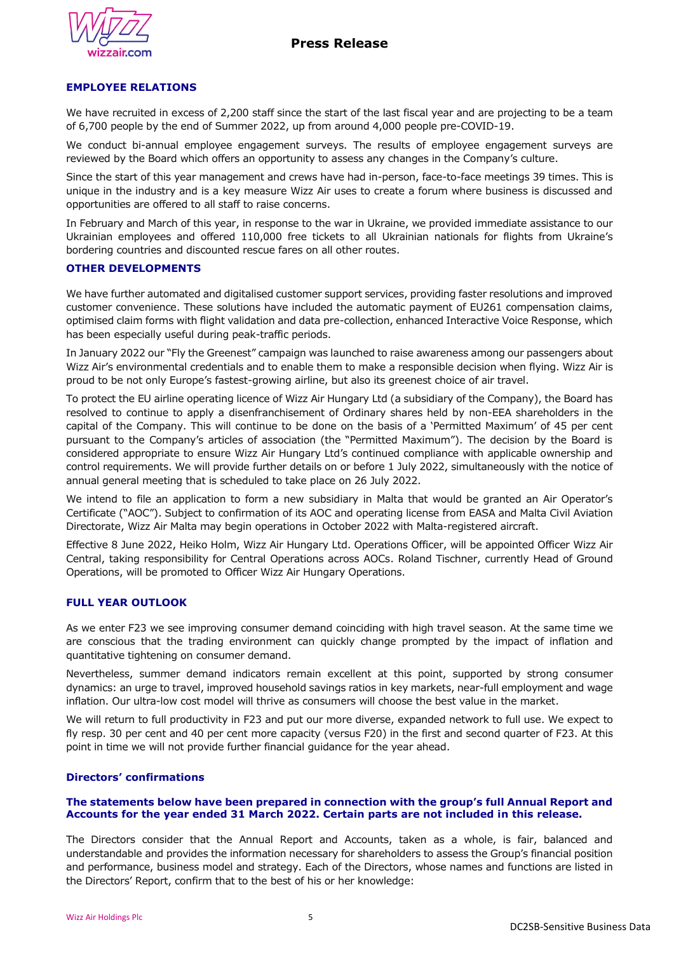

## **EMPLOYEE RELATIONS**

We have recruited in excess of 2,200 staff since the start of the last fiscal year and are projecting to be a team of 6,700 people by the end of Summer 2022, up from around 4,000 people pre-COVID-19.

We conduct bi-annual employee engagement surveys. The results of employee engagement surveys are reviewed by the Board which offers an opportunity to assess any changes in the Company's culture.

Since the start of this year management and crews have had in-person, face-to-face meetings 39 times. This is unique in the industry and is a key measure Wizz Air uses to create a forum where business is discussed and opportunities are offered to all staff to raise concerns.

In February and March of this year, in response to the war in Ukraine, we provided immediate assistance to our Ukrainian employees and offered 110,000 free tickets to all Ukrainian nationals for flights from Ukraine's bordering countries and discounted rescue fares on all other routes.

## **OTHER DEVELOPMENTS**

We have further automated and digitalised customer support services, providing faster resolutions and improved customer convenience. These solutions have included the automatic payment of EU261 compensation claims, optimised claim forms with flight validation and data pre-collection, enhanced Interactive Voice Response, which has been especially useful during peak-traffic periods.

In January 2022 our "Fly the Greenest" campaign was launched to raise awareness among our passengers about Wizz Air's environmental credentials and to enable them to make a responsible decision when flying. Wizz Air is proud to be not only Europe's fastest-growing airline, but also its greenest choice of air travel.

To protect the EU airline operating licence of Wizz Air Hungary Ltd (a subsidiary of the Company), the Board has resolved to continue to apply a disenfranchisement of Ordinary shares held by non-EEA shareholders in the capital of the Company. This will continue to be done on the basis of a 'Permitted Maximum' of 45 per cent pursuant to the Company's articles of association (the "Permitted Maximum"). The decision by the Board is considered appropriate to ensure Wizz Air Hungary Ltd's continued compliance with applicable ownership and control requirements. We will provide further details on or before 1 July 2022, simultaneously with the notice of annual general meeting that is scheduled to take place on 26 July 2022.

We intend to file an application to form a new subsidiary in Malta that would be granted an Air Operator's Certificate ("AOC"). Subject to confirmation of its AOC and operating license from EASA and Malta Civil Aviation Directorate, Wizz Air Malta may begin operations in October 2022 with Malta-registered aircraft.

Effective 8 June 2022, Heiko Holm, Wizz Air Hungary Ltd. Operations Officer, will be appointed Officer Wizz Air Central, taking responsibility for Central Operations across AOCs. Roland Tischner, currently Head of Ground Operations, will be promoted to Officer Wizz Air Hungary Operations.

### **FULL YEAR OUTLOOK**

As we enter F23 we see improving consumer demand coinciding with high travel season. At the same time we are conscious that the trading environment can quickly change prompted by the impact of inflation and quantitative tightening on consumer demand.

Nevertheless, summer demand indicators remain excellent at this point, supported by strong consumer dynamics: an urge to travel, improved household savings ratios in key markets, near-full employment and wage inflation. Our ultra-low cost model will thrive as consumers will choose the best value in the market.

We will return to full productivity in F23 and put our more diverse, expanded network to full use. We expect to fly resp. 30 per cent and 40 per cent more capacity (versus F20) in the first and second quarter of F23. At this point in time we will not provide further financial guidance for the year ahead.

## **Directors' confirmations**

#### **The statements below have been prepared in connection with the group's full Annual Report and Accounts for the year ended 31 March 2022. Certain parts are not included in this release.**

The Directors consider that the Annual Report and Accounts, taken as a whole, is fair, balanced and understandable and provides the information necessary for shareholders to assess the Group's financial position and performance, business model and strategy. Each of the Directors, whose names and functions are listed in the Directors' Report, confirm that to the best of his or her knowledge: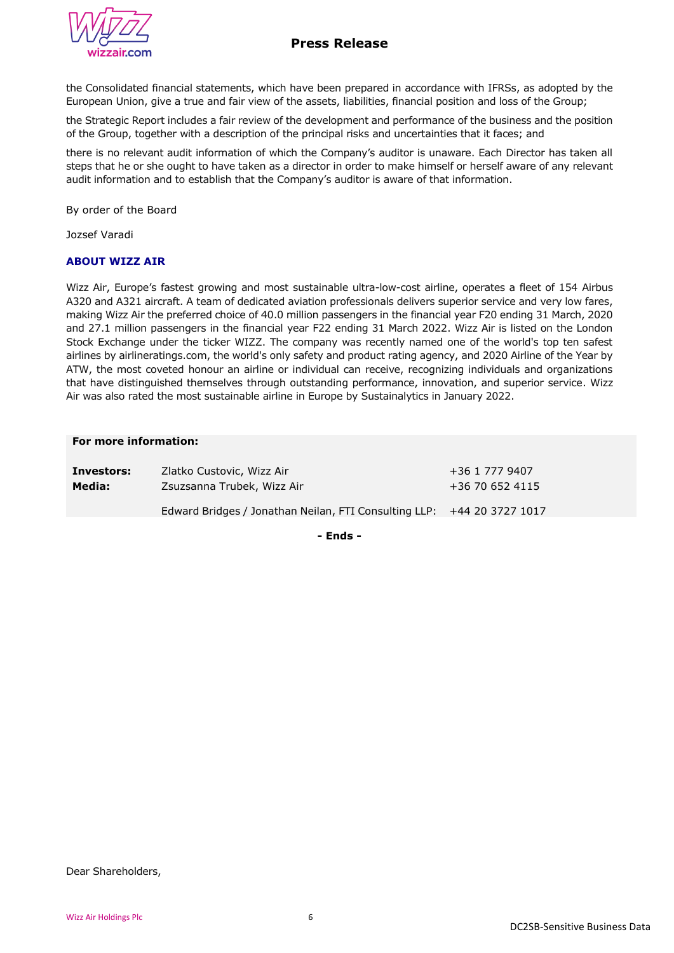

the Consolidated financial statements, which have been prepared in accordance with IFRSs, as adopted by the European Union, give a true and fair view of the assets, liabilities, financial position and loss of the Group;

the Strategic Report includes a fair review of the development and performance of the business and the position of the Group, together with a description of the principal risks and uncertainties that it faces; and

there is no relevant audit information of which the Company's auditor is unaware. Each Director has taken all steps that he or she ought to have taken as a director in order to make himself or herself aware of any relevant audit information and to establish that the Company's auditor is aware of that information.

By order of the Board

Jozsef Varadi

## **ABOUT WIZZ AIR**

Wizz Air, Europe's fastest growing and most sustainable ultra-low-cost airline, operates a fleet of 154 Airbus A320 and A321 aircraft. A team of dedicated aviation professionals delivers superior service and very low fares, making Wizz Air the preferred choice of 40.0 million passengers in the financial year F20 ending 31 March, 2020 and 27.1 million passengers in the financial year F22 ending 31 March 2022. Wizz Air is listed on the London Stock Exchange under the ticker WIZZ. The company was recently named one of the world's top ten safest airlines by airlineratings.com, the world's only safety and product rating agency, and 2020 Airline of the Year by ATW, the most coveted honour an airline or individual can receive, recognizing individuals and organizations that have distinguished themselves through outstanding performance, innovation, and superior service. Wizz Air was also rated the most sustainable airline in Europe by Sustainalytics in January 2022.

#### **For more information:**

**Investors:** Zlatko Custovic, Wizz Air **1988** 1 277 9407 **Media:** Zsuzsanna Trubek, Wizz Air Edward Bridges / Jonathan Neilan, FTI Consulting LLP: +44 20 3727 1017 +36 70 652 4115

**- Ends -**

Dear Shareholders,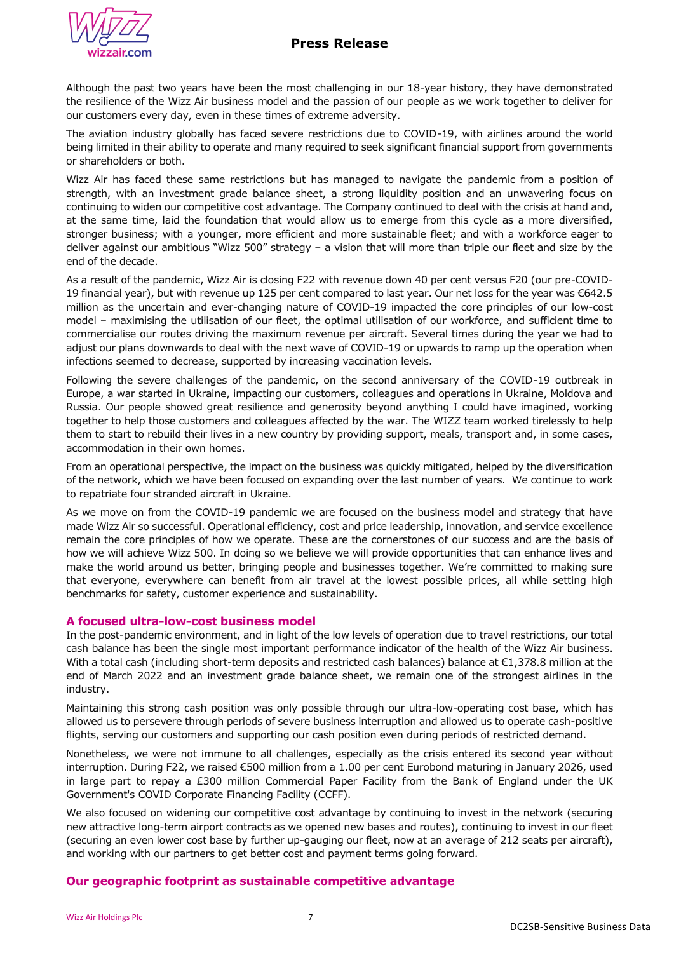

Although the past two years have been the most challenging in our 18-year history, they have demonstrated the resilience of the Wizz Air business model and the passion of our people as we work together to deliver for our customers every day, even in these times of extreme adversity.

The aviation industry globally has faced severe restrictions due to COVID-19, with airlines around the world being limited in their ability to operate and many required to seek significant financial support from governments or shareholders or both.

Wizz Air has faced these same restrictions but has managed to navigate the pandemic from a position of strength, with an investment grade balance sheet, a strong liquidity position and an unwavering focus on continuing to widen our competitive cost advantage. The Company continued to deal with the crisis at hand and, at the same time, laid the foundation that would allow us to emerge from this cycle as a more diversified, stronger business; with a younger, more efficient and more sustainable fleet; and with a workforce eager to deliver against our ambitious "Wizz 500" strategy – a vision that will more than triple our fleet and size by the end of the decade.

As a result of the pandemic, Wizz Air is closing F22 with revenue down 40 per cent versus F20 (our pre-COVID-19 financial year), but with revenue up 125 per cent compared to last year. Our net loss for the year was €642.5 million as the uncertain and ever-changing nature of COVID-19 impacted the core principles of our low-cost model – maximising the utilisation of our fleet, the optimal utilisation of our workforce, and sufficient time to commercialise our routes driving the maximum revenue per aircraft. Several times during the year we had to adjust our plans downwards to deal with the next wave of COVID-19 or upwards to ramp up the operation when infections seemed to decrease, supported by increasing vaccination levels.

Following the severe challenges of the pandemic, on the second anniversary of the COVID-19 outbreak in Europe, a war started in Ukraine, impacting our customers, colleagues and operations in Ukraine, Moldova and Russia. Our people showed great resilience and generosity beyond anything I could have imagined, working together to help those customers and colleagues affected by the war. The WIZZ team worked tirelessly to help them to start to rebuild their lives in a new country by providing support, meals, transport and, in some cases, accommodation in their own homes.

From an operational perspective, the impact on the business was quickly mitigated, helped by the diversification of the network, which we have been focused on expanding over the last number of years. We continue to work to repatriate four stranded aircraft in Ukraine.

As we move on from the COVID-19 pandemic we are focused on the business model and strategy that have made Wizz Air so successful. Operational efficiency, cost and price leadership, innovation, and service excellence remain the core principles of how we operate. These are the cornerstones of our success and are the basis of how we will achieve Wizz 500. In doing so we believe we will provide opportunities that can enhance lives and make the world around us better, bringing people and businesses together. We're committed to making sure that everyone, everywhere can benefit from air travel at the lowest possible prices, all while setting high benchmarks for safety, customer experience and sustainability.

## **A focused ultra-low-cost business model**

In the post-pandemic environment, and in light of the low levels of operation due to travel restrictions, our total cash balance has been the single most important performance indicator of the health of the Wizz Air business. With a total cash (including short-term deposits and restricted cash balances) balance at €1,378.8 million at the end of March 2022 and an investment grade balance sheet, we remain one of the strongest airlines in the industry.

Maintaining this strong cash position was only possible through our ultra-low-operating cost base, which has allowed us to persevere through periods of severe business interruption and allowed us to operate cash-positive flights, serving our customers and supporting our cash position even during periods of restricted demand.

Nonetheless, we were not immune to all challenges, especially as the crisis entered its second year without interruption. During F22, we raised €500 million from a 1.00 per cent Eurobond maturing in January 2026, used in large part to repay a £300 million Commercial Paper Facility from the Bank of England under the UK Government's COVID Corporate Financing Facility (CCFF).

We also focused on widening our competitive cost advantage by continuing to invest in the network (securing new attractive long-term airport contracts as we opened new bases and routes), continuing to invest in our fleet (securing an even lower cost base by further up-gauging our fleet, now at an average of 212 seats per aircraft), and working with our partners to get better cost and payment terms going forward.

## **Our geographic footprint as sustainable competitive advantage**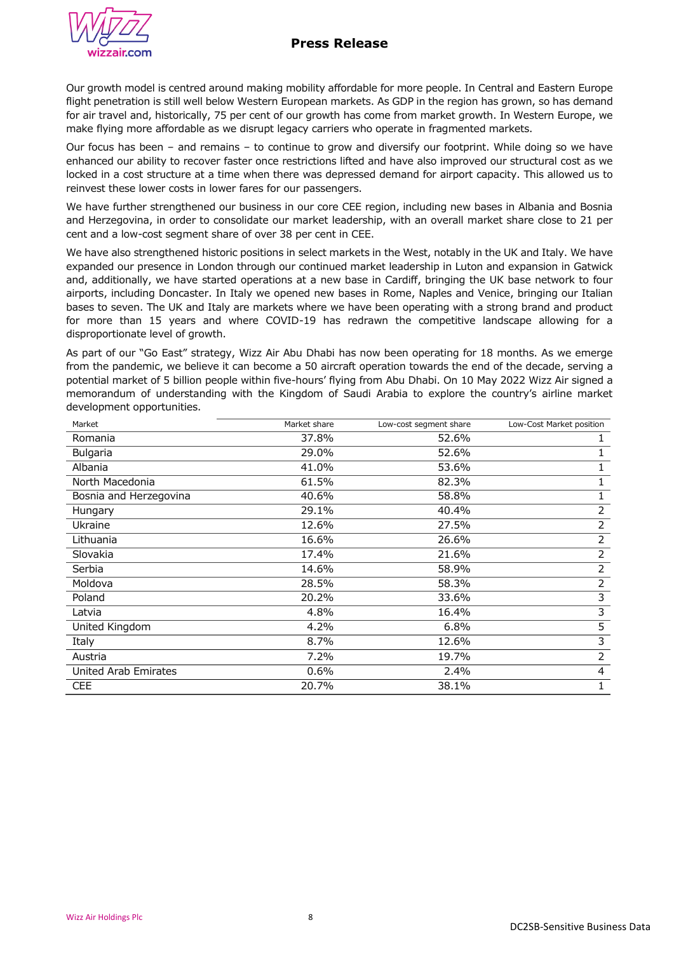

Our growth model is centred around making mobility affordable for more people. In Central and Eastern Europe flight penetration is still well below Western European markets. As GDP in the region has grown, so has demand for air travel and, historically, 75 per cent of our growth has come from market growth. In Western Europe, we make flying more affordable as we disrupt legacy carriers who operate in fragmented markets.

Our focus has been – and remains – to continue to grow and diversify our footprint. While doing so we have enhanced our ability to recover faster once restrictions lifted and have also improved our structural cost as we locked in a cost structure at a time when there was depressed demand for airport capacity. This allowed us to reinvest these lower costs in lower fares for our passengers.

We have further strengthened our business in our core CEE region, including new bases in Albania and Bosnia and Herzegovina, in order to consolidate our market leadership, with an overall market share close to 21 per cent and a low-cost segment share of over 38 per cent in CEE.

We have also strengthened historic positions in select markets in the West, notably in the UK and Italy. We have expanded our presence in London through our continued market leadership in Luton and expansion in Gatwick and, additionally, we have started operations at a new base in Cardiff, bringing the UK base network to four airports, including Doncaster. In Italy we opened new bases in Rome, Naples and Venice, bringing our Italian bases to seven. The UK and Italy are markets where we have been operating with a strong brand and product for more than 15 years and where COVID-19 has redrawn the competitive landscape allowing for a disproportionate level of growth.

As part of our "Go East" strategy, Wizz Air Abu Dhabi has now been operating for 18 months. As we emerge from the pandemic, we believe it can become a 50 aircraft operation towards the end of the decade, serving a potential market of 5 billion people within five-hours' flying from Abu Dhabi. On 10 May 2022 Wizz Air signed a memorandum of understanding with the Kingdom of Saudi Arabia to explore the country's airline market development opportunities.

| Market                 | Market share | Low-cost segment share | Low-Cost Market position |
|------------------------|--------------|------------------------|--------------------------|
| Romania                | 37.8%        | 52.6%                  |                          |
| Bulgaria               | 29.0%        | 52.6%                  |                          |
| Albania                | 41.0%        | 53.6%                  |                          |
| North Macedonia        | 61.5%        | 82.3%                  |                          |
| Bosnia and Herzegovina | 40.6%        | 58.8%                  |                          |
| Hungary                | 29.1%        | 40.4%                  | 2                        |
| Ukraine                | 12.6%        | 27.5%                  | 2                        |
| Lithuania              | 16.6%        | 26.6%                  | 2                        |
| Slovakia               | 17.4%        | 21.6%                  | $\overline{2}$           |
| Serbia                 | 14.6%        | 58.9%                  | 2                        |
| Moldova                | 28.5%        | 58.3%                  | $\overline{2}$           |
| Poland                 | 20.2%        | 33.6%                  | 3                        |
| Latvia                 | 4.8%         | 16.4%                  | 3                        |
| United Kingdom         | 4.2%         | 6.8%                   | 5                        |
| Italy                  | 8.7%         | 12.6%                  | 3                        |
| Austria                | 7.2%         | 19.7%                  | 2                        |
| United Arab Emirates   | 0.6%         | 2.4%                   | 4                        |
| <b>CEE</b>             | 20.7%        | 38.1%                  |                          |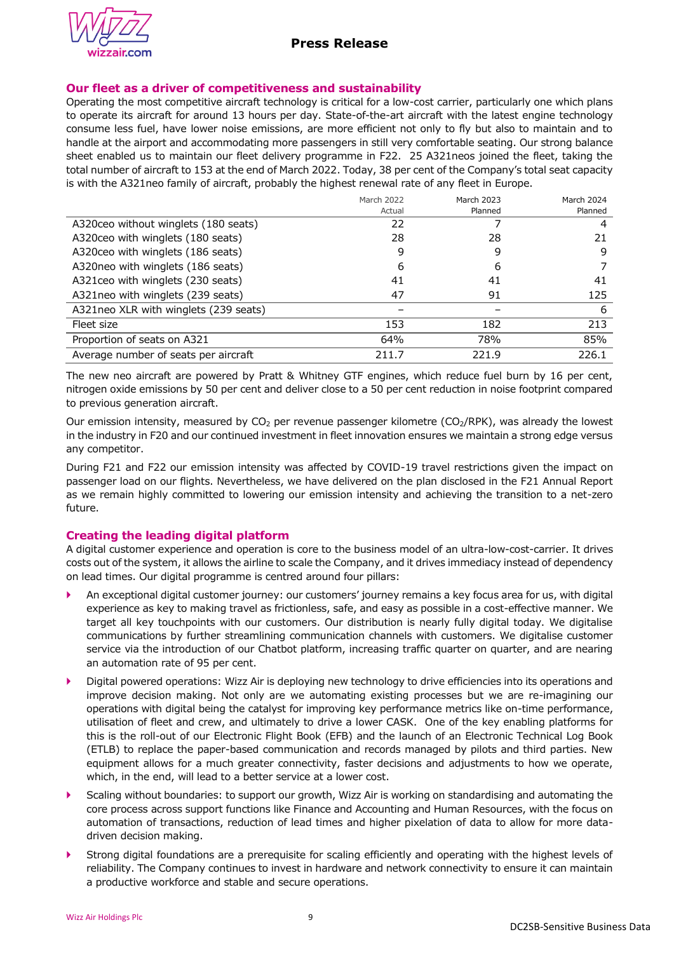

## **Our fleet as a driver of competitiveness and sustainability**

Operating the most competitive aircraft technology is critical for a low-cost carrier, particularly one which plans to operate its aircraft for around 13 hours per day. State-of-the-art aircraft with the latest engine technology consume less fuel, have lower noise emissions, are more efficient not only to fly but also to maintain and to handle at the airport and accommodating more passengers in still very comfortable seating. Our strong balance sheet enabled us to maintain our fleet delivery programme in F22. 25 A321neos joined the fleet, taking the total number of aircraft to 153 at the end of March 2022. Today, 38 per cent of the Company's total seat capacity is with the A321neo family of aircraft, probably the highest renewal rate of any fleet in Europe.

|                                       | March 2022 | March 2023 | March 2024 |
|---------------------------------------|------------|------------|------------|
|                                       | Actual     | Planned    | Planned    |
| A320ceo without winglets (180 seats)  | 22         |            | 4          |
| A320ceo with winglets (180 seats)     | 28         | 28         | 21         |
| A320ceo with winglets (186 seats)     | 9          | 9          | 9          |
| A320neo with winglets (186 seats)     | 6          | 6          |            |
| A321 ceo with winglets (230 seats)    | 41         | 41         | 41         |
| A321neo with winglets (239 seats)     | 47         | 91         | 125        |
| A321neo XLR with winglets (239 seats) |            |            | 6          |
| Fleet size                            | 153        | 182        | 213        |
| Proportion of seats on A321           | 64%        | 78%        | 85%        |
| Average number of seats per aircraft  | 211.7      | 221.9      | 226.1      |

The new neo aircraft are powered by Pratt & Whitney GTF engines, which reduce fuel burn by 16 per cent, nitrogen oxide emissions by 50 per cent and deliver close to a 50 per cent reduction in noise footprint compared to previous generation aircraft.

Our emission intensity, measured by  $CO<sub>2</sub>$  per revenue passenger kilometre ( $CO<sub>2</sub>/RPK$ ), was already the lowest in the industry in F20 and our continued investment in fleet innovation ensures we maintain a strong edge versus any competitor.

During F21 and F22 our emission intensity was affected by COVID-19 travel restrictions given the impact on passenger load on our flights. Nevertheless, we have delivered on the plan disclosed in the F21 Annual Report as we remain highly committed to lowering our emission intensity and achieving the transition to a net-zero future.

## **Creating the leading digital platform**

A digital customer experience and operation is core to the business model of an ultra-low-cost-carrier. It drives costs out of the system, it allows the airline to scale the Company, and it drives immediacy instead of dependency on lead times. Our digital programme is centred around four pillars:

- An exceptional digital customer journey: our customers' journey remains a key focus area for us, with digital experience as key to making travel as frictionless, safe, and easy as possible in a cost-effective manner. We target all key touchpoints with our customers. Our distribution is nearly fully digital today. We digitalise communications by further streamlining communication channels with customers. We digitalise customer service via the introduction of our Chatbot platform, increasing traffic quarter on quarter, and are nearing an automation rate of 95 per cent.
- Digital powered operations: Wizz Air is deploying new technology to drive efficiencies into its operations and improve decision making. Not only are we automating existing processes but we are re-imagining our operations with digital being the catalyst for improving key performance metrics like on-time performance, utilisation of fleet and crew, and ultimately to drive a lower CASK. One of the key enabling platforms for this is the roll-out of our Electronic Flight Book (EFB) and the launch of an Electronic Technical Log Book (ETLB) to replace the paper-based communication and records managed by pilots and third parties. New equipment allows for a much greater connectivity, faster decisions and adjustments to how we operate, which, in the end, will lead to a better service at a lower cost.
- Scaling without boundaries: to support our growth, Wizz Air is working on standardising and automating the core process across support functions like Finance and Accounting and Human Resources, with the focus on automation of transactions, reduction of lead times and higher pixelation of data to allow for more datadriven decision making.
- Strong digital foundations are a prerequisite for scaling efficiently and operating with the highest levels of reliability. The Company continues to invest in hardware and network connectivity to ensure it can maintain a productive workforce and stable and secure operations.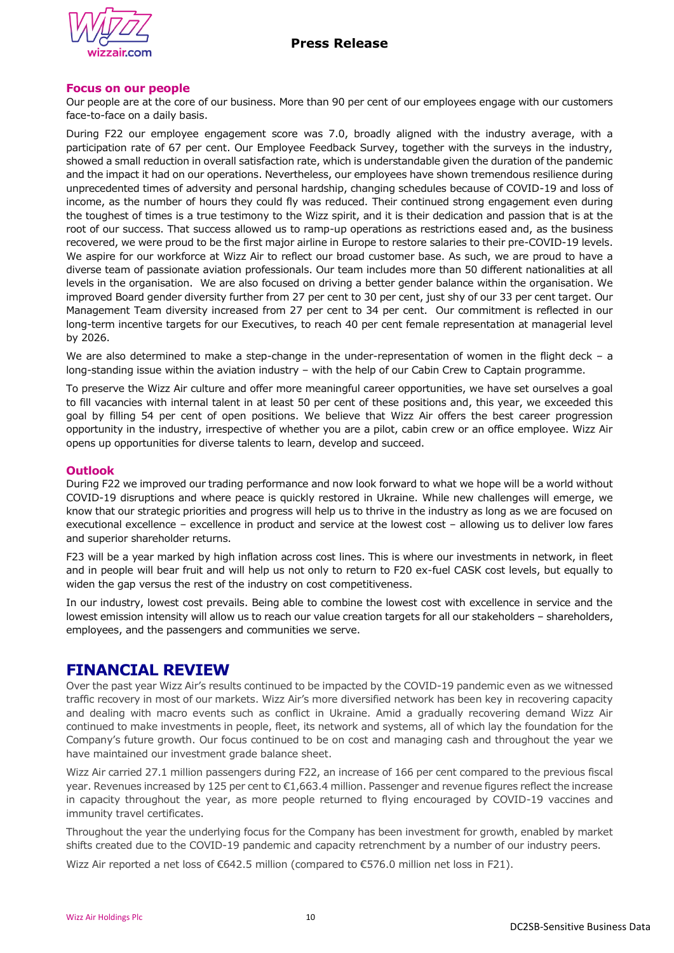



## **Focus on our people**

Our people are at the core of our business. More than 90 per cent of our employees engage with our customers face-to-face on a daily basis.

During F22 our employee engagement score was 7.0, broadly aligned with the industry average, with a participation rate of 67 per cent. Our Employee Feedback Survey, together with the surveys in the industry, showed a small reduction in overall satisfaction rate, which is understandable given the duration of the pandemic and the impact it had on our operations. Nevertheless, our employees have shown tremendous resilience during unprecedented times of adversity and personal hardship, changing schedules because of COVID-19 and loss of income, as the number of hours they could fly was reduced. Their continued strong engagement even during the toughest of times is a true testimony to the Wizz spirit, and it is their dedication and passion that is at the root of our success. That success allowed us to ramp-up operations as restrictions eased and, as the business recovered, we were proud to be the first major airline in Europe to restore salaries to their pre-COVID-19 levels. We aspire for our workforce at Wizz Air to reflect our broad customer base. As such, we are proud to have a diverse team of passionate aviation professionals. Our team includes more than 50 different nationalities at all levels in the organisation. We are also focused on driving a better gender balance within the organisation. We improved Board gender diversity further from 27 per cent to 30 per cent, just shy of our 33 per cent target. Our Management Team diversity increased from 27 per cent to 34 per cent. Our commitment is reflected in our long-term incentive targets for our Executives, to reach 40 per cent female representation at managerial level by 2026.

We are also determined to make a step-change in the under-representation of women in the flight deck – a long-standing issue within the aviation industry – with the help of our Cabin Crew to Captain programme.

To preserve the Wizz Air culture and offer more meaningful career opportunities, we have set ourselves a goal to fill vacancies with internal talent in at least 50 per cent of these positions and, this year, we exceeded this goal by filling 54 per cent of open positions. We believe that Wizz Air offers the best career progression opportunity in the industry, irrespective of whether you are a pilot, cabin crew or an office employee. Wizz Air opens up opportunities for diverse talents to learn, develop and succeed.

### **Outlook**

During F22 we improved our trading performance and now look forward to what we hope will be a world without COVID-19 disruptions and where peace is quickly restored in Ukraine. While new challenges will emerge, we know that our strategic priorities and progress will help us to thrive in the industry as long as we are focused on executional excellence – excellence in product and service at the lowest cost – allowing us to deliver low fares and superior shareholder returns.

F23 will be a year marked by high inflation across cost lines. This is where our investments in network, in fleet and in people will bear fruit and will help us not only to return to F20 ex-fuel CASK cost levels, but equally to widen the gap versus the rest of the industry on cost competitiveness.

In our industry, lowest cost prevails. Being able to combine the lowest cost with excellence in service and the lowest emission intensity will allow us to reach our value creation targets for all our stakeholders – shareholders, employees, and the passengers and communities we serve.

# **FINANCIAL REVIEW**

Over the past year Wizz Air's results continued to be impacted by the COVID-19 pandemic even as we witnessed traffic recovery in most of our markets. Wizz Air's more diversified network has been key in recovering capacity and dealing with macro events such as conflict in Ukraine. Amid a gradually recovering demand Wizz Air continued to make investments in people, fleet, its network and systems, all of which lay the foundation for the Company's future growth. Our focus continued to be on cost and managing cash and throughout the year we have maintained our investment grade balance sheet.

Wizz Air carried 27.1 million passengers during F22, an increase of 166 per cent compared to the previous fiscal year. Revenues increased by 125 per cent to €1,663.4 million. Passenger and revenue figures reflect the increase in capacity throughout the year, as more people returned to flying encouraged by COVID-19 vaccines and immunity travel certificates.

Throughout the year the underlying focus for the Company has been investment for growth, enabled by market shifts created due to the COVID-19 pandemic and capacity retrenchment by a number of our industry peers.

Wizz Air reported a net loss of €642.5 million (compared to €576.0 million net loss in F21).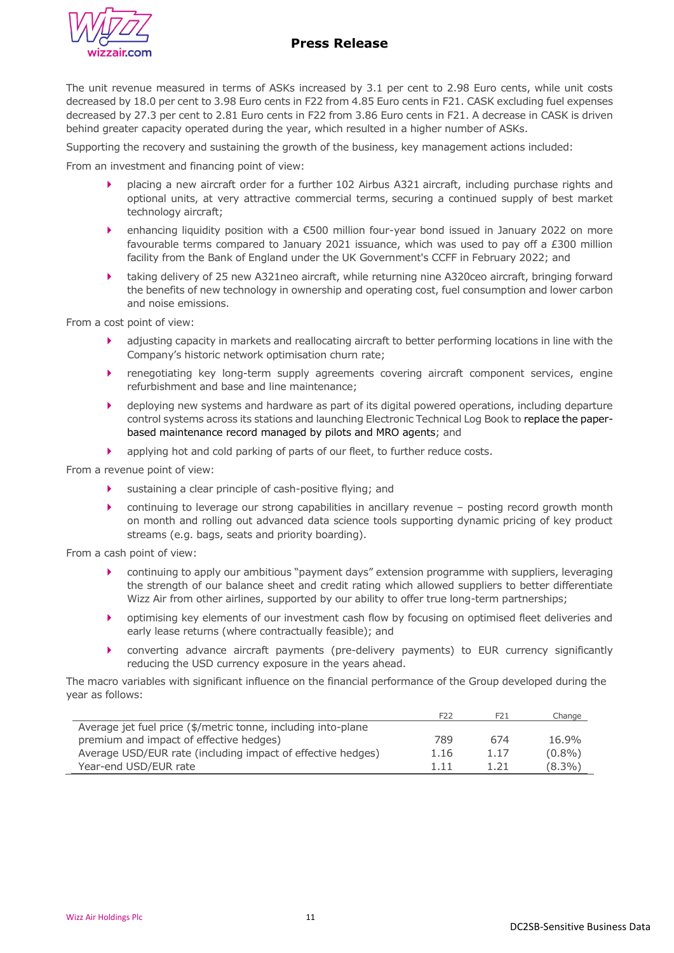

# **Press Release**

The unit revenue measured in terms of ASKs increased by 3.1 per cent to 2.98 Euro cents, while unit costs decreased by 18.0 per cent to 3.98 Euro cents in F22 from 4.85 Euro cents in F21. CASK excluding fuel expenses decreased by 27.3 per cent to 2.81 Euro cents in F22 from 3.86 Euro cents in F21. A decrease in CASK is driven behind greater capacity operated during the year, which resulted in a higher number of ASKs.

Supporting the recovery and sustaining the growth of the business, key management actions included:

From an investment and financing point of view:

- placing a new aircraft order for a further 102 Airbus A321 aircraft, including purchase rights and optional units, at very attractive commercial terms, securing a continued supply of best market technology aircraft;
- enhancing liquidity position with a €500 million four-year bond issued in January 2022 on more favourable terms compared to January 2021 issuance, which was used to pay off a £300 million facility from the Bank of England under the UK Government's CCFF in February 2022; and
- taking delivery of 25 new A321neo aircraft, while returning nine A320ceo aircraft, bringing forward the benefits of new technology in ownership and operating cost, fuel consumption and lower carbon and noise emissions.

From a cost point of view:

- adjusting capacity in markets and reallocating aircraft to better performing locations in line with the Company's historic network optimisation churn rate;
- renegotiating key long-term supply agreements covering aircraft component services, engine refurbishment and base and line maintenance;
- deploying new systems and hardware as part of its digital powered operations, including departure control systems across its stations and launching Electronic Technical Log Book to replace the paperbased maintenance record managed by pilots and MRO agents; and
- applying hot and cold parking of parts of our fleet, to further reduce costs.

From a revenue point of view:

- sustaining a clear principle of cash-positive flying; and
- continuing to leverage our strong capabilities in ancillary revenue posting record growth month on month and rolling out advanced data science tools supporting dynamic pricing of key product streams (e.g. bags, seats and priority boarding).

From a cash point of view:

- continuing to apply our ambitious "payment days" extension programme with suppliers, leveraging the strength of our balance sheet and credit rating which allowed suppliers to better differentiate Wizz Air from other airlines, supported by our ability to offer true long-term partnerships;
- optimising key elements of our investment cash flow by focusing on optimised fleet deliveries and early lease returns (where contractually feasible); and
- converting advance aircraft payments (pre-delivery payments) to EUR currency significantly reducing the USD currency exposure in the years ahead.

The macro variables with significant influence on the financial performance of the Group developed during the year as follows:

|                                                               | F <sub>22</sub> | F21  | Change    |
|---------------------------------------------------------------|-----------------|------|-----------|
| Average jet fuel price (\$/metric tonne, including into-plane |                 |      |           |
| premium and impact of effective hedges)                       | 789             | 674  | 16.9%     |
| Average USD/EUR rate (including impact of effective hedges)   | 1.16            | 1.17 | $(0.8\%)$ |
| Year-end USD/EUR rate                                         | 1.11            |      | $(8.3\%)$ |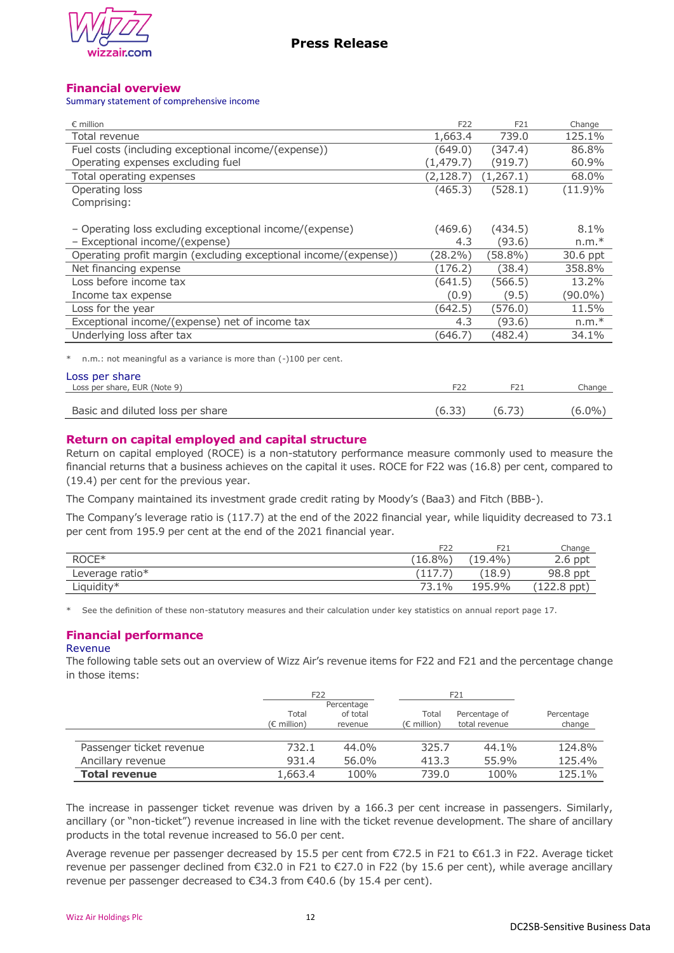

## **Financial overview**

#### Summary statement of comprehensive income

| $\epsilon$ million                                                    | F <sub>22</sub> | F21       | Change     |
|-----------------------------------------------------------------------|-----------------|-----------|------------|
| Total revenue                                                         | 1,663.4         | 739.0     | 125.1%     |
| Fuel costs (including exceptional income/(expense))                   | (649.0)         | (347.4)   | 86.8%      |
| Operating expenses excluding fuel                                     | (1, 479.7)      | (919.7)   | 60.9%      |
| Total operating expenses                                              | (2,128.7)       | (1,267.1) | 68.0%      |
| Operating loss                                                        | (465.3)         | (528.1)   | $(11.9)\%$ |
| Comprising:                                                           |                 |           |            |
| - Operating loss excluding exceptional income/(expense)               | (469.6)         | (434.5)   | $8.1\%$    |
| - Exceptional income/(expense)                                        | 4.3             | (93.6)    | $n.m.*$    |
| Operating profit margin (excluding exceptional income/(expense))      | (28.2%)         | (58.8%)   | 30.6 ppt   |
| Net financing expense                                                 | (176.2)         | (38.4)    | 358.8%     |
| Loss before income tax                                                | (641.5)         | (566.5)   | 13.2%      |
| Income tax expense                                                    | (0.9)           | (9.5)     | $(90.0\%)$ |
| Loss for the year                                                     | (642.5)         | (576.0)   | 11.5%      |
| Exceptional income/(expense) net of income tax                        | 4.3             | (93.6)    | $n.m.*$    |
| Underlying loss after tax                                             | (646.7)         | (482.4)   | 34.1%      |
| n.m.: not meaningful as a variance is more than (-)100 per cent.<br>∗ |                 |           |            |
| Loss per share                                                        |                 |           |            |
| Loss per share, EUR (Note 9)                                          | F <sub>22</sub> | F21       | Change     |
|                                                                       |                 |           |            |

## **Return on capital employed and capital structure**

Return on capital employed (ROCE) is a non-statutory performance measure commonly used to measure the financial returns that a business achieves on the capital it uses. ROCE for F22 was (16.8) per cent, compared to (19.4) per cent for the previous year.

Basic and diluted loss per share (6.33) (6.73) (6.0%)

The Company maintained its investment grade credit rating by Moody's (Baa3) and Fitch (BBB-).

The Company's leverage ratio is (117.7) at the end of the 2022 financial year, while liquidity decreased to 73.1 per cent from 195.9 per cent at the end of the 2021 financial year.

|                 | F <sub>22</sub> | F <sub>2</sub> 1 | Change                |
|-----------------|-----------------|------------------|-----------------------|
| ROCE*           | $'16.8\%$       | $(19.4\%)$       | $2.6$ ppt             |
| Leverage ratio* |                 | 18.9)            | 98.8 ppt              |
| Liquidity*      | 73.1%           | 195.9%           | $(122.8 \text{ ppt})$ |

\* See the definition of these non-statutory measures and their calculation under key statistics on annual report page 17.

# **Financial performance**

#### Revenue

The following table sets out an overview of Wizz Air's revenue items for F22 and F21 and the percentage change in those items:

|                          | F <sub>22</sub> |            |                      | F21           |            |
|--------------------------|-----------------|------------|----------------------|---------------|------------|
|                          |                 | Percentage |                      |               |            |
|                          | Total           | of total   | Total                | Percentage of | Percentage |
|                          | (€ million)     | revenue    | $(\epsilon$ million) | total revenue | change     |
|                          |                 |            |                      |               |            |
| Passenger ticket revenue | 732.1           | $44.0\%$   | 325.7                | 44.1%         | 124.8%     |
| Ancillary revenue        | 931.4           | 56.0%      | 413.3                | 55.9%         | 125.4%     |
| <b>Total revenue</b>     | 1,663.4         | 100%       | 739.0                | 100%          | 125.1%     |

The increase in passenger ticket revenue was driven by a 166.3 per cent increase in passengers. Similarly, ancillary (or "non-ticket") revenue increased in line with the ticket revenue development. The share of ancillary products in the total revenue increased to 56.0 per cent.

Average revenue per passenger decreased by 15.5 per cent from €72.5 in F21 to €61.3 in F22. Average ticket revenue per passenger declined from €32.0 in F21 to €27.0 in F22 (by 15.6 per cent), while average ancillary revenue per passenger decreased to €34.3 from €40.6 (by 15.4 per cent).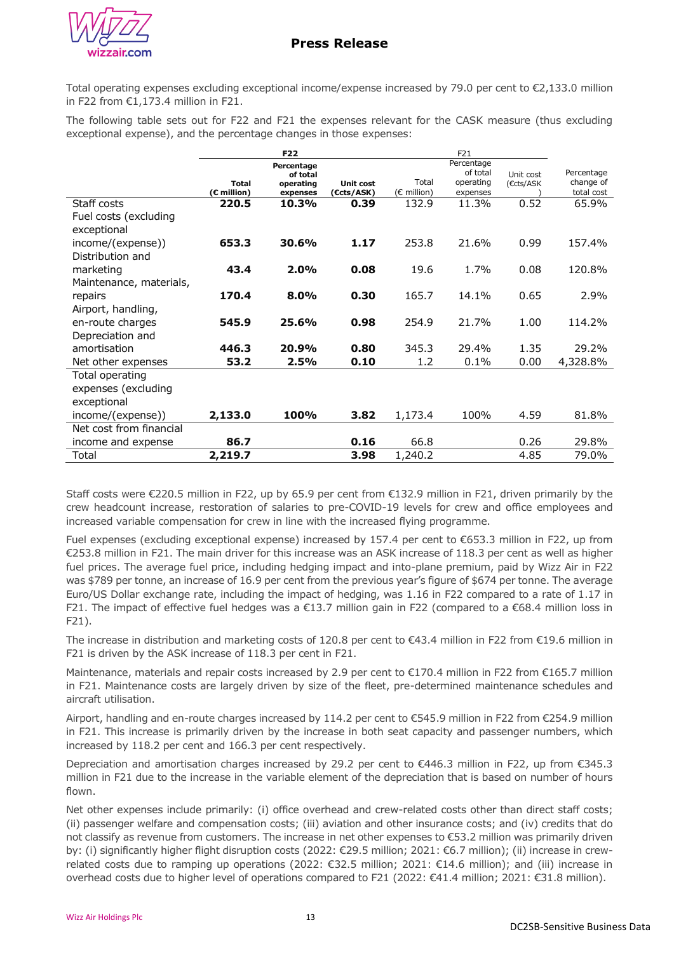

Total operating expenses excluding exceptional income/expense increased by 79.0 per cent to €2,133.0 million in F22 from €1,173.4 million in F21.

The following table sets out for F22 and F21 the expenses relevant for the CASK measure (thus excluding exceptional expense), and the percentage changes in those expenses:

|                         |                             | F22                   |                                | F21                  |                       |           |                         |
|-------------------------|-----------------------------|-----------------------|--------------------------------|----------------------|-----------------------|-----------|-------------------------|
|                         |                             | Percentage            |                                |                      | Percentage            |           |                         |
|                         |                             | of total              |                                |                      | of total              | Unit cost | Percentage              |
|                         | <b>Total</b><br>(€ million) | operating<br>expenses | <b>Unit cost</b><br>(€cts/ASK) | Total<br>(€ million) | operating<br>expenses | (€cts/ASK | change of<br>total cost |
| Staff costs             | 220.5                       | 10.3%                 | 0.39                           | 132.9                | 11.3%                 | 0.52      | 65.9%                   |
|                         |                             |                       |                                |                      |                       |           |                         |
| Fuel costs (excluding   |                             |                       |                                |                      |                       |           |                         |
| exceptional             |                             |                       |                                |                      |                       |           |                         |
| income/(expense))       | 653.3                       | 30.6%                 | 1.17                           | 253.8                | 21.6%                 | 0.99      | 157.4%                  |
| Distribution and        |                             |                       |                                |                      |                       |           |                         |
| marketing               | 43.4                        | 2.0%                  | 0.08                           | 19.6                 | 1.7%                  | 0.08      | 120.8%                  |
|                         |                             |                       |                                |                      |                       |           |                         |
| Maintenance, materials, |                             |                       |                                |                      |                       |           |                         |
| repairs                 | 170.4                       | 8.0%                  | 0.30                           | 165.7                | 14.1%                 | 0.65      | 2.9%                    |
| Airport, handling,      |                             |                       |                                |                      |                       |           |                         |
| en-route charges        | 545.9                       | 25.6%                 | 0.98                           | 254.9                | 21.7%                 | 1.00      | 114.2%                  |
| Depreciation and        |                             |                       |                                |                      |                       |           |                         |
| amortisation            | 446.3                       | 20.9%                 | 0.80                           | 345.3                | 29.4%                 | 1.35      | 29.2%                   |
| Net other expenses      | 53.2                        | 2.5%                  | 0.10                           | 1.2                  | 0.1%                  | 0.00      | 4,328.8%                |
|                         |                             |                       |                                |                      |                       |           |                         |
| Total operating         |                             |                       |                                |                      |                       |           |                         |
| expenses (excluding     |                             |                       |                                |                      |                       |           |                         |
| exceptional             |                             |                       |                                |                      |                       |           |                         |
| income/(expense))       | 2,133.0                     | 100%                  | 3.82                           | 1,173.4              | 100%                  | 4.59      | 81.8%                   |
| Net cost from financial |                             |                       |                                |                      |                       |           |                         |
| income and expense      | 86.7                        |                       | 0.16                           | 66.8                 |                       | 0.26      | 29.8%                   |
| Total                   | 2,219.7                     |                       | 3.98                           | 1,240.2              |                       | 4.85      | 79.0%                   |

Staff costs were €220.5 million in F22, up by 65.9 per cent from €132.9 million in F21, driven primarily by the crew headcount increase, restoration of salaries to pre-COVID-19 levels for crew and office employees and increased variable compensation for crew in line with the increased flying programme.

Fuel expenses (excluding exceptional expense) increased by 157.4 per cent to €653.3 million in F22, up from €253.8 million in F21. The main driver for this increase was an ASK increase of 118.3 per cent as well as higher fuel prices. The average fuel price, including hedging impact and into-plane premium, paid by Wizz Air in F22 was \$789 per tonne, an increase of 16.9 per cent from the previous year's figure of \$674 per tonne. The average Euro/US Dollar exchange rate, including the impact of hedging, was 1.16 in F22 compared to a rate of 1.17 in F21. The impact of effective fuel hedges was a €13.7 million gain in F22 (compared to a €68.4 million loss in F21).

The increase in distribution and marketing costs of 120.8 per cent to €43.4 million in F22 from €19.6 million in F21 is driven by the ASK increase of 118.3 per cent in F21.

Maintenance, materials and repair costs increased by 2.9 per cent to €170.4 million in F22 from €165.7 million in F21. Maintenance costs are largely driven by size of the fleet, pre-determined maintenance schedules and aircraft utilisation.

Airport, handling and en-route charges increased by 114.2 per cent to €545.9 million in F22 from €254.9 million in F21. This increase is primarily driven by the increase in both seat capacity and passenger numbers, which increased by 118.2 per cent and 166.3 per cent respectively.

Depreciation and amortisation charges increased by 29.2 per cent to €446.3 million in F22, up from €345.3 million in F21 due to the increase in the variable element of the depreciation that is based on number of hours flown.

Net other expenses include primarily: (i) office overhead and crew-related costs other than direct staff costs; (ii) passenger welfare and compensation costs; (iii) aviation and other insurance costs; and (iv) credits that do not classify as revenue from customers. The increase in net other expenses to €53.2 million was primarily driven by: (i) significantly higher flight disruption costs (2022: €29.5 million; 2021: €6.7 million); (ii) increase in crewrelated costs due to ramping up operations (2022: €32.5 million; 2021: €14.6 million); and (iii) increase in overhead costs due to higher level of operations compared to F21 (2022: €41.4 million; 2021: €31.8 million).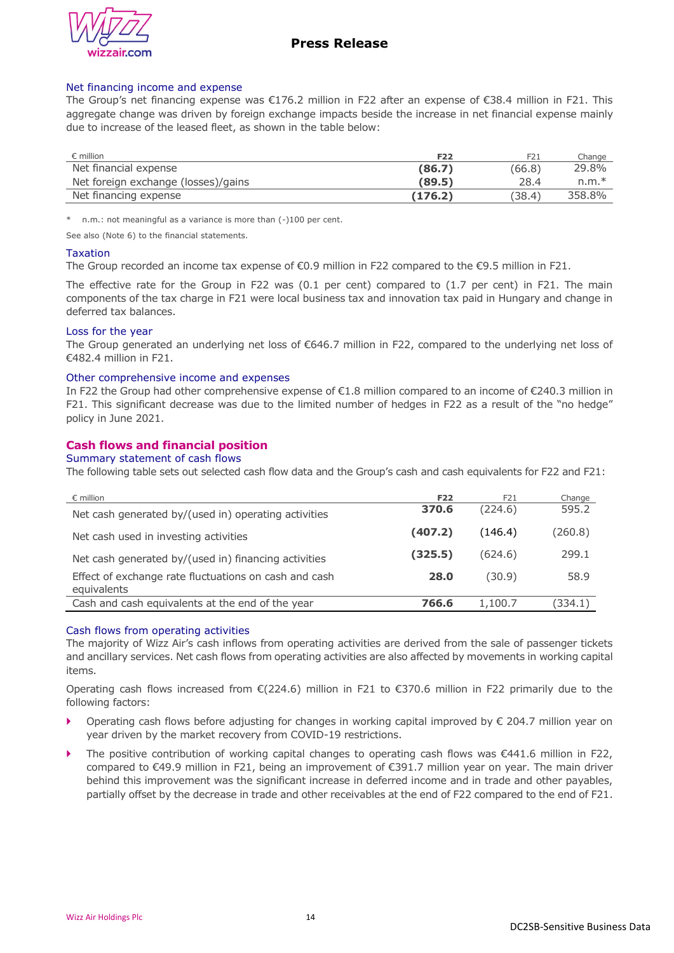

#### Net financing income and expense

The Group's net financing expense was €176.2 million in F22 after an expense of €38.4 million in F21. This aggregate change was driven by foreign exchange impacts beside the increase in net financial expense mainly due to increase of the leased fleet, as shown in the table below:

| $\epsilon$ million                  | F <sub>22</sub> | F21    | Change  |
|-------------------------------------|-----------------|--------|---------|
| Net financial expense               | (86,7)          | (66.8) | 29.8%   |
| Net foreign exchange (losses)/gains | (89.5)          | 28.4   | $n.m.*$ |
| Net financing expense               | (176.2)         | (38.4) | 358.8%  |

\* n.m.: not meaningful as a variance is more than (-)100 per cent.

See also (Note 6) to the financial statements.

#### Taxation

The Group recorded an income tax expense of €0.9 million in F22 compared to the €9.5 million in F21.

The effective rate for the Group in F22 was (0.1 per cent) compared to (1.7 per cent) in F21. The main components of the tax charge in F21 were local business tax and innovation tax paid in Hungary and change in deferred tax balances.

#### Loss for the year

The Group generated an underlying net loss of €646.7 million in F22, compared to the underlying net loss of €482.4 million in F21.

#### Other comprehensive income and expenses

In F22 the Group had other comprehensive expense of €1.8 million compared to an income of €240.3 million in F21. This significant decrease was due to the limited number of hedges in F22 as a result of the "no hedge" policy in June 2021.

## **Cash flows and financial position**

#### Summary statement of cash flows

The following table sets out selected cash flow data and the Group's cash and cash equivalents for F22 and F21:

| $\epsilon$ million                                                   | <b>F22</b> | F21     | Change  |
|----------------------------------------------------------------------|------------|---------|---------|
| Net cash generated by/(used in) operating activities                 | 370.6      | (224.6) | 595.2   |
| Net cash used in investing activities                                | (407.2)    | (146.4) | (260.8) |
| Net cash generated by/(used in) financing activities                 | (325.5)    | (624.6) | 299.1   |
| Effect of exchange rate fluctuations on cash and cash<br>equivalents | 28.0       | (30.9)  | 58.9    |
| Cash and cash equivalents at the end of the year                     | 766.6      | 1,100.7 | (334.1) |

#### Cash flows from operating activities

The majority of Wizz Air's cash inflows from operating activities are derived from the sale of passenger tickets and ancillary services. Net cash flows from operating activities are also affected by movements in working capital items.

Operating cash flows increased from €(224.6) million in F21 to €370.6 million in F22 primarily due to the following factors:

- Operating cash flows before adjusting for changes in working capital improved by € 204.7 million year on year driven by the market recovery from COVID-19 restrictions.
- The positive contribution of working capital changes to operating cash flows was €441.6 million in F22, compared to €49.9 million in F21, being an improvement of €391.7 million year on year. The main driver behind this improvement was the significant increase in deferred income and in trade and other payables, partially offset by the decrease in trade and other receivables at the end of F22 compared to the end of F21.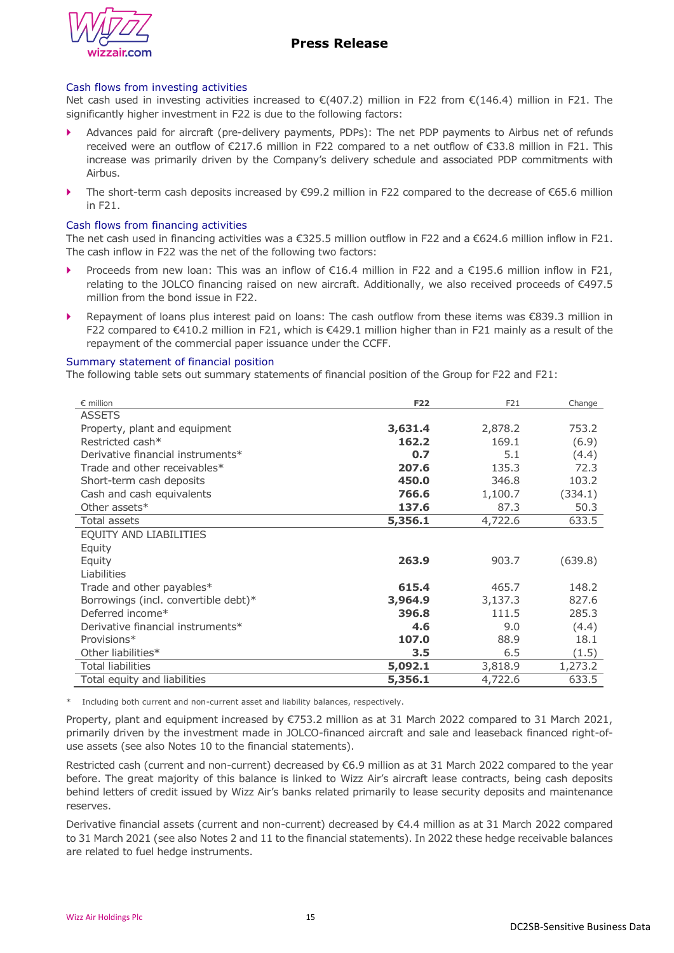

#### Cash flows from investing activities

Net cash used in investing activities increased to  $\mathcal{E}(407.2)$  million in F22 from  $\mathcal{E}(146.4)$  million in F21. The significantly higher investment in F22 is due to the following factors:

- Advances paid for aircraft (pre-delivery payments, PDPs): The net PDP payments to Airbus net of refunds received were an outflow of €217.6 million in F22 compared to a net outflow of €33.8 million in F21. This increase was primarily driven by the Company's delivery schedule and associated PDP commitments with Airbus.
- The short-term cash deposits increased by €99.2 million in F22 compared to the decrease of €65.6 million in F21.

#### Cash flows from financing activities

The net cash used in financing activities was a €325.5 million outflow in F22 and a €624.6 million inflow in F21. The cash inflow in F22 was the net of the following two factors:

- Proceeds from new loan: This was an inflow of  $\epsilon$ 16.4 million in F22 and a  $\epsilon$ 195.6 million inflow in F21, relating to the JOLCO financing raised on new aircraft. Additionally, we also received proceeds of €497.5 million from the bond issue in F22.
- Repayment of loans plus interest paid on loans: The cash outflow from these items was €839.3 million in F22 compared to €410.2 million in F21, which is €429.1 million higher than in F21 mainly as a result of the repayment of the commercial paper issuance under the CCFF.

#### Summary statement of financial position

The following table sets out summary statements of financial position of the Group for F22 and F21:

| $\epsilon$ million                   | <b>F22</b> | F21     | Change  |
|--------------------------------------|------------|---------|---------|
| <b>ASSETS</b>                        |            |         |         |
| Property, plant and equipment        | 3,631.4    | 2,878.2 | 753.2   |
| Restricted cash*                     | 162.2      | 169.1   | (6.9)   |
| Derivative financial instruments*    | 0.7        | 5.1     | (4.4)   |
| Trade and other receivables*         | 207.6      | 135.3   | 72.3    |
| Short-term cash deposits             | 450.0      | 346.8   | 103.2   |
| Cash and cash equivalents            | 766.6      | 1,100.7 | (334.1) |
| Other assets*                        | 137.6      | 87.3    | 50.3    |
| Total assets                         | 5,356.1    | 4,722.6 | 633.5   |
| EQUITY AND LIABILITIES               |            |         |         |
| Equity                               |            |         |         |
| Equity                               | 263.9      | 903.7   | (639.8) |
| Liabilities                          |            |         |         |
| Trade and other payables*            | 615.4      | 465.7   | 148.2   |
| Borrowings (incl. convertible debt)* | 3,964.9    | 3,137.3 | 827.6   |
| Deferred income*                     | 396.8      | 111.5   | 285.3   |
| Derivative financial instruments*    | 4.6        | 9.0     | (4.4)   |
| Provisions*                          | 107.0      | 88.9    | 18.1    |
| Other liabilities*                   | 3.5        | 6.5     | (1.5)   |
| <b>Total liabilities</b>             | 5,092.1    | 3,818.9 | 1,273.2 |
| Total equity and liabilities         | 5,356.1    | 4,722.6 | 633.5   |

\* Including both current and non-current asset and liability balances, respectively.

Property, plant and equipment increased by €753.2 million as at 31 March 2022 compared to 31 March 2021, primarily driven by the investment made in JOLCO-financed aircraft and sale and leaseback financed right-ofuse assets (see also Notes 10 to the financial statements).

Restricted cash (current and non-current) decreased by €6.9 million as at 31 March 2022 compared to the year before. The great majority of this balance is linked to Wizz Air's aircraft lease contracts, being cash deposits behind letters of credit issued by Wizz Air's banks related primarily to lease security deposits and maintenance reserves.

Derivative financial assets (current and non-current) decreased by €4.4 million as at 31 March 2022 compared to 31 March 2021 (see also Notes 2 and 11 to the financial statements). In 2022 these hedge receivable balances are related to fuel hedge instruments.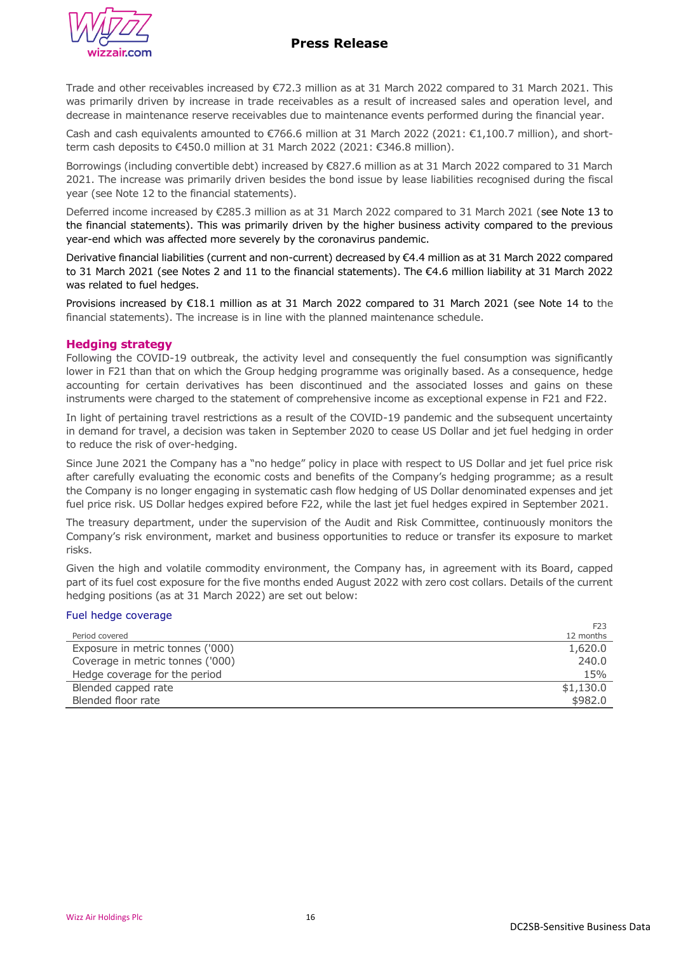

Trade and other receivables increased by €72.3 million as at 31 March 2022 compared to 31 March 2021. This was primarily driven by increase in trade receivables as a result of increased sales and operation level, and decrease in maintenance reserve receivables due to maintenance events performed during the financial year.

Cash and cash equivalents amounted to  $\epsilon$ 766.6 million at 31 March 2022 (2021:  $\epsilon$ 1,100.7 million), and shortterm cash deposits to €450.0 million at 31 March 2022 (2021: €346.8 million).

Borrowings (including convertible debt) increased by €827.6 million as at 31 March 2022 compared to 31 March 2021. The increase was primarily driven besides the bond issue by lease liabilities recognised during the fiscal year (see Note 12 to the financial statements).

Deferred income increased by €285.3 million as at 31 March 2022 compared to 31 March 2021 (see Note 13 to the financial statements). This was primarily driven by the higher business activity compared to the previous year-end which was affected more severely by the coronavirus pandemic.

Derivative financial liabilities (current and non-current) decreased by €4.4 million as at 31 March 2022 compared to 31 March 2021 (see Notes 2 and 11 to the financial statements). The €4.6 million liability at 31 March 2022 was related to fuel hedges.

Provisions increased by €18.1 million as at 31 March 2022 compared to 31 March 2021 (see Note 14 to the financial statements). The increase is in line with the planned maintenance schedule.

## **Hedging strategy**

Following the COVID-19 outbreak, the activity level and consequently the fuel consumption was significantly lower in F21 than that on which the Group hedging programme was originally based. As a consequence, hedge accounting for certain derivatives has been discontinued and the associated losses and gains on these instruments were charged to the statement of comprehensive income as exceptional expense in F21 and F22.

In light of pertaining travel restrictions as a result of the COVID-19 pandemic and the subsequent uncertainty in demand for travel, a decision was taken in September 2020 to cease US Dollar and jet fuel hedging in order to reduce the risk of over-hedging.

Since June 2021 the Company has a "no hedge" policy in place with respect to US Dollar and jet fuel price risk after carefully evaluating the economic costs and benefits of the Company's hedging programme; as a result the Company is no longer engaging in systematic cash flow hedging of US Dollar denominated expenses and jet fuel price risk. US Dollar hedges expired before F22, while the last jet fuel hedges expired in September 2021.

The treasury department, under the supervision of the Audit and Risk Committee, continuously monitors the Company's risk environment, market and business opportunities to reduce or transfer its exposure to market risks.

Given the high and volatile commodity environment, the Company has, in agreement with its Board, capped part of its fuel cost exposure for the five months ended August 2022 with zero cost collars. Details of the current hedging positions (as at 31 March 2022) are set out below:

### Fuel hedge coverage

|                                  | F <sub>23</sub> |
|----------------------------------|-----------------|
| Period covered                   | 12 months       |
| Exposure in metric tonnes ('000) | 1,620.0         |
| Coverage in metric tonnes ('000) | 240.0           |
| Hedge coverage for the period    | 15%             |
| Blended capped rate              | \$1,130.0       |
| Blended floor rate               | \$982.0         |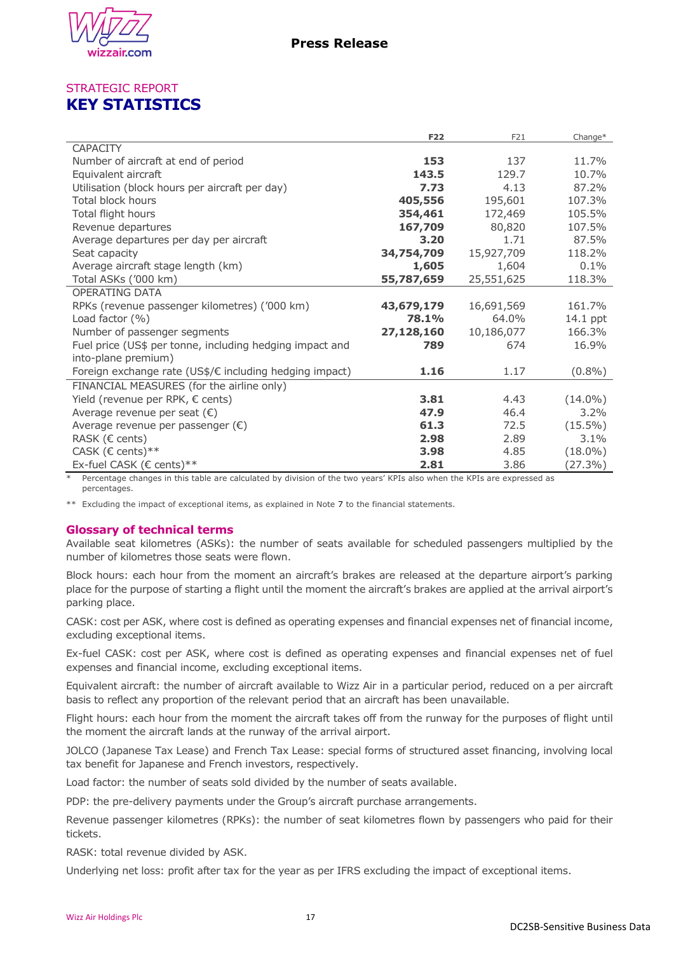

# STRATEGIC REPORT **KEY STATISTICS**

|                                                          | <b>F22</b> | F21        | Change*    |
|----------------------------------------------------------|------------|------------|------------|
| <b>CAPACITY</b>                                          |            |            |            |
| Number of aircraft at end of period                      | 153        | 137        | 11.7%      |
| Equivalent aircraft                                      | 143.5      | 129.7      | 10.7%      |
| Utilisation (block hours per aircraft per day)           | 7.73       | 4.13       | 87.2%      |
| Total block hours                                        | 405,556    | 195,601    | 107.3%     |
| Total flight hours                                       | 354,461    | 172,469    | 105.5%     |
| Revenue departures                                       | 167,709    | 80,820     | 107.5%     |
| Average departures per day per aircraft                  | 3.20       | 1.71       | 87.5%      |
| Seat capacity                                            | 34,754,709 | 15,927,709 | 118.2%     |
| Average aircraft stage length (km)                       | 1,605      | 1,604      | 0.1%       |
| Total ASKs ('000 km)                                     | 55,787,659 | 25,551,625 | 118.3%     |
| OPERATING DATA                                           |            |            |            |
| RPKs (revenue passenger kilometres) ('000 km)            | 43,679,179 | 16,691,569 | 161.7%     |
| Load factor (%)                                          | 78.1%      | 64.0%      | 14.1 ppt   |
| Number of passenger segments                             | 27,128,160 | 10,186,077 | 166.3%     |
| Fuel price (US\$ per tonne, including hedging impact and | 789        | 674        | 16.9%      |
| into-plane premium)                                      |            |            |            |
| Foreign exchange rate (US\$/€ including hedging impact)  | 1.16       | 1.17       | $(0.8\%)$  |
| FINANCIAL MEASURES (for the airline only)                |            |            |            |
| Yield (revenue per RPK, € cents)                         | 3.81       | 4.43       | $(14.0\%)$ |
| Average revenue per seat $(\epsilon)$                    | 47.9       | 46.4       | 3.2%       |
| Average revenue per passenger $(\epsilon)$               | 61.3       | 72.5       | $(15.5\%)$ |
| RASK ( $\epsilon$ cents)                                 | 2.98       | 2.89       | 3.1%       |
| CASK ( $\epsilon$ cents)**                               | 3.98       | 4.85       | $(18.0\%)$ |
| Ex-fuel CASK (€ cents)**                                 | 2.81       | 3.86       | $(27.3\%)$ |

Percentage changes in this table are calculated by division of the two years' KPIs also when the KPIs are expressed as percentages.

\*\* Excluding the impact of exceptional items, as explained in Note 7 to the financial statements.

# **Glossary of technical terms**

Available seat kilometres (ASKs): the number of seats available for scheduled passengers multiplied by the number of kilometres those seats were flown.

Block hours: each hour from the moment an aircraft's brakes are released at the departure airport's parking place for the purpose of starting a flight until the moment the aircraft's brakes are applied at the arrival airport's parking place.

CASK: cost per ASK, where cost is defined as operating expenses and financial expenses net of financial income, excluding exceptional items.

Ex-fuel CASK: cost per ASK, where cost is defined as operating expenses and financial expenses net of fuel expenses and financial income, excluding exceptional items.

Equivalent aircraft: the number of aircraft available to Wizz Air in a particular period, reduced on a per aircraft basis to reflect any proportion of the relevant period that an aircraft has been unavailable.

Flight hours: each hour from the moment the aircraft takes off from the runway for the purposes of flight until the moment the aircraft lands at the runway of the arrival airport.

JOLCO (Japanese Tax Lease) and French Tax Lease: special forms of structured asset financing, involving local tax benefit for Japanese and French investors, respectively.

Load factor: the number of seats sold divided by the number of seats available.

PDP: the pre-delivery payments under the Group's aircraft purchase arrangements.

Revenue passenger kilometres (RPKs): the number of seat kilometres flown by passengers who paid for their tickets.

RASK: total revenue divided by ASK.

Underlying net loss: profit after tax for the year as per IFRS excluding the impact of exceptional items.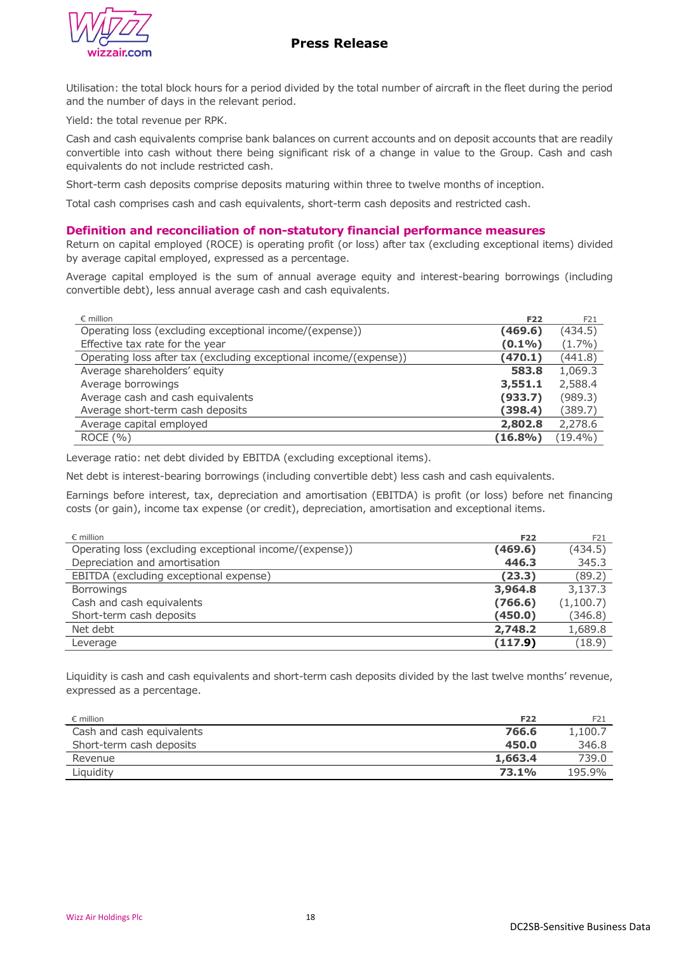# **Press Release**



Utilisation: the total block hours for a period divided by the total number of aircraft in the fleet during the period and the number of days in the relevant period.

Yield: the total revenue per RPK.

Cash and cash equivalents comprise bank balances on current accounts and on deposit accounts that are readily convertible into cash without there being significant risk of a change in value to the Group. Cash and cash equivalents do not include restricted cash.

Short-term cash deposits comprise deposits maturing within three to twelve months of inception.

Total cash comprises cash and cash equivalents, short-term cash deposits and restricted cash.

## **Definition and reconciliation of non-statutory financial performance measures**

Return on capital employed (ROCE) is operating profit (or loss) after tax (excluding exceptional items) divided by average capital employed, expressed as a percentage.

Average capital employed is the sum of annual average equity and interest-bearing borrowings (including convertible debt), less annual average cash and cash equivalents.

| $\epsilon$ million                                                | <b>F22</b> | F21       |
|-------------------------------------------------------------------|------------|-----------|
| Operating loss (excluding exceptional income/(expense))           | (469.6)    | (434.5)   |
| Effective tax rate for the year                                   | $(0.1\%)$  | $(1.7\%)$ |
| Operating loss after tax (excluding exceptional income/(expense)) | (470.1)    | (441.8)   |
| Average shareholders' equity                                      | 583.8      | 1,069.3   |
| Average borrowings                                                | 3,551.1    | 2,588.4   |
| Average cash and cash equivalents                                 | (933.7)    | (989.3)   |
| Average short-term cash deposits                                  | (398.4)    | (389.7)   |
| Average capital employed                                          | 2,802.8    | 2,278.6   |
| ROCE(%)                                                           | $(16.8\%)$ | (19.4%)   |

Leverage ratio: net debt divided by EBITDA (excluding exceptional items).

Net debt is interest-bearing borrowings (including convertible debt) less cash and cash equivalents.

Earnings before interest, tax, depreciation and amortisation (EBITDA) is profit (or loss) before net financing costs (or gain), income tax expense (or credit), depreciation, amortisation and exceptional items.

| $\epsilon$ million                                      | <b>F22</b> | F21       |
|---------------------------------------------------------|------------|-----------|
| Operating loss (excluding exceptional income/(expense)) | (469.6)    | (434.5)   |
| Depreciation and amortisation                           | 446.3      | 345.3     |
| EBITDA (excluding exceptional expense)                  | (23.3)     | (89.2)    |
| <b>Borrowings</b>                                       | 3,964.8    | 3,137.3   |
| Cash and cash equivalents                               | (766.6)    | (1,100.7) |
| Short-term cash deposits                                | (450.0)    | (346.8)   |
| Net debt                                                | 2,748.2    | 1,689.8   |
| Leverage                                                | (117.9)    | (18.9)    |

Liquidity is cash and cash equivalents and short-term cash deposits divided by the last twelve months' revenue, expressed as a percentage.

| $\epsilon$ million        | F22     | F21     |
|---------------------------|---------|---------|
| Cash and cash equivalents | 766.6   | 1,100.7 |
| Short-term cash deposits  | 450.0   | 346.8   |
| Revenue                   | 1,663.4 | 739.0   |
| Liquidity                 | 73.1%   | 195.9%  |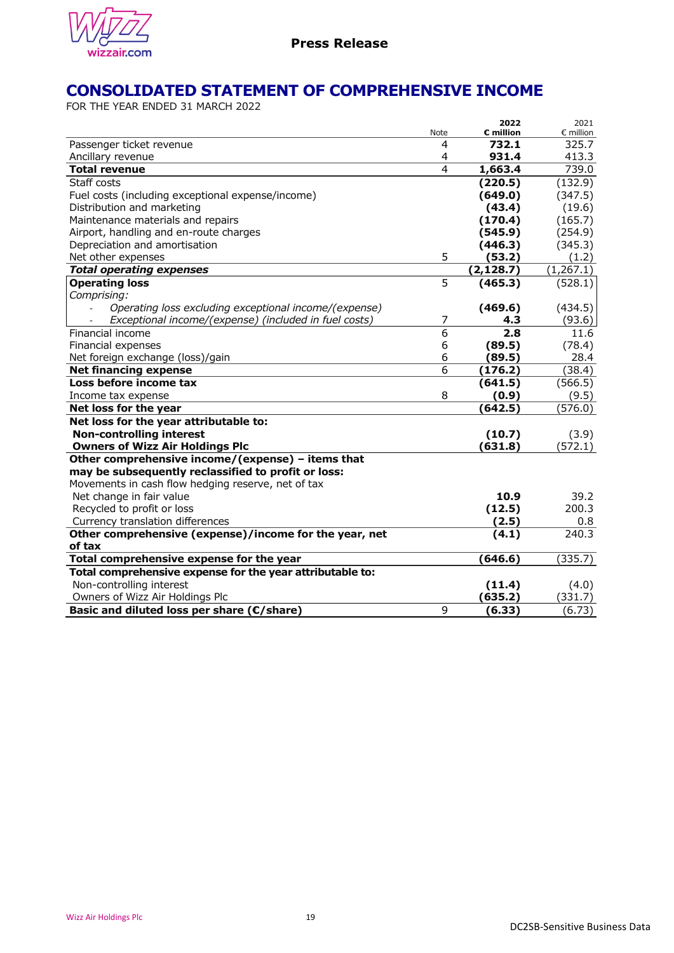

# **CONSOLIDATED STATEMENT OF COMPREHENSIVE INCOME**

FOR THE YEAR ENDED 31 MARCH 2022

|                                                           |                | 2022       | 2021               |
|-----------------------------------------------------------|----------------|------------|--------------------|
|                                                           | <b>Note</b>    | € million  | $\epsilon$ million |
| Passenger ticket revenue                                  | 4              | 732.1      | 325.7              |
| Ancillary revenue                                         | 4              | 931.4      | 413.3              |
| <b>Total revenue</b>                                      | 4              | 1,663.4    | 739.0              |
| Staff costs                                               |                | (220.5)    | (132.9)            |
| Fuel costs (including exceptional expense/income)         |                | (649.0)    | (347.5)            |
| Distribution and marketing                                |                | (43.4)     | (19.6)             |
| Maintenance materials and repairs                         |                | (170.4)    | (165.7)            |
| Airport, handling and en-route charges                    |                | (545.9)    | (254.9)            |
| Depreciation and amortisation                             |                | (446.3)    | (345.3)            |
| Net other expenses                                        | 5              | (53.2)     | (1.2)              |
| <b>Total operating expenses</b>                           |                | (2, 128.7) | (1,267.1)          |
| <b>Operating loss</b>                                     | $\overline{5}$ | (465.3)    | (528.1)            |
| Comprising:                                               |                |            |                    |
| Operating loss excluding exceptional income/(expense)     |                | (469.6)    | (434.5)            |
| Exceptional income/(expense) (included in fuel costs)     | 7              | 4.3        | (93.6)             |
| Financial income                                          | $\overline{6}$ | 2.8        | 11.6               |
| Financial expenses                                        | 6              | (89.5)     | (78.4)             |
| Net foreign exchange (loss)/gain                          | 6              | (89.5)     | 28.4               |
| <b>Net financing expense</b>                              | 6              | (176.2)    | (38.4)             |
| Loss before income tax                                    |                | (641.5)    | (566.5)            |
| Income tax expense                                        | 8              | (0.9)      | (9.5)              |
| Net loss for the year                                     |                | (642.5)    | (576.0)            |
| Net loss for the year attributable to:                    |                |            |                    |
| <b>Non-controlling interest</b>                           |                | (10.7)     | (3.9)              |
| <b>Owners of Wizz Air Holdings Plc</b>                    |                | (631.8)    | (572.1)            |
| Other comprehensive income/(expense) - items that         |                |            |                    |
| may be subsequently reclassified to profit or loss:       |                |            |                    |
| Movements in cash flow hedging reserve, net of tax        |                |            |                    |
| Net change in fair value                                  |                | 10.9       | 39.2               |
| Recycled to profit or loss                                |                | (12.5)     | 200.3              |
| Currency translation differences                          |                | (2.5)      | 0.8                |
| Other comprehensive (expense)/income for the year, net    |                | (4.1)      | 240.3              |
| of tax                                                    |                |            |                    |
| Total comprehensive expense for the year                  |                | (646.6)    | (335.7)            |
| Total comprehensive expense for the year attributable to: |                |            |                    |
| Non-controlling interest                                  |                | (11.4)     | (4.0)              |
| Owners of Wizz Air Holdings Plc                           |                | (635.2)    | (331.7)            |
| Basic and diluted loss per share (€/share)                | 9              | (6.33)     | (6.73)             |
|                                                           |                |            |                    |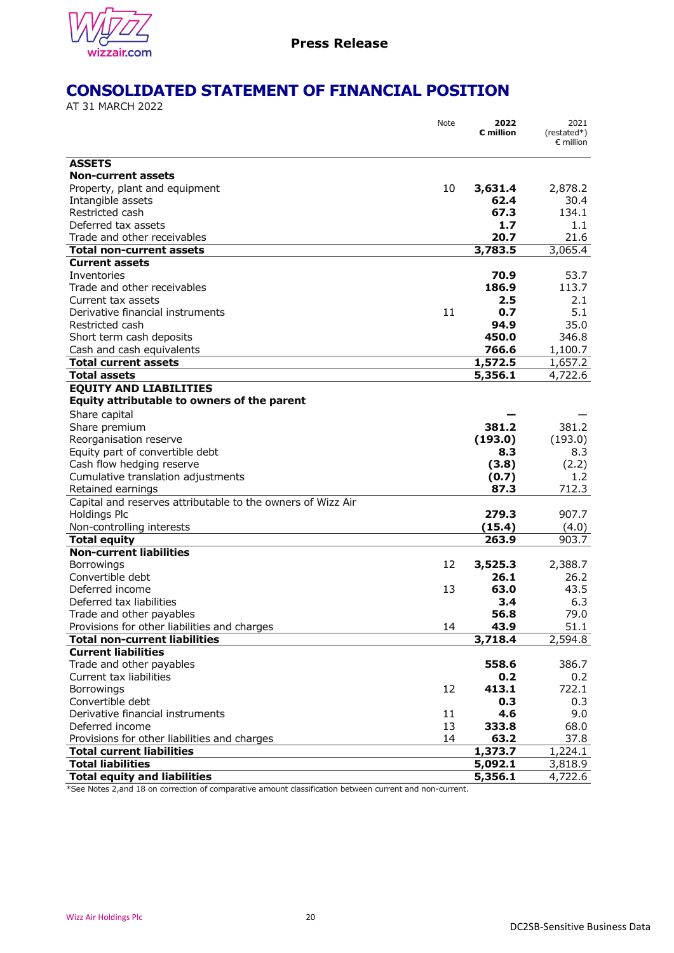

# **CONSOLIDATED STATEMENT OF FINANCIAL POSITION**

AT 31 MARCH 2022

|                                                                                  | Note     | 2022<br>$\varepsilon$ million | 2021<br>(restated*)<br>$\epsilon$ million |
|----------------------------------------------------------------------------------|----------|-------------------------------|-------------------------------------------|
|                                                                                  |          |                               |                                           |
| <b>ASSETS</b>                                                                    |          |                               |                                           |
| <b>Non-current assets</b>                                                        |          |                               |                                           |
| Property, plant and equipment                                                    | 10       | 3,631.4<br>62.4               | 2,878.2                                   |
| Intangible assets                                                                |          |                               | 30.4                                      |
| Restricted cash<br>Deferred tax assets                                           |          | 67.3<br>1.7                   | 134.1                                     |
| Trade and other receivables                                                      |          | 20.7                          | $1.1\,$<br>21.6                           |
| Total non-current assets                                                         |          | 3,783.5                       | 3,065.4                                   |
| <b>Current assets</b>                                                            |          |                               |                                           |
| Inventories                                                                      |          | 70.9                          | 53.7                                      |
| Trade and other receivables                                                      |          | 186.9                         | 113.7                                     |
| Current tax assets                                                               |          | 2.5                           | 2.1                                       |
| Derivative financial instruments                                                 | 11       | 0.7                           | 5.1                                       |
| Restricted cash                                                                  |          | 94.9                          | 35.0                                      |
| Short term cash deposits                                                         |          | 450.0                         | 346.8                                     |
| Cash and cash equivalents                                                        |          | 766.6                         | 1,100.7                                   |
| <b>Total current assets</b>                                                      |          | 1,572.5                       | 1,657.2                                   |
| <b>Total assets</b>                                                              |          | 5,356.1                       | 4,722.6                                   |
| <b>EQUITY AND LIABILITIES</b>                                                    |          |                               |                                           |
| Equity attributable to owners of the parent                                      |          |                               |                                           |
| Share capital                                                                    |          |                               |                                           |
| Share premium                                                                    |          | 381.2                         | 381.2                                     |
| Reorganisation reserve                                                           |          | (193.0)                       | (193.0)                                   |
| Equity part of convertible debt                                                  |          | 8.3                           | 8.3                                       |
| Cash flow hedging reserve                                                        |          | (3.8)                         | (2.2)                                     |
| Cumulative translation adjustments                                               |          | (0.7)                         | 1.2                                       |
| Retained earnings                                                                |          | 87.3                          | 712.3                                     |
| Capital and reserves attributable to the owners of Wizz Air                      |          |                               |                                           |
| <b>Holdings Plc</b>                                                              |          | 279.3                         | 907.7                                     |
| Non-controlling interests                                                        |          | (15.4)                        | (4.0)                                     |
| <b>Total equity</b>                                                              |          | 263.9                         | 903.7                                     |
| <b>Non-current liabilities</b>                                                   |          |                               |                                           |
| <b>Borrowings</b>                                                                | 12       | 3,525.3                       | 2,388.7                                   |
| Convertible debt                                                                 |          | 26.1                          | 26.2                                      |
| Deferred income                                                                  | 13       | 63.0                          | 43.5                                      |
| Deferred tax liabilities                                                         |          | 3.4                           | 6.3                                       |
| Trade and other payables                                                         |          | 56.8                          | 79.0                                      |
| Provisions for other liabilities and charges                                     | 14       | 43.9                          | 51.1                                      |
| <b>Total non-current liabilities</b>                                             |          | 3,718.4                       | 2,594.8                                   |
| <b>Current liabilities</b>                                                       |          |                               |                                           |
| Trade and other payables                                                         |          | 558.6                         | 386.7                                     |
| Current tax liabilities                                                          |          | 0.2                           | 0.2                                       |
| Borrowings                                                                       | 12       | 413.1                         | 722.1                                     |
| Convertible debt                                                                 |          | 0.3                           | 0.3                                       |
| Derivative financial instruments<br>Deferred income                              | 11       | 4.6                           | 9.0                                       |
|                                                                                  | 13<br>14 | 333.8<br>63.2                 | 68.0<br>37.8                              |
| Provisions for other liabilities and charges<br><b>Total current liabilities</b> |          | 1,373.7                       |                                           |
| <b>Total liabilities</b>                                                         |          | 5,092.1                       | 1,224.1<br>3,818.9                        |
| <b>Total equity and liabilities</b>                                              |          | 5,356.1                       | 4,722.6                                   |
|                                                                                  |          |                               |                                           |

\*See Notes 2,and 18 on correction of comparative amount classification between current and non-current.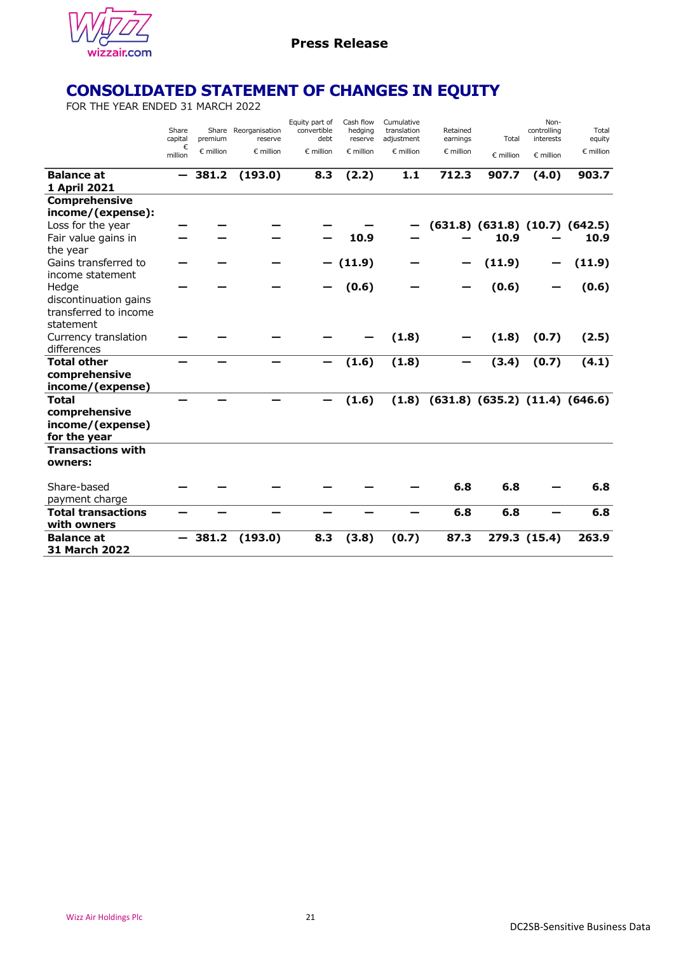

# **CONSOLIDATED STATEMENT OF CHANGES IN EQUITY**

FOR THE YEAR ENDED 31 MARCH 2022

|                                   | Share<br>capital<br>€<br>million | premium<br>$\epsilon$ million | Share Reorganisation<br>reserve<br>$\epsilon$ million | Equity part of<br>convertible<br>debt<br>$\epsilon$ million | Cash flow<br>hedging<br>reserve<br>$\epsilon$ million | Cumulative<br>translation<br>adjustment<br>$\epsilon$ million | Retained<br>earnings<br>$\epsilon$ million | Total<br>€ million                     | Non-<br>controlling<br>interests<br>$\epsilon$ million | Total<br>equity<br>$\epsilon$ million |
|-----------------------------------|----------------------------------|-------------------------------|-------------------------------------------------------|-------------------------------------------------------------|-------------------------------------------------------|---------------------------------------------------------------|--------------------------------------------|----------------------------------------|--------------------------------------------------------|---------------------------------------|
| <b>Balance at</b><br>1 April 2021 |                                  | 381.2                         | (193.0)                                               | 8.3                                                         | (2.2)                                                 | $1.1$                                                         | 712.3                                      | 907.7                                  | (4.0)                                                  | 903.7                                 |
| <b>Comprehensive</b>              |                                  |                               |                                                       |                                                             |                                                       |                                                               |                                            |                                        |                                                        |                                       |
| income/(expense):                 |                                  |                               |                                                       |                                                             |                                                       |                                                               |                                            |                                        |                                                        |                                       |
| Loss for the year                 |                                  |                               |                                                       |                                                             |                                                       |                                                               |                                            | $(631.8)$ $(631.8)$ $(10.7)$ $(642.5)$ |                                                        |                                       |
| Fair value gains in               |                                  |                               |                                                       |                                                             | 10.9                                                  |                                                               |                                            | 10.9                                   |                                                        | 10.9                                  |
| the year                          |                                  |                               |                                                       |                                                             |                                                       |                                                               |                                            |                                        |                                                        |                                       |
| Gains transferred to              |                                  |                               |                                                       |                                                             | (11.9)                                                |                                                               |                                            | (11.9)                                 |                                                        | (11.9)                                |
| income statement                  |                                  |                               |                                                       |                                                             |                                                       |                                                               |                                            |                                        |                                                        |                                       |
| Hedge                             |                                  |                               |                                                       |                                                             | (0.6)                                                 |                                                               |                                            | (0.6)                                  |                                                        | (0.6)                                 |
| discontinuation gains             |                                  |                               |                                                       |                                                             |                                                       |                                                               |                                            |                                        |                                                        |                                       |
| transferred to income             |                                  |                               |                                                       |                                                             |                                                       |                                                               |                                            |                                        |                                                        |                                       |
| statement                         |                                  |                               |                                                       |                                                             |                                                       |                                                               |                                            |                                        |                                                        |                                       |
| Currency translation              |                                  |                               |                                                       |                                                             |                                                       | (1.8)                                                         |                                            | (1.8)                                  | (0.7)                                                  | (2.5)                                 |
| differences                       |                                  |                               |                                                       |                                                             |                                                       |                                                               |                                            |                                        |                                                        |                                       |
| <b>Total other</b>                |                                  |                               |                                                       |                                                             | (1.6)                                                 | (1.8)                                                         |                                            | (3.4)                                  | (0.7)                                                  | (4.1)                                 |
| comprehensive                     |                                  |                               |                                                       |                                                             |                                                       |                                                               |                                            |                                        |                                                        |                                       |
| income/(expense)                  |                                  |                               |                                                       |                                                             |                                                       |                                                               |                                            |                                        |                                                        |                                       |
| <b>Total</b>                      |                                  |                               |                                                       |                                                             | (1.6)                                                 | (1.8)                                                         |                                            | $(631.8)$ $(635.2)$ $(11.4)$ $(646.6)$ |                                                        |                                       |
| comprehensive                     |                                  |                               |                                                       |                                                             |                                                       |                                                               |                                            |                                        |                                                        |                                       |
| income/(expense)                  |                                  |                               |                                                       |                                                             |                                                       |                                                               |                                            |                                        |                                                        |                                       |
| for the year                      |                                  |                               |                                                       |                                                             |                                                       |                                                               |                                            |                                        |                                                        |                                       |
| <b>Transactions with</b>          |                                  |                               |                                                       |                                                             |                                                       |                                                               |                                            |                                        |                                                        |                                       |
| owners:                           |                                  |                               |                                                       |                                                             |                                                       |                                                               |                                            |                                        |                                                        |                                       |
| Share-based                       |                                  |                               |                                                       |                                                             |                                                       |                                                               | 6.8                                        | 6.8                                    |                                                        | 6.8                                   |
| payment charge                    |                                  |                               |                                                       |                                                             |                                                       |                                                               |                                            |                                        |                                                        |                                       |
| <b>Total transactions</b>         |                                  |                               |                                                       |                                                             |                                                       |                                                               | 6.8                                        | 6.8                                    |                                                        | 6.8                                   |
| with owners                       |                                  |                               |                                                       |                                                             |                                                       |                                                               |                                            |                                        |                                                        |                                       |
| <b>Balance at</b>                 |                                  | 381.2                         | (193.0)                                               | 8.3                                                         | (3.8)                                                 | (0.7)                                                         | 87.3                                       |                                        | 279.3 (15.4)                                           | 263.9                                 |
| <b>31 March 2022</b>              |                                  |                               |                                                       |                                                             |                                                       |                                                               |                                            |                                        |                                                        |                                       |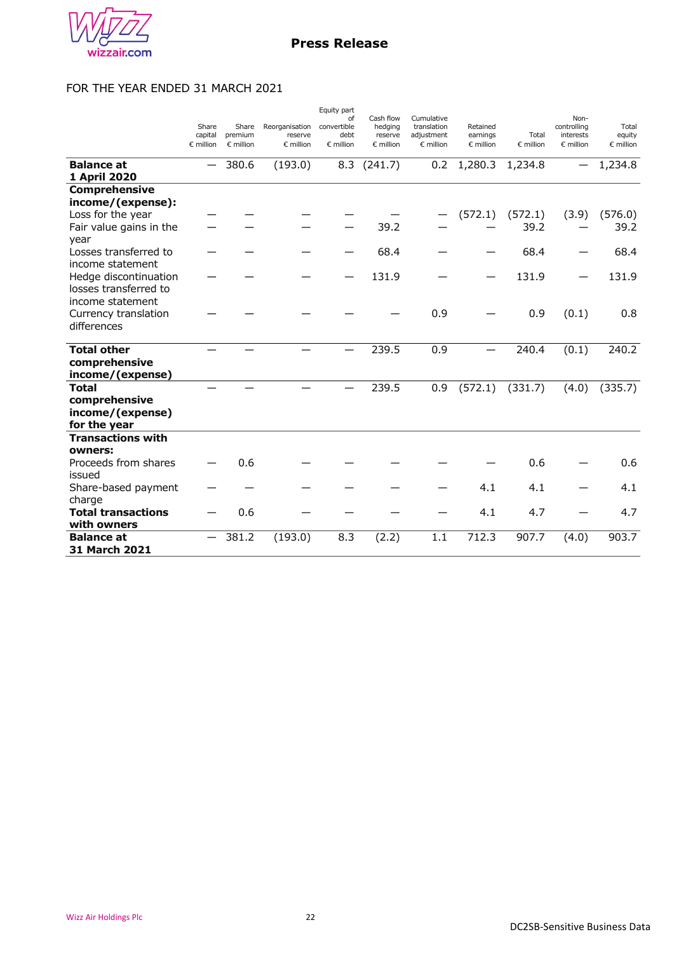

# FOR THE YEAR ENDED 31 MARCH 2021

|                                                                    | Share<br>capital<br>$\epsilon$ million | Share<br>premium<br>$\epsilon$ million | Reorganisation<br>reserve<br>$\epsilon$ million | Equity part<br>of<br>convertible<br>debt<br>$\epsilon$ million | Cash flow<br>hedging<br>reserve<br>$\epsilon$ million | Cumulative<br>translation<br>adjustment<br>$\epsilon$ million | Retained<br>earnings<br>$\epsilon$ million | Total<br>$\epsilon$ million | Non-<br>controlling<br>interests<br>$\epsilon$ million | Total<br>equity<br>$\epsilon$ million |
|--------------------------------------------------------------------|----------------------------------------|----------------------------------------|-------------------------------------------------|----------------------------------------------------------------|-------------------------------------------------------|---------------------------------------------------------------|--------------------------------------------|-----------------------------|--------------------------------------------------------|---------------------------------------|
| <b>Balance at</b><br>1 April 2020                                  |                                        | 380.6                                  | (193.0)                                         | 8.3                                                            | (241.7)                                               | 0.2                                                           | 1,280.3                                    | 1,234.8                     |                                                        | 1,234.8                               |
| <b>Comprehensive</b>                                               |                                        |                                        |                                                 |                                                                |                                                       |                                                               |                                            |                             |                                                        |                                       |
| income/(expense):                                                  |                                        |                                        |                                                 |                                                                |                                                       |                                                               |                                            |                             |                                                        |                                       |
| Loss for the year                                                  |                                        |                                        |                                                 |                                                                |                                                       |                                                               | (572.1)                                    | (572.1)                     | (3.9)                                                  | (576.0)                               |
| Fair value gains in the<br>year                                    |                                        |                                        |                                                 |                                                                | 39.2                                                  |                                                               |                                            | 39.2                        |                                                        | 39.2                                  |
| Losses transferred to<br>income statement                          |                                        |                                        |                                                 |                                                                | 68.4                                                  |                                                               |                                            | 68.4                        |                                                        | 68.4                                  |
| Hedge discontinuation<br>losses transferred to<br>income statement |                                        |                                        |                                                 |                                                                | 131.9                                                 |                                                               |                                            | 131.9                       |                                                        | 131.9                                 |
| Currency translation<br>differences                                |                                        |                                        |                                                 |                                                                |                                                       | 0.9                                                           |                                            | 0.9                         | (0.1)                                                  | 0.8                                   |
| <b>Total other</b>                                                 |                                        |                                        |                                                 |                                                                | 239.5                                                 | 0.9                                                           |                                            | 240.4                       | (0.1)                                                  | 240.2                                 |
| comprehensive<br>income/(expense)                                  |                                        |                                        |                                                 |                                                                |                                                       |                                                               |                                            |                             |                                                        |                                       |
| <b>Total</b><br>comprehensive<br>income/(expense)<br>for the year  |                                        |                                        |                                                 |                                                                | 239.5                                                 | 0.9                                                           | (572.1)                                    | (331.7)                     | (4.0)                                                  | (335.7)                               |
| <b>Transactions with</b>                                           |                                        |                                        |                                                 |                                                                |                                                       |                                                               |                                            |                             |                                                        |                                       |
| owners:<br>Proceeds from shares<br>issued                          |                                        | 0.6                                    |                                                 |                                                                |                                                       |                                                               |                                            | 0.6                         |                                                        | 0.6                                   |
| Share-based payment<br>charge                                      |                                        |                                        |                                                 |                                                                |                                                       |                                                               | 4.1                                        | 4.1                         |                                                        | 4.1                                   |
| <b>Total transactions</b><br>with owners                           |                                        | 0.6                                    |                                                 |                                                                |                                                       |                                                               | 4.1                                        | 4.7                         |                                                        | 4.7                                   |
| <b>Balance at</b><br>31 March 2021                                 |                                        | 381.2                                  | (193.0)                                         | 8.3                                                            | (2.2)                                                 | 1.1                                                           | 712.3                                      | 907.7                       | (4.0)                                                  | 903.7                                 |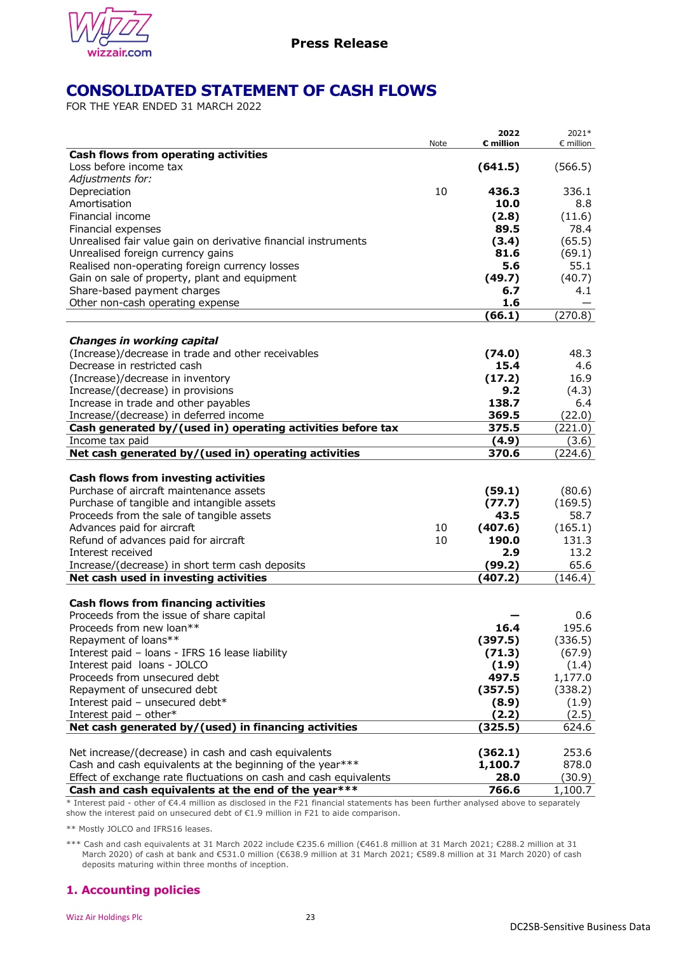

# **CONSOLIDATED STATEMENT OF CASH FLOWS**

FOR THE YEAR ENDED 31 MARCH 2022

|                                                                   | Note | 2022<br>€ million | 2021*<br>$\epsilon$ million |
|-------------------------------------------------------------------|------|-------------------|-----------------------------|
| Cash flows from operating activities                              |      |                   |                             |
| Loss before income tax                                            |      | (641.5)           | (566.5)                     |
| Adjustments for:                                                  |      |                   |                             |
| Depreciation                                                      | 10   | 436.3             | 336.1                       |
| Amortisation                                                      |      | 10.0              | 8.8                         |
| Financial income                                                  |      | (2.8)             | (11.6)                      |
| Financial expenses                                                |      | 89.5              | 78.4                        |
| Unrealised fair value gain on derivative financial instruments    |      | (3.4)             | (65.5)                      |
| Unrealised foreign currency gains                                 |      | 81.6              | (69.1)                      |
| Realised non-operating foreign currency losses                    |      | 5.6               | 55.1                        |
| Gain on sale of property, plant and equipment                     |      | (49.7)            | (40.7)                      |
| Share-based payment charges                                       |      | 6.7               | 4.1                         |
| Other non-cash operating expense                                  |      | 1.6               |                             |
|                                                                   |      | (66.1)            | (270.8)                     |
| <b>Changes in working capital</b>                                 |      |                   |                             |
| (Increase)/decrease in trade and other receivables                |      | (74.0)            | 48.3                        |
| Decrease in restricted cash                                       |      | 15.4              | 4.6                         |
| (Increase)/decrease in inventory                                  |      | (17.2)            | 16.9                        |
| Increase/(decrease) in provisions                                 |      | 9.2               | (4.3)                       |
| Increase in trade and other payables                              |      | 138.7             | 6.4                         |
| Increase/(decrease) in deferred income                            |      | 369.5             | (22.0)                      |
| Cash generated by/(used in) operating activities before tax       |      | 375.5             | (221.0)                     |
| Income tax paid                                                   |      | (4.9)             | (3.6)                       |
| Net cash generated by/(used in) operating activities              |      | 370.6             | (224.6)                     |
|                                                                   |      |                   |                             |
| Cash flows from investing activities                              |      |                   |                             |
| Purchase of aircraft maintenance assets                           |      | (59.1)            | (80.6)                      |
| Purchase of tangible and intangible assets                        |      | (77.7)            | (169.5)                     |
| Proceeds from the sale of tangible assets                         |      | 43.5              | 58.7                        |
| Advances paid for aircraft                                        | 10   | (407.6)           | (165.1)                     |
| Refund of advances paid for aircraft<br>Interest received         | 10   | 190.0<br>2.9      | 131.3<br>13.2               |
| Increase/(decrease) in short term cash deposits                   |      | (99.2)            | 65.6                        |
| Net cash used in investing activities                             |      | (407.2)           | (146.4)                     |
|                                                                   |      |                   |                             |
| <b>Cash flows from financing activities</b>                       |      |                   |                             |
| Proceeds from the issue of share capital                          |      |                   | 0.6                         |
| Proceeds from new loan**                                          |      | 16.4              | 195.6                       |
| Repayment of loans**                                              |      | (397.5)           | (336.5)                     |
| Interest paid - loans - IFRS 16 lease liability                   |      | (71.3)            | (67.9)                      |
| Interest paid loans - JOLCO                                       |      | (1.9)             | (1.4)                       |
| Proceeds from unsecured debt                                      |      | 497.5             | 1,177.0                     |
| Repayment of unsecured debt                                       |      | (357.5)           | (338.2)                     |
| Interest paid - unsecured debt*                                   |      | (8.9)             | (1.9)                       |
| Interest paid - other*                                            |      | (2.2)             | (2.5)                       |
| Net cash generated by/(used) in financing activities              |      | (325.5)           | 624.6                       |
|                                                                   |      |                   |                             |
| Net increase/(decrease) in cash and cash equivalents              |      | (362.1)           | 253.6                       |
| Cash and cash equivalents at the beginning of the year***         |      | 1,100.7           | 878.0                       |
| Effect of exchange rate fluctuations on cash and cash equivalents |      | 28.0              | (30.9)                      |
| Cash and cash equivalents at the end of the year***               |      | 766.6             | 1,100.7                     |

\* Interest paid - other of €4.4 million as disclosed in the F21 financial statements has been further analysed above to separately show the interest paid on unsecured debt of €1.9 million in F21 to aide comparison.

\*\* Mostly JOLCO and IFRS16 leases.

\*\*\* Cash and cash equivalents at 31 March 2022 include €235.6 million (€461.8 million at 31 March 2021; €288.2 million at 31 March 2020) of cash at bank and €531.0 million (€638.9 million at 31 March 2021; €589.8 million at 31 March 2020) of cash deposits maturing within three months of inception.

# **1. Accounting policies**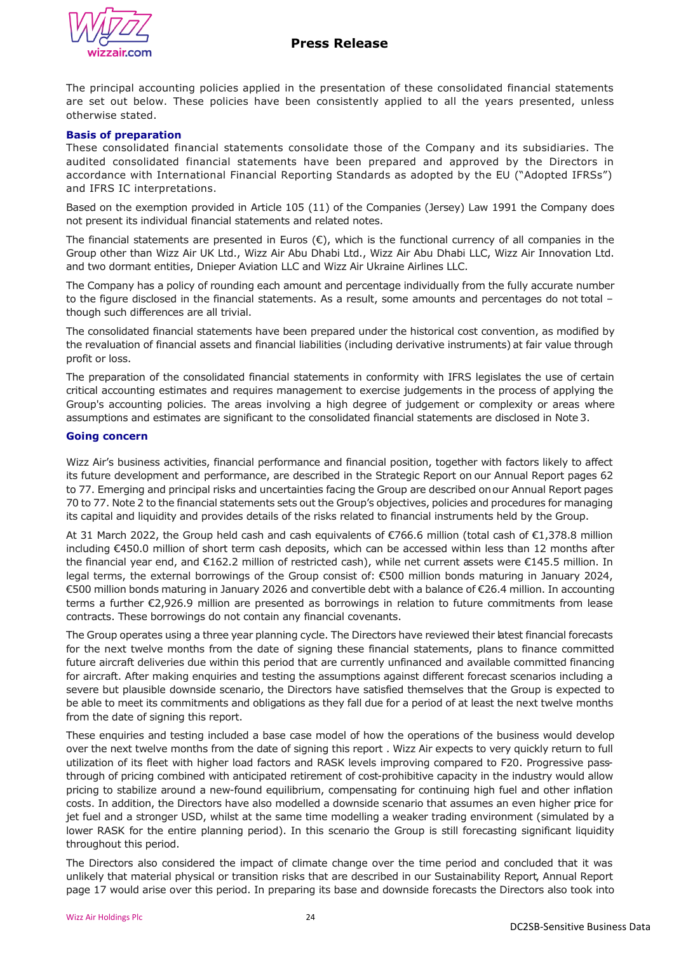# **Press Release**



The principal accounting policies applied in the presentation of these consolidated financial statements are set out below. These policies have been consistently applied to all the years presented, unless otherwise stated.

## **Basis of preparation**

These consolidated financial statements consolidate those of the Company and its subsidiaries. The audited consolidated financial statements have been prepared and approved by the Directors in accordance with International Financial Reporting Standards as adopted by the EU ("Adopted IFRSs") and IFRS IC interpretations.

Based on the exemption provided in Article 105 (11) of the Companies (Jersey) Law 1991 the Company does not present its individual financial statements and related notes.

The financial statements are presented in Euros  $(\epsilon)$ , which is the functional currency of all companies in the Group other than Wizz Air UK Ltd., Wizz Air Abu Dhabi Ltd., Wizz Air Abu Dhabi LLC, Wizz Air Innovation Ltd. and two dormant entities, Dnieper Aviation LLC and Wizz Air Ukraine Airlines LLC.

The Company has a policy of rounding each amount and percentage individually from the fully accurate number to the figure disclosed in the financial statements. As a result, some amounts and percentages do not total – though such differences are all trivial.

The consolidated financial statements have been prepared under the historical cost convention, as modified by the revaluation of financial assets and financial liabilities (including derivative instruments) at fair value through profit or loss.

The preparation of the consolidated financial statements in conformity with IFRS legislates the use of certain critical accounting estimates and requires management to exercise judgements in the process of applying the Group's accounting policies. The areas involving a high degree of judgement or complexity or areas where assumptions and estimates are significant to the consolidated financial statements are disclosed in Note 3.

#### **Going concern**

Wizz Air's business activities, financial performance and financial position, together with factors likely to affect its future development and performance, are described in the Strategic Report on our Annual Report pages 62 to 77. Emerging and principal risks and uncertainties facing the Group are described on our Annual Report pages 70 to 77. Note 2 to the financial statements sets out the Group's objectives, policies and procedures for managing its capital and liquidity and provides details of the risks related to financial instruments held by the Group.

At 31 March 2022, the Group held cash and cash equivalents of €766.6 million (total cash of €1,378.8 million including €450.0 million of short term cash deposits, which can be accessed within less than 12 months after the financial year end, and €162.2 million of restricted cash), while net current assets were €145.5 million. In legal terms, the external borrowings of the Group consist of: €500 million bonds maturing in January 2024, €500 million bonds maturing in January 2026 and convertible debt with a balance of €26.4 million. In accounting terms a further €2,926.9 million are presented as borrowings in relation to future commitments from lease contracts. These borrowings do not contain any financial covenants.

The Group operates using a three year planning cycle. The Directors have reviewed their latest financial forecasts for the next twelve months from the date of signing these financial statements, plans to finance committed future aircraft deliveries due within this period that are currently unfinanced and available committed financing for aircraft. After making enquiries and testing the assumptions against different forecast scenarios including a severe but plausible downside scenario, the Directors have satisfied themselves that the Group is expected to be able to meet its commitments and obligations as they fall due for a period of at least the next twelve months from the date of signing this report.

These enquiries and testing included a base case model of how the operations of the business would develop over the next twelve months from the date of signing this report . Wizz Air expects to very quickly return to full utilization of its fleet with higher load factors and RASK levels improving compared to F20. Progressive passthrough of pricing combined with anticipated retirement of cost-prohibitive capacity in the industry would allow pricing to stabilize around a new-found equilibrium, compensating for continuing high fuel and other inflation costs. In addition, the Directors have also modelled a downside scenario that assumes an even higher price for jet fuel and a stronger USD, whilst at the same time modelling a weaker trading environment (simulated by a lower RASK for the entire planning period). In this scenario the Group is still forecasting significant liquidity throughout this period.

The Directors also considered the impact of climate change over the time period and concluded that it was unlikely that material physical or transition risks that are described in our Sustainability Report, Annual Report page 17 would arise over this period. In preparing its base and downside forecasts the Directors also took into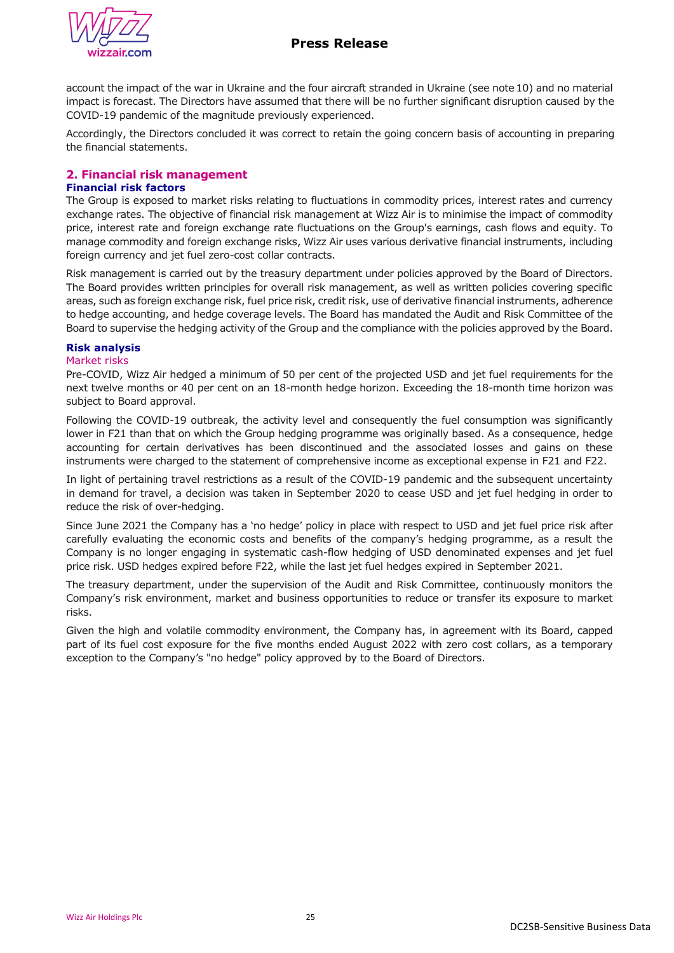



account the impact of the war in Ukraine and the four aircraft stranded in Ukraine (see note 10) and no material impact is forecast. The Directors have assumed that there will be no further significant disruption caused by the COVID-19 pandemic of the magnitude previously experienced.

Accordingly, the Directors concluded it was correct to retain the going concern basis of accounting in preparing the financial statements.

## **2. Financial risk management**

## **Financial risk factors**

The Group is exposed to market risks relating to fluctuations in commodity prices, interest rates and currency exchange rates. The objective of financial risk management at Wizz Air is to minimise the impact of commodity price, interest rate and foreign exchange rate fluctuations on the Group's earnings, cash flows and equity. To manage commodity and foreign exchange risks, Wizz Air uses various derivative financial instruments, including foreign currency and jet fuel zero-cost collar contracts.

Risk management is carried out by the treasury department under policies approved by the Board of Directors. The Board provides written principles for overall risk management, as well as written policies covering specific areas, such as foreign exchange risk, fuel price risk, credit risk, use of derivative financial instruments, adherence to hedge accounting, and hedge coverage levels. The Board has mandated the Audit and Risk Committee of the Board to supervise the hedging activity of the Group and the compliance with the policies approved by the Board.

## **Risk analysis**

### Market risks

Pre-COVID, Wizz Air hedged a minimum of 50 per cent of the projected USD and jet fuel requirements for the next twelve months or 40 per cent on an 18-month hedge horizon. Exceeding the 18-month time horizon was subject to Board approval.

Following the COVID-19 outbreak, the activity level and consequently the fuel consumption was significantly lower in F21 than that on which the Group hedging programme was originally based. As a consequence, hedge accounting for certain derivatives has been discontinued and the associated losses and gains on these instruments were charged to the statement of comprehensive income as exceptional expense in F21 and F22.

In light of pertaining travel restrictions as a result of the COVID-19 pandemic and the subsequent uncertainty in demand for travel, a decision was taken in September 2020 to cease USD and jet fuel hedging in order to reduce the risk of over-hedging.

Since June 2021 the Company has a 'no hedge' policy in place with respect to USD and jet fuel price risk after carefully evaluating the economic costs and benefits of the company's hedging programme, as a result the Company is no longer engaging in systematic cash-flow hedging of USD denominated expenses and jet fuel price risk. USD hedges expired before F22, while the last jet fuel hedges expired in September 2021.

The treasury department, under the supervision of the Audit and Risk Committee, continuously monitors the Company's risk environment, market and business opportunities to reduce or transfer its exposure to market risks.

Given the high and volatile commodity environment, the Company has, in agreement with its Board, capped part of its fuel cost exposure for the five months ended August 2022 with zero cost collars, as a temporary exception to the Company's "no hedge" policy approved by to the Board of Directors.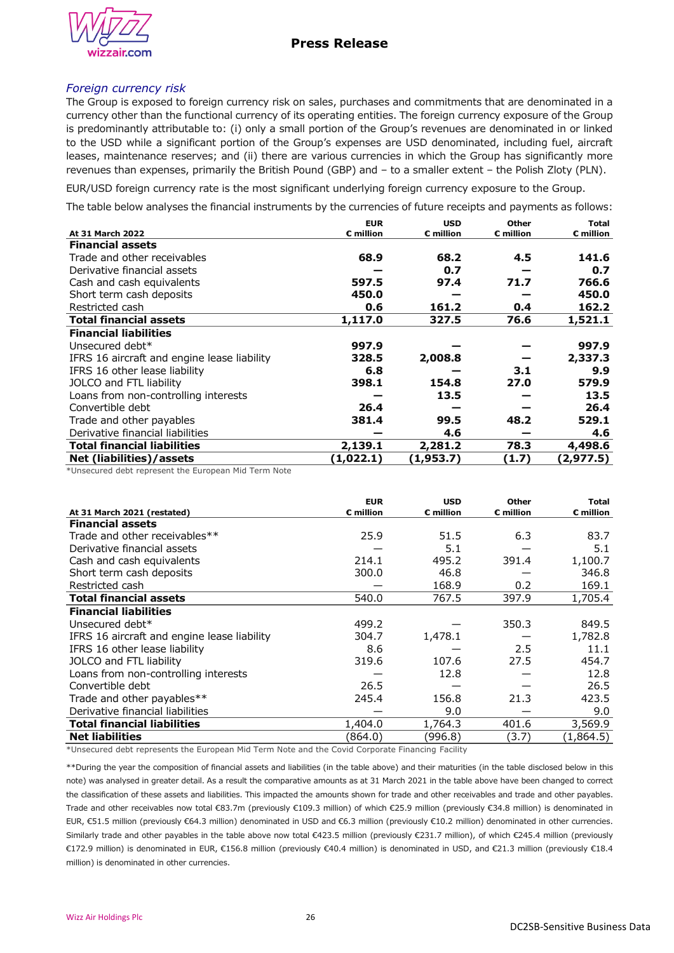

## *Foreign currency risk*

The Group is exposed to foreign currency risk on sales, purchases and commitments that are denominated in a currency other than the functional currency of its operating entities. The foreign currency exposure of the Group is predominantly attributable to: (i) only a small portion of the Group's revenues are denominated in or linked to the USD while a significant portion of the Group's expenses are USD denominated, including fuel, aircraft leases, maintenance reserves; and (ii) there are various currencies in which the Group has significantly more revenues than expenses, primarily the British Pound (GBP) and – to a smaller extent – the Polish Zloty (PLN).

EUR/USD foreign currency rate is the most significant underlying foreign currency exposure to the Group.

The table below analyses the financial instruments by the currencies of future receipts and payments as follows:

|                                             | <b>EUR</b>            | <b>USD</b>            | <b>Other</b>          | <b>Total</b>          |
|---------------------------------------------|-----------------------|-----------------------|-----------------------|-----------------------|
| At 31 March 2022                            | $\varepsilon$ million | $\varepsilon$ million | $\varepsilon$ million | $\varepsilon$ million |
| <b>Financial assets</b>                     |                       |                       |                       |                       |
| Trade and other receivables                 | 68.9                  | 68.2                  | 4.5                   | 141.6                 |
| Derivative financial assets                 |                       | 0.7                   |                       | 0.7                   |
| Cash and cash equivalents                   | 597.5                 | 97.4                  | 71.7                  | 766.6                 |
| Short term cash deposits                    | 450.0                 |                       |                       | 450.0                 |
| Restricted cash                             | 0.6                   | 161.2                 | 0.4                   | 162.2                 |
| <b>Total financial assets</b>               | 1,117.0               | 327.5                 | 76.6                  | 1,521.1               |
| <b>Financial liabilities</b>                |                       |                       |                       |                       |
| Unsecured debt*                             | 997.9                 |                       |                       | 997.9                 |
| IFRS 16 aircraft and engine lease liability | 328.5                 | 2,008.8               |                       | 2,337.3               |
| IFRS 16 other lease liability               | 6.8                   |                       | 3.1                   | 9.9                   |
| JOLCO and FTL liability                     | 398.1                 | 154.8                 | 27.0                  | 579.9                 |
| Loans from non-controlling interests        |                       | 13.5                  |                       | 13.5                  |
| Convertible debt                            | 26.4                  |                       |                       | 26.4                  |
| Trade and other payables                    | 381.4                 | 99.5                  | 48.2                  | 529.1                 |
| Derivative financial liabilities            |                       | 4.6                   |                       | 4.6                   |
| <b>Total financial liabilities</b>          | 2,139.1               | 2,281.2               | 78.3                  | 4,498.6               |
| Net (liabilities)/assets                    | (1,022.1)             | (1, 953.7)            | (1.7)                 | (2, 977.5)            |
| $\cdots$                                    |                       |                       |                       |                       |

\*Unsecured debt represent the European Mid Term Note

|                                             | <b>EUR</b> | <b>USD</b>            | <b>Other</b> | Total              |
|---------------------------------------------|------------|-----------------------|--------------|--------------------|
| At 31 March 2021 (restated)                 | € million  | $\varepsilon$ million | € million    | $\epsilon$ million |
| <b>Financial assets</b>                     |            |                       |              |                    |
| Trade and other receivables**               | 25.9       | 51.5                  | 6.3          | 83.7               |
| Derivative financial assets                 |            | 5.1                   |              | 5.1                |
| Cash and cash equivalents                   | 214.1      | 495.2                 | 391.4        | 1,100.7            |
| Short term cash deposits                    | 300.0      | 46.8                  |              | 346.8              |
| Restricted cash                             |            | 168.9                 | 0.2          | 169.1              |
| <b>Total financial assets</b>               | 540.0      | 767.5                 | 397.9        | 1,705.4            |
| <b>Financial liabilities</b>                |            |                       |              |                    |
| Unsecured debt*                             | 499.2      |                       | 350.3        | 849.5              |
| IFRS 16 aircraft and engine lease liability | 304.7      | 1,478.1               |              | 1,782.8            |
| IFRS 16 other lease liability               | 8.6        |                       | 2.5          | 11.1               |
| JOLCO and FTL liability                     | 319.6      | 107.6                 | 27.5         | 454.7              |
| Loans from non-controlling interests        |            | 12.8                  |              | 12.8               |
| Convertible debt                            | 26.5       |                       |              | 26.5               |
| Trade and other payables**                  | 245.4      | 156.8                 | 21.3         | 423.5              |
| Derivative financial liabilities            |            | 9.0                   |              | 9.0                |
| <b>Total financial liabilities</b>          | 1,404.0    | 1,764.3               | 401.6        | 3,569.9            |
| <b>Net liabilities</b>                      | (864.0)    | (996.8)               | (3.7)        | (1,864.5)          |

\*Unsecured debt represents the European Mid Term Note and the Covid Corporate Financing Facility

\*\*During the year the composition of financial assets and liabilities (in the table above) and their maturities (in the table disclosed below in this note) was analysed in greater detail. As a result the comparative amounts as at 31 March 2021 in the table above have been changed to correct the classification of these assets and liabilities. This impacted the amounts shown for trade and other receivables and trade and other payables. Trade and other receivables now total €83.7m (previously €109.3 million) of which €25.9 million (previously €34.8 million) is denominated in EUR, €51.5 million (previously €64.3 million) denominated in USD and €6.3 million (previously €10.2 million) denominated in other currencies. Similarly trade and other payables in the table above now total €423.5 million (previously €231.7 million), of which €245.4 million (previously €172.9 million) is denominated in EUR, €156.8 million (previously €40.4 million) is denominated in USD, and €21.3 million (previously €18.4 million) is denominated in other currencies.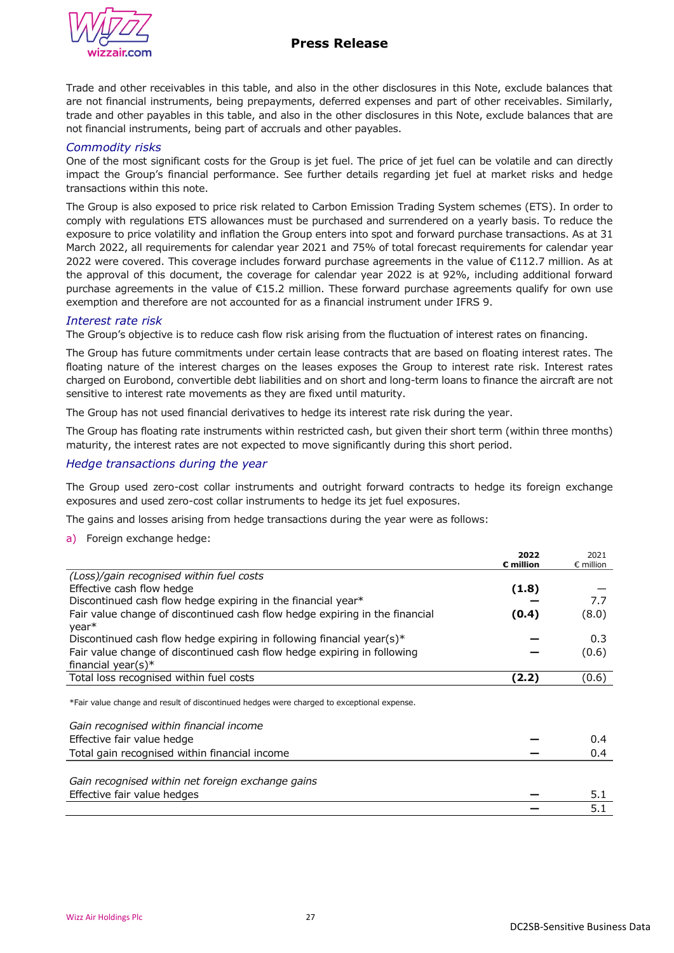

# **Press Release**

Trade and other receivables in this table, and also in the other disclosures in this Note, exclude balances that are not financial instruments, being prepayments, deferred expenses and part of other receivables. Similarly, trade and other payables in this table, and also in the other disclosures in this Note, exclude balances that are not financial instruments, being part of accruals and other payables.

## *Commodity risks*

One of the most significant costs for the Group is jet fuel. The price of jet fuel can be volatile and can directly impact the Group's financial performance. See further details regarding jet fuel at market risks and hedge transactions within this note.

The Group is also exposed to price risk related to Carbon Emission Trading System schemes (ETS). In order to comply with regulations ETS allowances must be purchased and surrendered on a yearly basis. To reduce the exposure to price volatility and inflation the Group enters into spot and forward purchase transactions. As at 31 March 2022, all requirements for calendar year 2021 and 75% of total forecast requirements for calendar year 2022 were covered. This coverage includes forward purchase agreements in the value of €112.7 million. As at the approval of this document, the coverage for calendar year 2022 is at 92%, including additional forward purchase agreements in the value of €15.2 million. These forward purchase agreements qualify for own use exemption and therefore are not accounted for as a financial instrument under IFRS 9.

## *Interest rate risk*

The Group's objective is to reduce cash flow risk arising from the fluctuation of interest rates on financing.

The Group has future commitments under certain lease contracts that are based on floating interest rates. The floating nature of the interest charges on the leases exposes the Group to interest rate risk. Interest rates charged on Eurobond, convertible debt liabilities and on short and long-term loans to finance the aircraft are not sensitive to interest rate movements as they are fixed until maturity.

The Group has not used financial derivatives to hedge its interest rate risk during the year.

The Group has floating rate instruments within restricted cash, but given their short term (within three months) maturity, the interest rates are not expected to move significantly during this short period.

## *Hedge transactions during the year*

The Group used zero-cost collar instruments and outright forward contracts to hedge its foreign exchange exposures and used zero-cost collar instruments to hedge its jet fuel exposures.

The gains and losses arising from hedge transactions during the year were as follows:

a) Foreign exchange hedge:

|                                                                                                  | 2022<br>$\varepsilon$ million | 2021<br>$\epsilon$ million |
|--------------------------------------------------------------------------------------------------|-------------------------------|----------------------------|
| (Loss)/gain recognised within fuel costs                                                         |                               |                            |
| Effective cash flow hedge                                                                        | (1.8)                         |                            |
| Discontinued cash flow hedge expiring in the financial year*                                     |                               | 7.7                        |
| Fair value change of discontinued cash flow hedge expiring in the financial<br>year <sup>*</sup> | (0.4)                         | (8.0)                      |
| Discontinued cash flow hedge expiring in following financial year(s)*                            |                               | 0.3                        |
| Fair value change of discontinued cash flow hedge expiring in following<br>financial year(s)*    |                               | (0.6)                      |
| Total loss recognised within fuel costs                                                          | (2.2)                         | (0.6)                      |
| *Fair value change and result of discontinued hedges were charged to exceptional expense.        |                               |                            |
| Gain recognised within financial income                                                          |                               |                            |
| Effective fair value hedge                                                                       |                               | 0.4                        |
| Total gain recognised within financial income                                                    |                               | 0.4                        |
| Gain recognised within net foreign exchange gains                                                |                               |                            |
| Effective fair value hedges                                                                      |                               | 5.1                        |
|                                                                                                  |                               | 5.1                        |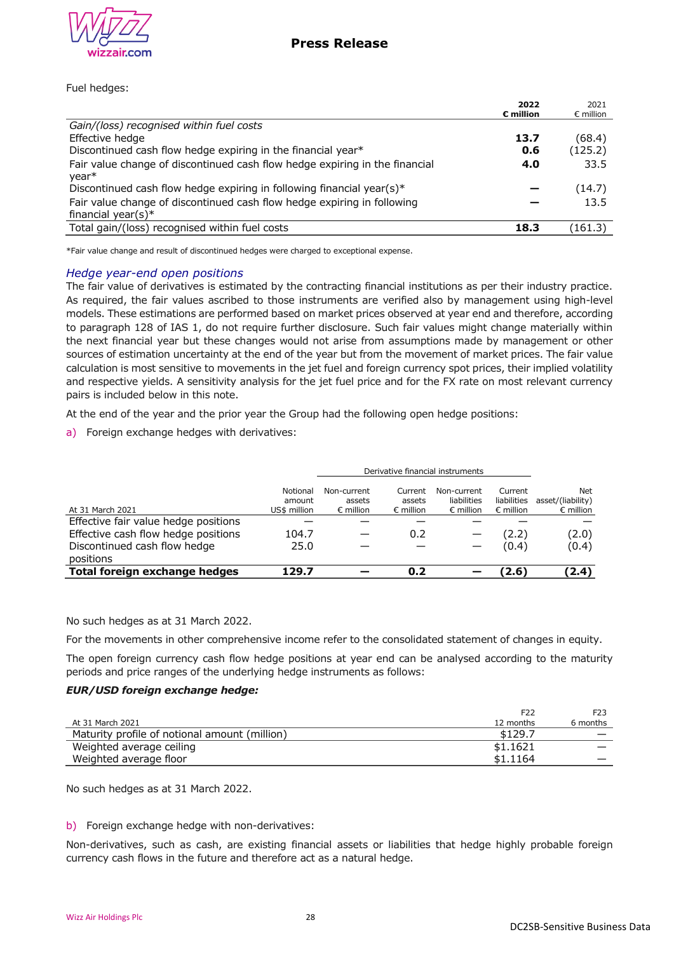

## Fuel hedges:

|                                                                                                  | 2022<br>$\varepsilon$ million | 2021<br>$\epsilon$ million |
|--------------------------------------------------------------------------------------------------|-------------------------------|----------------------------|
| Gain/(loss) recognised within fuel costs                                                         |                               |                            |
| Effective hedge                                                                                  | 13.7                          | (68.4)                     |
| Discontinued cash flow hedge expiring in the financial year*                                     | 0.6                           | (125.2)                    |
| Fair value change of discontinued cash flow hedge expiring in the financial<br>year <sup>*</sup> | 4.0                           | 33.5                       |
| Discontinued cash flow hedge expiring in following financial year(s)*                            |                               | (14.7)                     |
| Fair value change of discontinued cash flow hedge expiring in following                          |                               | 13.5                       |
| financial year(s)*                                                                               |                               |                            |
| Total gain/(loss) recognised within fuel costs                                                   | 18.3                          | (161.3)                    |

\*Fair value change and result of discontinued hedges were charged to exceptional expense.

### *Hedge year-end open positions*

The fair value of derivatives is estimated by the contracting financial institutions as per their industry practice. As required, the fair values ascribed to those instruments are verified also by management using high-level models. These estimations are performed based on market prices observed at year end and therefore, according to paragraph 128 of IAS 1, do not require further disclosure. Such fair values might change materially within the next financial year but these changes would not arise from assumptions made by management or other sources of estimation uncertainty at the end of the year but from the movement of market prices. The fair value calculation is most sensitive to movements in the jet fuel and foreign currency spot prices, their implied volatility and respective yields. A sensitivity analysis for the jet fuel price and for the FX rate on most relevant currency pairs is included below in this note.

At the end of the year and the prior year the Group had the following open hedge positions:

a) Foreign exchange hedges with derivatives:

|                                           | Derivative financial instruments   |                                             |                                         |                                                  |                                              |                                                |
|-------------------------------------------|------------------------------------|---------------------------------------------|-----------------------------------------|--------------------------------------------------|----------------------------------------------|------------------------------------------------|
| At 31 March 2021                          | Notional<br>amount<br>US\$ million | Non-current<br>assets<br>$\epsilon$ million | Current<br>assets<br>$\epsilon$ million | Non-current<br>liabilities<br>$\epsilon$ million | Current<br>liabilities<br>$\epsilon$ million | Net<br>asset/(liability)<br>$\epsilon$ million |
| Effective fair value hedge positions      |                                    |                                             |                                         |                                                  |                                              |                                                |
| Effective cash flow hedge positions       | 104.7                              |                                             | 0.2                                     |                                                  | (2.2)                                        | (2.0)                                          |
| Discontinued cash flow hedge<br>positions | 25.0                               |                                             |                                         |                                                  | (0.4)                                        | (0.4)                                          |
| Total foreign exchange hedges             | 129.7                              |                                             | 0.2                                     |                                                  | (2.6)                                        | (2.4)                                          |

No such hedges as at 31 March 2022.

For the movements in other comprehensive income refer to the consolidated statement of changes in equity.

The open foreign currency cash flow hedge positions at year end can be analysed according to the maturity periods and price ranges of the underlying hedge instruments as follows:

### *EUR/USD foreign exchange hedge:*

|                                               | F22       | F <sub>23</sub> |
|-----------------------------------------------|-----------|-----------------|
| At 31 March 2021                              | 12 months | 6 months        |
| Maturity profile of notional amount (million) | \$129.7   |                 |
| Weighted average ceiling                      | \$1,1621  |                 |
| Weighted average floor                        | \$1.1164  |                 |

No such hedges as at 31 March 2022.

## b) Foreign exchange hedge with non-derivatives:

Non-derivatives, such as cash, are existing financial assets or liabilities that hedge highly probable foreign currency cash flows in the future and therefore act as a natural hedge.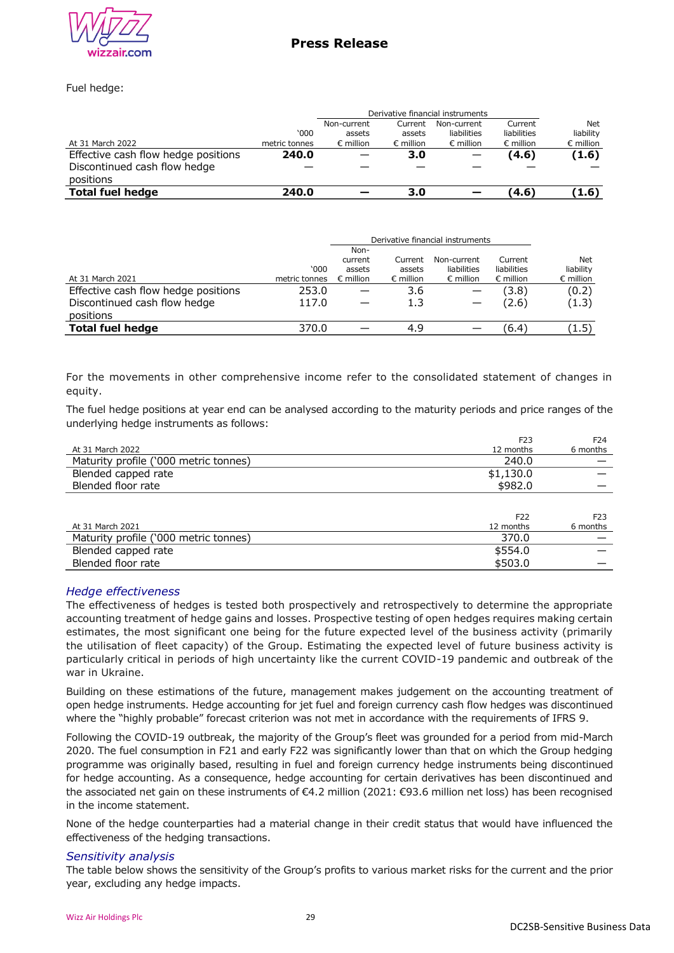

Fuel hedge:

|                                     | Derivative financial instruments |                    |                    |                    |                    |                    |
|-------------------------------------|----------------------------------|--------------------|--------------------|--------------------|--------------------|--------------------|
|                                     |                                  | Non-current        | Current            | Non-current        | Current            | <b>Net</b>         |
|                                     | 000'                             | assets             | assets             | liabilities        | liabilities        | liability          |
| At 31 March 2022                    | metric tonnes                    | $\epsilon$ million | $\epsilon$ million | $\epsilon$ million | $\epsilon$ million | $\epsilon$ million |
| Effective cash flow hedge positions | 240.0                            |                    | 3.0                |                    | (4.6)              | (1.6)              |
| Discontinued cash flow hedge        |                                  |                    |                    |                    |                    |                    |
| positions                           |                                  |                    |                    |                    |                    |                    |
| <b>Total fuel hedge</b>             | 240.0                            |                    | 3.0                |                    | (4.6)              | (1.6)              |

|                                     |               | Non-               |                    |                    |                    |                    |
|-------------------------------------|---------------|--------------------|--------------------|--------------------|--------------------|--------------------|
|                                     |               | current            | Current            | Non-current        | Current            | Net                |
|                                     | 000'          | assets             | assets             | liabilities        | liabilities        | liability          |
| At 31 March 2021                    | metric tonnes | $\epsilon$ million | $\epsilon$ million | $\epsilon$ million | $\epsilon$ million | $\epsilon$ million |
| Effective cash flow hedge positions | 253.0         |                    | 3.6                |                    | (3.8)              | (0.2)              |
| Discontinued cash flow hedge        | 117.0         |                    | 1.3                |                    | (2.6)              | (1.3)              |
| positions                           |               |                    |                    |                    |                    |                    |
| <b>Total fuel hedge</b>             | 370.0         |                    | 4.9                |                    | (6.4)              | (1.5)              |

For the movements in other comprehensive income refer to the consolidated statement of changes in equity.

The fuel hedge positions at year end can be analysed according to the maturity periods and price ranges of the underlying hedge instruments as follows:

|                                       | F <sub>23</sub> | F <sub>24</sub> |
|---------------------------------------|-----------------|-----------------|
| At 31 March 2022                      | 12 months       | 6 months        |
| Maturity profile ('000 metric tonnes) | 240.0           |                 |
| Blended capped rate                   | \$1,130.0       |                 |
| Blended floor rate                    | \$982.0         |                 |
|                                       |                 |                 |
|                                       | F <sub>22</sub> | F <sub>23</sub> |
| At 31 March 2021                      | 12 months       | 6 months        |
| Maturity profile ('000 metric tonnes) | 370.0           |                 |
| Blended capped rate                   | \$554.0         |                 |
| Blended floor rate                    | \$503.0         |                 |
|                                       |                 |                 |

### *Hedge effectiveness*

The effectiveness of hedges is tested both prospectively and retrospectively to determine the appropriate accounting treatment of hedge gains and losses. Prospective testing of open hedges requires making certain estimates, the most significant one being for the future expected level of the business activity (primarily the utilisation of fleet capacity) of the Group. Estimating the expected level of future business activity is particularly critical in periods of high uncertainty like the current COVID-19 pandemic and outbreak of the war in Ukraine.

Building on these estimations of the future, management makes judgement on the accounting treatment of open hedge instruments. Hedge accounting for jet fuel and foreign currency cash flow hedges was discontinued where the "highly probable" forecast criterion was not met in accordance with the requirements of IFRS 9.

Following the COVID-19 outbreak, the majority of the Group's fleet was grounded for a period from mid-March 2020. The fuel consumption in F21 and early F22 was significantly lower than that on which the Group hedging programme was originally based, resulting in fuel and foreign currency hedge instruments being discontinued for hedge accounting. As a consequence, hedge accounting for certain derivatives has been discontinued and the associated net gain on these instruments of €4.2 million (2021: €93.6 million net loss) has been recognised in the income statement.

None of the hedge counterparties had a material change in their credit status that would have influenced the effectiveness of the hedging transactions.

### *Sensitivity analysis*

The table below shows the sensitivity of the Group's profits to various market risks for the current and the prior year, excluding any hedge impacts.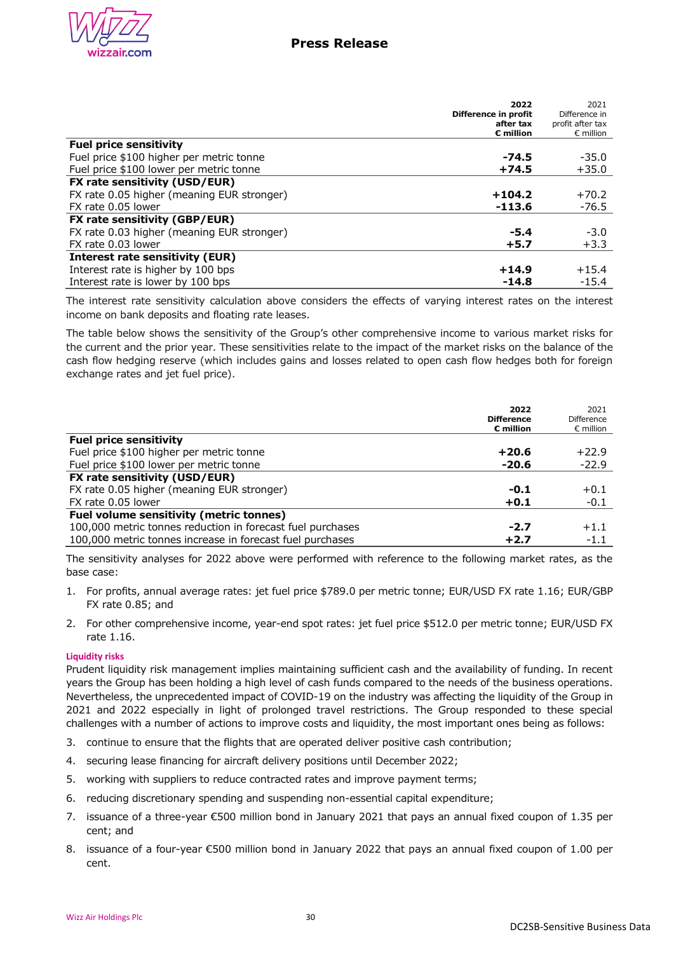

|                                            | 2022<br>Difference in profit<br>after tax | 2021<br>Difference in<br>profit after tax |
|--------------------------------------------|-------------------------------------------|-------------------------------------------|
|                                            | $\epsilon$ million                        | $\epsilon$ million                        |
| <b>Fuel price sensitivity</b>              |                                           |                                           |
| Fuel price \$100 higher per metric tonne   | $-74.5$                                   | $-35.0$                                   |
| Fuel price \$100 lower per metric tonne    | $+74.5$                                   | $+35.0$                                   |
| FX rate sensitivity (USD/EUR)              |                                           |                                           |
| FX rate 0.05 higher (meaning EUR stronger) | $+104.2$                                  | $+70.2$                                   |
| FX rate 0.05 lower                         | $-113.6$                                  | $-76.5$                                   |
| FX rate sensitivity (GBP/EUR)              |                                           |                                           |
| FX rate 0.03 higher (meaning EUR stronger) | $-5.4$                                    | $-3.0$                                    |
| FX rate 0.03 lower                         | $+5.7$                                    | $+3.3$                                    |
| <b>Interest rate sensitivity (EUR)</b>     |                                           |                                           |
| Interest rate is higher by 100 bps         | $+14.9$                                   | $+15.4$                                   |
| Interest rate is lower by 100 bps          | $-14.8$                                   | $-15.4$                                   |

The interest rate sensitivity calculation above considers the effects of varying interest rates on the interest income on bank deposits and floating rate leases.

The table below shows the sensitivity of the Group's other comprehensive income to various market risks for the current and the prior year. These sensitivities relate to the impact of the market risks on the balance of the cash flow hedging reserve (which includes gains and losses related to open cash flow hedges both for foreign exchange rates and jet fuel price).

|                                                            | 2022<br><b>Difference</b><br>$\varepsilon$ million | 2021<br>Difference<br>$\epsilon$ million |
|------------------------------------------------------------|----------------------------------------------------|------------------------------------------|
| <b>Fuel price sensitivity</b>                              |                                                    |                                          |
| Fuel price \$100 higher per metric tonne                   | $+20.6$                                            | $+22.9$                                  |
| Fuel price \$100 lower per metric tonne                    | $-20.6$                                            | $-22.9$                                  |
| FX rate sensitivity (USD/EUR)                              |                                                    |                                          |
| FX rate 0.05 higher (meaning EUR stronger)                 | $-0.1$                                             | $+0.1$                                   |
| FX rate 0.05 lower                                         | $+0.1$                                             | $-0.1$                                   |
| <b>Fuel volume sensitivity (metric tonnes)</b>             |                                                    |                                          |
| 100,000 metric tonnes reduction in forecast fuel purchases | $-2.7$                                             | $+1.1$                                   |
| 100,000 metric tonnes increase in forecast fuel purchases  | $+2.7$                                             | $-1.1$                                   |

The sensitivity analyses for 2022 above were performed with reference to the following market rates, as the base case:

- 1. For profits, annual average rates: jet fuel price \$789.0 per metric tonne; EUR/USD FX rate 1.16; EUR/GBP FX rate 0.85; and
- 2. For other comprehensive income, year-end spot rates: jet fuel price \$512.0 per metric tonne; EUR/USD FX rate 1.16.

### **Liquidity risks**

Prudent liquidity risk management implies maintaining sufficient cash and the availability of funding. In recent years the Group has been holding a high level of cash funds compared to the needs of the business operations. Nevertheless, the unprecedented impact of COVID-19 on the industry was affecting the liquidity of the Group in 2021 and 2022 especially in light of prolonged travel restrictions. The Group responded to these special challenges with a number of actions to improve costs and liquidity, the most important ones being as follows:

- 3. continue to ensure that the flights that are operated deliver positive cash contribution;
- 4. securing lease financing for aircraft delivery positions until December 2022;
- 5. working with suppliers to reduce contracted rates and improve payment terms;
- 6. reducing discretionary spending and suspending non-essential capital expenditure;
- 7. issuance of a three-year €500 million bond in January 2021 that pays an annual fixed coupon of 1.35 per cent; and
- 8. issuance of a four-year €500 million bond in January 2022 that pays an annual fixed coupon of 1.00 per cent.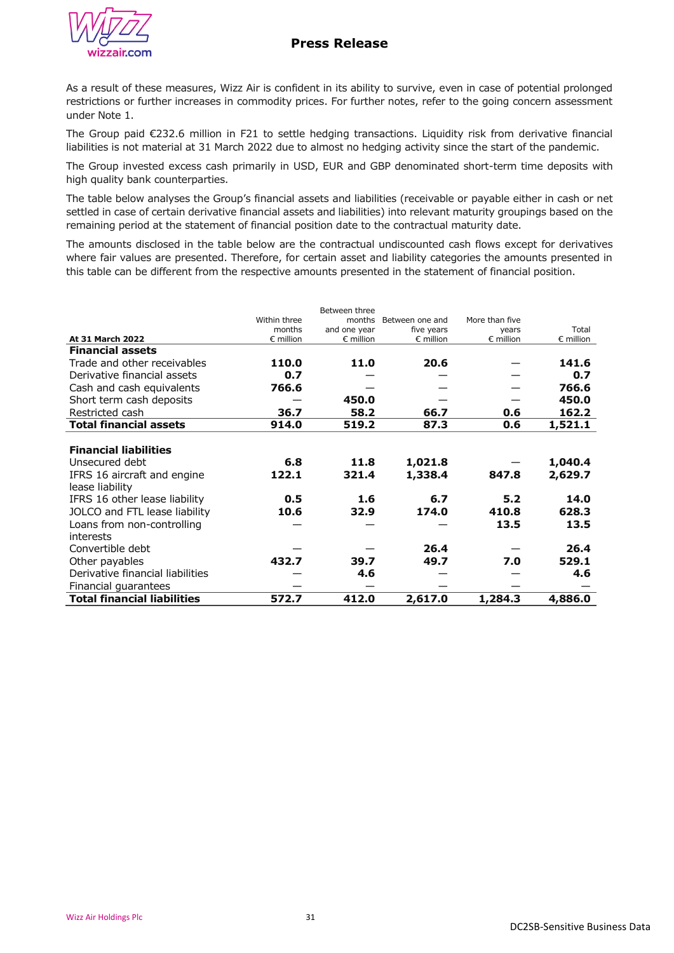# **Press Release**



As a result of these measures, Wizz Air is confident in its ability to survive, even in case of potential prolonged restrictions or further increases in commodity prices. For further notes, refer to the going concern assessment under Note 1.

The Group paid €232.6 million in F21 to settle hedging transactions. Liquidity risk from derivative financial liabilities is not material at 31 March 2022 due to almost no hedging activity since the start of the pandemic.

The Group invested excess cash primarily in USD, EUR and GBP denominated short-term time deposits with high quality bank counterparties.

The table below analyses the Group's financial assets and liabilities (receivable or payable either in cash or net settled in case of certain derivative financial assets and liabilities) into relevant maturity groupings based on the remaining period at the statement of financial position date to the contractual maturity date.

The amounts disclosed in the table below are the contractual undiscounted cash flows except for derivatives where fair values are presented. Therefore, for certain asset and liability categories the amounts presented in this table can be different from the respective amounts presented in the statement of financial position.

|                                    |                    | Between three      |                    |                    |                    |
|------------------------------------|--------------------|--------------------|--------------------|--------------------|--------------------|
|                                    | Within three       | months             | Between one and    | More than five     |                    |
|                                    | months             | and one year       | five years         | years              | Total              |
| At 31 March 2022                   | $\epsilon$ million | $\epsilon$ million | $\epsilon$ million | $\epsilon$ million | $\epsilon$ million |
| <b>Financial assets</b>            |                    |                    |                    |                    |                    |
| Trade and other receivables        | 110.0              | 11.0               | 20.6               |                    | 141.6              |
| Derivative financial assets        | 0.7                |                    |                    |                    | 0.7                |
| Cash and cash equivalents          | 766.6              |                    |                    |                    | 766.6              |
| Short term cash deposits           |                    | 450.0              |                    |                    | 450.0              |
| Restricted cash                    | 36.7               | 58.2               | 66.7               | 0.6                | 162.2              |
| <b>Total financial assets</b>      | 914.0              | 519.2              | 87.3               | 0.6                | 1,521.1            |
|                                    |                    |                    |                    |                    |                    |
| <b>Financial liabilities</b>       |                    |                    |                    |                    |                    |
| Unsecured debt                     | 6.8                | 11.8               | 1,021.8            |                    | 1,040.4            |
| IFRS 16 aircraft and engine        | 122.1              | 321.4              | 1,338.4            | 847.8              | 2,629.7            |
| lease liability                    |                    |                    |                    |                    |                    |
| IFRS 16 other lease liability      | 0.5                | 1.6                | 6.7                | 5.2                | 14.0               |
| JOLCO and FTL lease liability      | 10.6               | 32.9               | 174.0              | 410.8              | 628.3              |
| Loans from non-controlling         |                    |                    |                    | 13.5               | 13.5               |
| interests                          |                    |                    |                    |                    |                    |
| Convertible debt                   |                    |                    | 26.4               |                    | 26.4               |
| Other payables                     | 432.7              | 39.7               | 49.7               | 7.0                | 529.1              |
| Derivative financial liabilities   |                    | 4.6                |                    |                    | 4.6                |
| Financial guarantees               |                    |                    |                    |                    |                    |
| <b>Total financial liabilities</b> | 572.7              | 412.0              | 2,617.0            | 1,284.3            | 4,886.0            |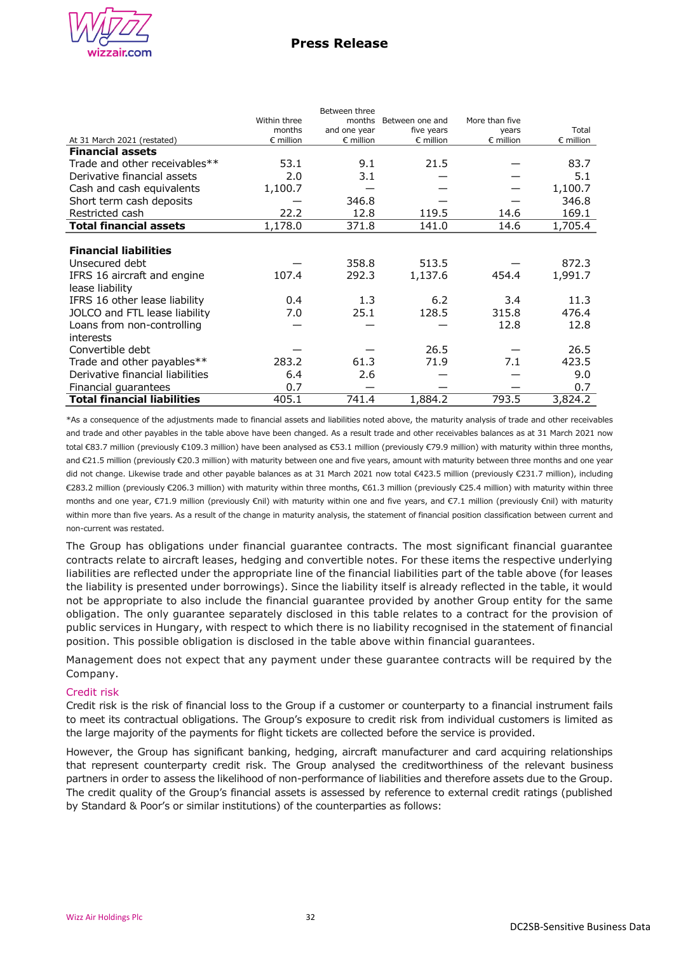

Between three

|                                    | Within three       | months             | Between one and    | More than five     |                    |
|------------------------------------|--------------------|--------------------|--------------------|--------------------|--------------------|
|                                    | months             | and one year       | five years         | years              | Total              |
| At 31 March 2021 (restated)        | $\epsilon$ million | $\epsilon$ million | $\epsilon$ million | $\epsilon$ million | $\epsilon$ million |
| <b>Financial assets</b>            |                    |                    |                    |                    |                    |
| Trade and other receivables**      | 53.1               | 9.1                | 21.5               |                    | 83.7               |
| Derivative financial assets        | 2.0                | 3.1                |                    |                    | 5.1                |
| Cash and cash equivalents          | 1,100.7            |                    |                    |                    | 1,100.7            |
| Short term cash deposits           |                    | 346.8              |                    |                    | 346.8              |
| Restricted cash                    | 22.2               | 12.8               | 119.5              | 14.6               | 169.1              |
| <b>Total financial assets</b>      | 1,178.0            | 371.8              | 141.0              | 14.6               | 1,705.4            |
|                                    |                    |                    |                    |                    |                    |
| <b>Financial liabilities</b>       |                    |                    |                    |                    |                    |
| Unsecured debt                     |                    | 358.8              | 513.5              |                    | 872.3              |
| IFRS 16 aircraft and engine        | 107.4              | 292.3              | 1,137.6            | 454.4              | 1,991.7            |
| lease liability                    |                    |                    |                    |                    |                    |
| IFRS 16 other lease liability      | 0.4                | 1.3                | 6.2                | 3.4                | 11.3               |
| JOLCO and FTL lease liability      | 7.0                | 25.1               | 128.5              | 315.8              | 476.4              |
| Loans from non-controlling         |                    |                    |                    | 12.8               | 12.8               |
| interests                          |                    |                    |                    |                    |                    |
| Convertible debt                   |                    |                    | 26.5               |                    | 26.5               |
| Trade and other payables**         | 283.2              | 61.3               | 71.9               | 7.1                | 423.5              |
| Derivative financial liabilities   | 6.4                | 2.6                |                    |                    | 9.0                |
| Financial guarantees               | 0.7                |                    |                    |                    | 0.7                |
| <b>Total financial liabilities</b> | 405.1              | 741.4              | 1,884.2            | 793.5              | 3,824.2            |

\*As a consequence of the adjustments made to financial assets and liabilities noted above, the maturity analysis of trade and other receivables and trade and other payables in the table above have been changed. As a result trade and other receivables balances as at 31 March 2021 now total €83.7 million (previously €109.3 million) have been analysed as €53.1 million (previously €79.9 million) with maturity within three months, and €21.5 million (previously €20.3 million) with maturity between one and five years, amount with maturity between three months and one year did not change. Likewise trade and other payable balances as at 31 March 2021 now total €423.5 million (previously €231.7 million), including €283.2 million (previously €206.3 million) with maturity within three months, €61.3 million (previously €25.4 million) with maturity within three months and one year, €71.9 million (previously €nil) with maturity within one and five years, and €7.1 million (previously €nil) with maturity within more than five years. As a result of the change in maturity analysis, the statement of financial position classification between current and non-current was restated.

The Group has obligations under financial guarantee contracts. The most significant financial guarantee contracts relate to aircraft leases, hedging and convertible notes. For these items the respective underlying liabilities are reflected under the appropriate line of the financial liabilities part of the table above (for leases the liability is presented under borrowings). Since the liability itself is already reflected in the table, it would not be appropriate to also include the financial guarantee provided by another Group entity for the same obligation. The only guarantee separately disclosed in this table relates to a contract for the provision of public services in Hungary, with respect to which there is no liability recognised in the statement of financial position. This possible obligation is disclosed in the table above within financial guarantees.

Management does not expect that any payment under these guarantee contracts will be required by the Company.

## Credit risk

Credit risk is the risk of financial loss to the Group if a customer or counterparty to a financial instrument fails to meet its contractual obligations. The Group's exposure to credit risk from individual customers is limited as the large majority of the payments for flight tickets are collected before the service is provided.

However, the Group has significant banking, hedging, aircraft manufacturer and card acquiring relationships that represent counterparty credit risk. The Group analysed the creditworthiness of the relevant business partners in order to assess the likelihood of non-performance of liabilities and therefore assets due to the Group. The credit quality of the Group's financial assets is assessed by reference to external credit ratings (published by Standard & Poor's or similar institutions) of the counterparties as follows: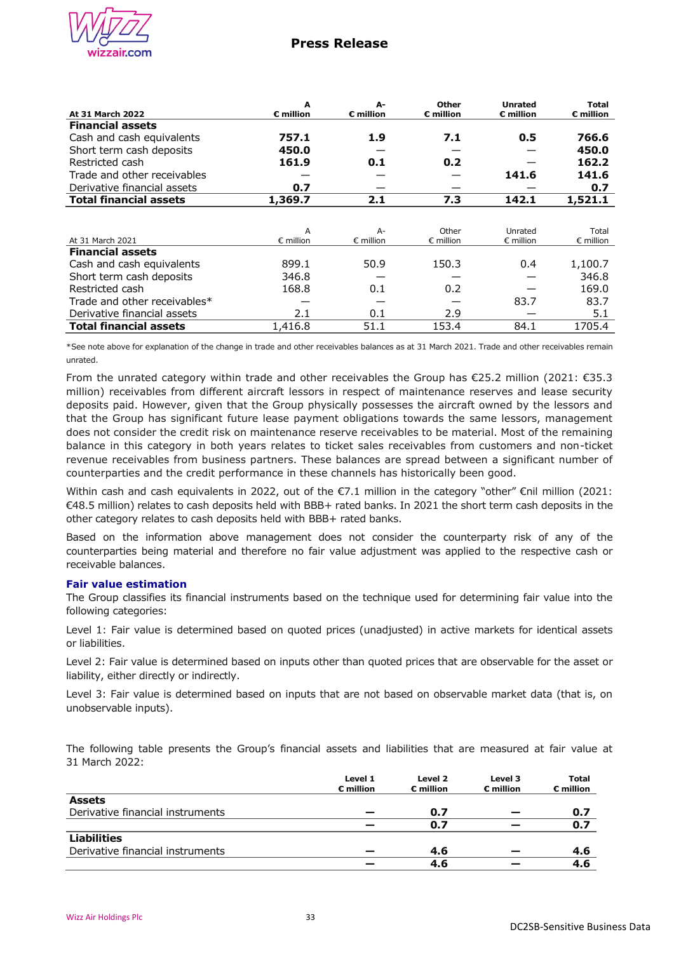

## **Press Release**

|                               | A                     | А-                    | <b>Other</b>       | <b>Unrated</b>        | <b>Total</b>       |
|-------------------------------|-----------------------|-----------------------|--------------------|-----------------------|--------------------|
| <b>At 31 March 2022</b>       | $\varepsilon$ million | $\varepsilon$ million | $\epsilon$ million | $\varepsilon$ million | € million          |
| <b>Financial assets</b>       |                       |                       |                    |                       |                    |
| Cash and cash equivalents     | 757.1                 | 1.9                   | 7.1                | 0.5                   | 766.6              |
| Short term cash deposits      | 450.0                 |                       |                    |                       | 450.0              |
| Restricted cash               | 161.9                 | 0.1                   | 0.2                |                       | 162.2              |
| Trade and other receivables   |                       |                       |                    | 141.6                 | 141.6              |
| Derivative financial assets   | 0.7                   |                       |                    |                       | 0.7                |
| <b>Total financial assets</b> | 1,369.7               | 2.1                   | 7.3                | 142.1                 | 1,521.1            |
|                               |                       |                       |                    |                       |                    |
|                               | A                     | $A-$                  | Other              | Unrated               | Total              |
| At 31 March 2021              | $\epsilon$ million    | $\epsilon$ million    | $\epsilon$ million | $\epsilon$ million    | $\epsilon$ million |
| <b>Financial assets</b>       |                       |                       |                    |                       |                    |
| Cash and cash equivalents     | 899.1                 | 50.9                  | 150.3              | 0.4                   | 1,100.7            |
| Short term cash deposits      | 346.8                 |                       |                    |                       | 346.8              |
| Restricted cash               | 168.8                 | 0.1                   | 0.2                |                       | 169.0              |
| Trade and other receivables*  |                       |                       |                    | 83.7                  | 83.7               |
| Derivative financial assets   | 2.1                   | 0.1                   | 2.9                |                       | 5.1                |
| <b>Total financial assets</b> | 1,416.8               | 51.1                  | 153.4              | 84.1                  | 1705.4             |

\*See note above for explanation of the change in trade and other receivables balances as at 31 March 2021. Trade and other receivables remain unrated.

From the unrated category within trade and other receivables the Group has €25.2 million (2021: €35.3 million) receivables from different aircraft lessors in respect of maintenance reserves and lease security deposits paid. However, given that the Group physically possesses the aircraft owned by the lessors and that the Group has significant future lease payment obligations towards the same lessors, management does not consider the credit risk on maintenance reserve receivables to be material. Most of the remaining balance in this category in both years relates to ticket sales receivables from customers and non-ticket revenue receivables from business partners. These balances are spread between a significant number of counterparties and the credit performance in these channels has historically been good.

Within cash and cash equivalents in 2022, out of the €7.1 million in the category "other" €nil million (2021: €48.5 million) relates to cash deposits held with BBB+ rated banks. In 2021 the short term cash deposits in the other category relates to cash deposits held with BBB+ rated banks.

Based on the information above management does not consider the counterparty risk of any of the counterparties being material and therefore no fair value adjustment was applied to the respective cash or receivable balances.

### **Fair value estimation**

The Group classifies its financial instruments based on the technique used for determining fair value into the following categories:

Level 1: Fair value is determined based on quoted prices (unadjusted) in active markets for identical assets or liabilities.

Level 2: Fair value is determined based on inputs other than quoted prices that are observable for the asset or liability, either directly or indirectly.

Level 3: Fair value is determined based on inputs that are not based on observable market data (that is, on unobservable inputs).

The following table presents the Group's financial assets and liabilities that are measured at fair value at 31 March 2022:

|                                  | Level 1<br>$\varepsilon$ million | Level 2<br>$\varepsilon$ million | Level 3<br>$\varepsilon$ million | <b>Total</b><br>$\varepsilon$ million |
|----------------------------------|----------------------------------|----------------------------------|----------------------------------|---------------------------------------|
| <b>Assets</b>                    |                                  |                                  |                                  |                                       |
| Derivative financial instruments |                                  | 0.7                              |                                  | 0.7                                   |
|                                  |                                  | 0.7                              |                                  | 0.7                                   |
| <b>Liabilities</b>               |                                  |                                  |                                  |                                       |
| Derivative financial instruments |                                  | 4.6                              |                                  | 4.6                                   |
|                                  |                                  | 4.6                              |                                  | 4.6                                   |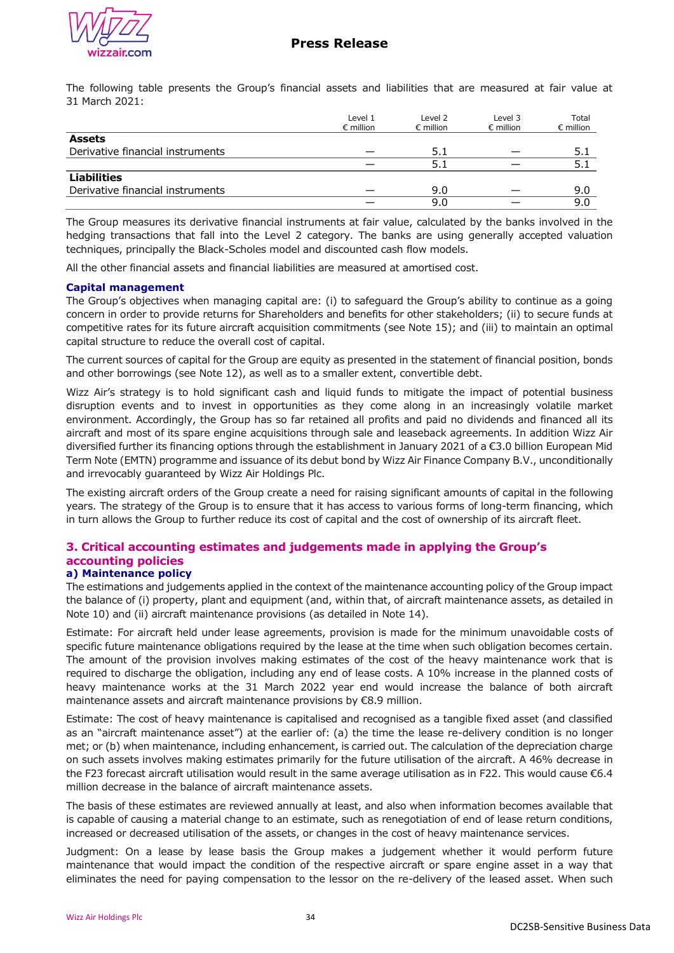

The following table presents the Group's financial assets and liabilities that are measured at fair value at 31 March 2021:

|                                  | Level 1<br>$\epsilon$ million | Level 2<br>$\epsilon$ million | Level 3<br>$\epsilon$ million | Total<br>$\epsilon$ million |
|----------------------------------|-------------------------------|-------------------------------|-------------------------------|-----------------------------|
| <b>Assets</b>                    |                               |                               |                               |                             |
| Derivative financial instruments |                               | 5.1                           |                               | 5.1                         |
|                                  |                               | 5.1                           |                               | 5.1                         |
| <b>Liabilities</b>               |                               |                               |                               |                             |
| Derivative financial instruments |                               | 9.0                           |                               | 9.0                         |
|                                  |                               | 9.0                           |                               | 9.0                         |

The Group measures its derivative financial instruments at fair value, calculated by the banks involved in the hedging transactions that fall into the Level 2 category. The banks are using generally accepted valuation techniques, principally the Black-Scholes model and discounted cash flow models.

All the other financial assets and financial liabilities are measured at amortised cost.

### **Capital management**

The Group's objectives when managing capital are: (i) to safeguard the Group's ability to continue as a going concern in order to provide returns for Shareholders and benefits for other stakeholders; (ii) to secure funds at competitive rates for its future aircraft acquisition commitments (see Note 15); and (iii) to maintain an optimal capital structure to reduce the overall cost of capital.

The current sources of capital for the Group are equity as presented in the statement of financial position, bonds and other borrowings (see Note 12), as well as to a smaller extent, convertible debt.

Wizz Air's strategy is to hold significant cash and liquid funds to mitigate the impact of potential business disruption events and to invest in opportunities as they come along in an increasingly volatile market environment. Accordingly, the Group has so far retained all profits and paid no dividends and financed all its aircraft and most of its spare engine acquisitions through sale and leaseback agreements. In addition Wizz Air diversified further its financing options through the establishment in January 2021 of a €3.0 billion European Mid Term Note (EMTN) programme and issuance of its debut bond by Wizz Air Finance Company B.V., unconditionally and irrevocably guaranteed by Wizz Air Holdings Plc.

The existing aircraft orders of the Group create a need for raising significant amounts of capital in the following years. The strategy of the Group is to ensure that it has access to various forms of long-term financing, which in turn allows the Group to further reduce its cost of capital and the cost of ownership of its aircraft fleet.

#### **3. Critical accounting estimates and judgements made in applying the Group's accounting policies a) Maintenance policy**

The estimations and judgements applied in the context of the maintenance accounting policy of the Group impact the balance of (i) property, plant and equipment (and, within that, of aircraft maintenance assets, as detailed in Note 10) and (ii) aircraft maintenance provisions (as detailed in Note 14).

Estimate: For aircraft held under lease agreements, provision is made for the minimum unavoidable costs of specific future maintenance obligations required by the lease at the time when such obligation becomes certain. The amount of the provision involves making estimates of the cost of the heavy maintenance work that is required to discharge the obligation, including any end of lease costs. A 10% increase in the planned costs of heavy maintenance works at the 31 March 2022 year end would increase the balance of both aircraft maintenance assets and aircraft maintenance provisions by €8.9 million.

Estimate: The cost of heavy maintenance is capitalised and recognised as a tangible fixed asset (and classified as an "aircraft maintenance asset") at the earlier of: (a) the time the lease re-delivery condition is no longer met; or (b) when maintenance, including enhancement, is carried out. The calculation of the depreciation charge on such assets involves making estimates primarily for the future utilisation of the aircraft. A 46% decrease in the F23 forecast aircraft utilisation would result in the same average utilisation as in F22. This would cause €6.4 million decrease in the balance of aircraft maintenance assets.

The basis of these estimates are reviewed annually at least, and also when information becomes available that is capable of causing a material change to an estimate, such as renegotiation of end of lease return conditions, increased or decreased utilisation of the assets, or changes in the cost of heavy maintenance services.

Judgment: On a lease by lease basis the Group makes a judgement whether it would perform future maintenance that would impact the condition of the respective aircraft or spare engine asset in a way that eliminates the need for paying compensation to the lessor on the re-delivery of the leased asset. When such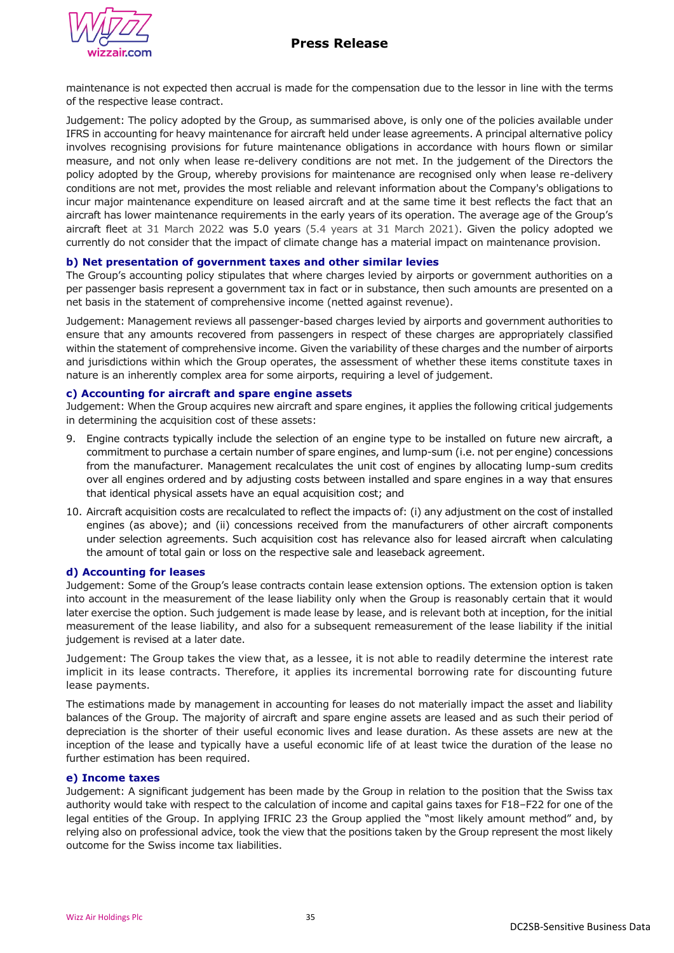

maintenance is not expected then accrual is made for the compensation due to the lessor in line with the terms of the respective lease contract.

Judgement: The policy adopted by the Group, as summarised above, is only one of the policies available under IFRS in accounting for heavy maintenance for aircraft held under lease agreements. A principal alternative policy involves recognising provisions for future maintenance obligations in accordance with hours flown or similar measure, and not only when lease re-delivery conditions are not met. In the judgement of the Directors the policy adopted by the Group, whereby provisions for maintenance are recognised only when lease re-delivery conditions are not met, provides the most reliable and relevant information about the Company's obligations to incur major maintenance expenditure on leased aircraft and at the same time it best reflects the fact that an aircraft has lower maintenance requirements in the early years of its operation. The average age of the Group's aircraft fleet at 31 March 2022 was 5.0 years (5.4 years at 31 March 2021). Given the policy adopted we currently do not consider that the impact of climate change has a material impact on maintenance provision.

## **b) Net presentation of government taxes and other similar levies**

The Group's accounting policy stipulates that where charges levied by airports or government authorities on a per passenger basis represent a government tax in fact or in substance, then such amounts are presented on a net basis in the statement of comprehensive income (netted against revenue).

Judgement: Management reviews all passenger-based charges levied by airports and government authorities to ensure that any amounts recovered from passengers in respect of these charges are appropriately classified within the statement of comprehensive income. Given the variability of these charges and the number of airports and jurisdictions within which the Group operates, the assessment of whether these items constitute taxes in nature is an inherently complex area for some airports, requiring a level of judgement.

#### **c) Accounting for aircraft and spare engine assets**

Judgement: When the Group acquires new aircraft and spare engines, it applies the following critical judgements in determining the acquisition cost of these assets:

- 9. Engine contracts typically include the selection of an engine type to be installed on future new aircraft, a commitment to purchase a certain number of spare engines, and lump-sum (i.e. not per engine) concessions from the manufacturer. Management recalculates the unit cost of engines by allocating lump-sum credits over all engines ordered and by adjusting costs between installed and spare engines in a way that ensures that identical physical assets have an equal acquisition cost; and
- 10. Aircraft acquisition costs are recalculated to reflect the impacts of: (i) any adjustment on the cost of installed engines (as above); and (ii) concessions received from the manufacturers of other aircraft components under selection agreements. Such acquisition cost has relevance also for leased aircraft when calculating the amount of total gain or loss on the respective sale and leaseback agreement.

### **d) Accounting for leases**

Judgement: Some of the Group's lease contracts contain lease extension options. The extension option is taken into account in the measurement of the lease liability only when the Group is reasonably certain that it would later exercise the option. Such judgement is made lease by lease, and is relevant both at inception, for the initial measurement of the lease liability, and also for a subsequent remeasurement of the lease liability if the initial judgement is revised at a later date.

Judgement: The Group takes the view that, as a lessee, it is not able to readily determine the interest rate implicit in its lease contracts. Therefore, it applies its incremental borrowing rate for discounting future lease payments.

The estimations made by management in accounting for leases do not materially impact the asset and liability balances of the Group. The majority of aircraft and spare engine assets are leased and as such their period of depreciation is the shorter of their useful economic lives and lease duration. As these assets are new at the inception of the lease and typically have a useful economic life of at least twice the duration of the lease no further estimation has been required.

### **e) Income taxes**

Judgement: A significant judgement has been made by the Group in relation to the position that the Swiss tax authority would take with respect to the calculation of income and capital gains taxes for F18–F22 for one of the legal entities of the Group. In applying IFRIC 23 the Group applied the "most likely amount method" and, by relying also on professional advice, took the view that the positions taken by the Group represent the most likely outcome for the Swiss income tax liabilities.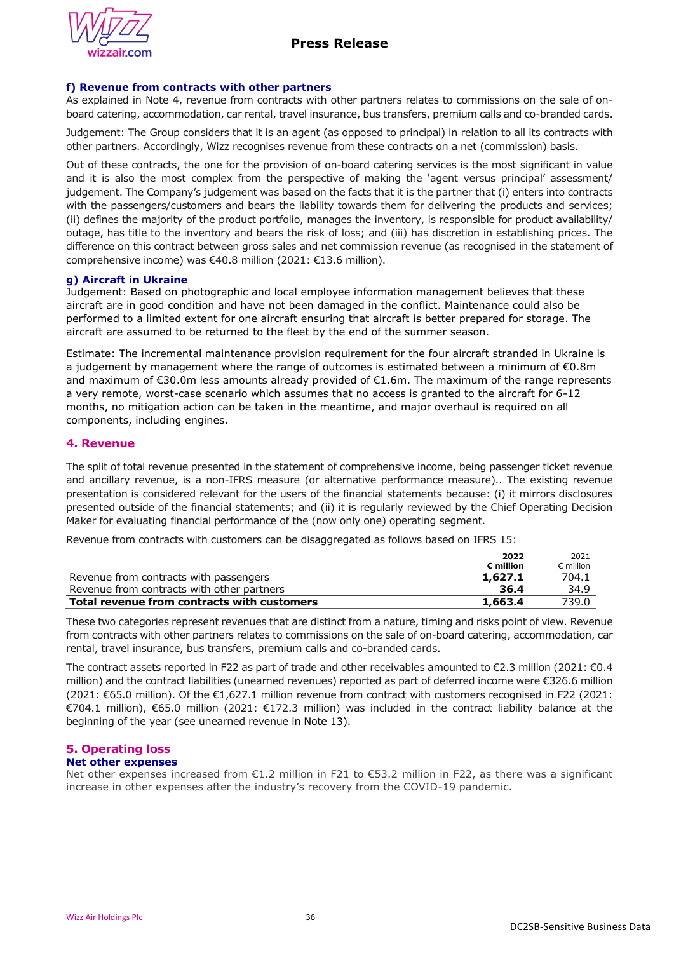

## **f) Revenue from contracts with other partners**

As explained in Note 4, revenue from contracts with other partners relates to commissions on the sale of onboard catering, accommodation, car rental, travel insurance, bus transfers, premium calls and co-branded cards.

Judgement: The Group considers that it is an agent (as opposed to principal) in relation to all its contracts with other partners. Accordingly, Wizz recognises revenue from these contracts on a net (commission) basis.

Out of these contracts, the one for the provision of on-board catering services is the most significant in value and it is also the most complex from the perspective of making the 'agent versus principal' assessment/ judgement. The Company's judgement was based on the facts that it is the partner that (i) enters into contracts with the passengers/customers and bears the liability towards them for delivering the products and services; (ii) defines the majority of the product portfolio, manages the inventory, is responsible for product availability/ outage, has title to the inventory and bears the risk of loss; and (iii) has discretion in establishing prices. The difference on this contract between gross sales and net commission revenue (as recognised in the statement of comprehensive income) was €40.8 million (2021: €13.6 million).

### **g) Aircraft in Ukraine**

Judgement: Based on photographic and local employee information management believes that these aircraft are in good condition and have not been damaged in the conflict. Maintenance could also be performed to a limited extent for one aircraft ensuring that aircraft is better prepared for storage. The aircraft are assumed to be returned to the fleet by the end of the summer season.

Estimate: The incremental maintenance provision requirement for the four aircraft stranded in Ukraine is a judgement by management where the range of outcomes is estimated between a minimum of €0.8m and maximum of €30.0m less amounts already provided of €1.6m. The maximum of the range represents a very remote, worst-case scenario which assumes that no access is granted to the aircraft for 6-12 months, no mitigation action can be taken in the meantime, and major overhaul is required on all components, including engines.

### **4. Revenue**

The split of total revenue presented in the statement of comprehensive income, being passenger ticket revenue and ancillary revenue, is a non-IFRS measure (or alternative performance measure).. The existing revenue presentation is considered relevant for the users of the financial statements because: (i) it mirrors disclosures presented outside of the financial statements; and (ii) it is regularly reviewed by the Chief Operating Decision Maker for evaluating financial performance of the (now only one) operating segment.

Revenue from contracts with customers can be disaggregated as follows based on IFRS 15:

|                                             | 2022               | 2021               |
|---------------------------------------------|--------------------|--------------------|
|                                             | $\epsilon$ million | $\epsilon$ million |
| Revenue from contracts with passengers      | 1,627.1            | 704.1              |
| Revenue from contracts with other partners  | 36.4               | 34.9               |
| Total revenue from contracts with customers | 1,663.4            | 739.0              |

These two categories represent revenues that are distinct from a nature, timing and risks point of view. Revenue from contracts with other partners relates to commissions on the sale of on-board catering, accommodation, car rental, travel insurance, bus transfers, premium calls and co-branded cards.

The contract assets reported in F22 as part of trade and other receivables amounted to €2.3 million (2021: €0.4 million) and the contract liabilities (unearned revenues) reported as part of deferred income were €326.6 million (2021: €65.0 million). Of the €1,627.1 million revenue from contract with customers recognised in F22 (2021: €704.1 million), €65.0 million (2021: €172.3 million) was included in the contract liability balance at the beginning of the year (see unearned revenue in Note 13).

#### **5. Operating loss Net other expenses**

Net other expenses increased from €1.2 million in F21 to €53.2 million in F22, as there was a significant increase in other expenses after the industry's recovery from the COVID-19 pandemic.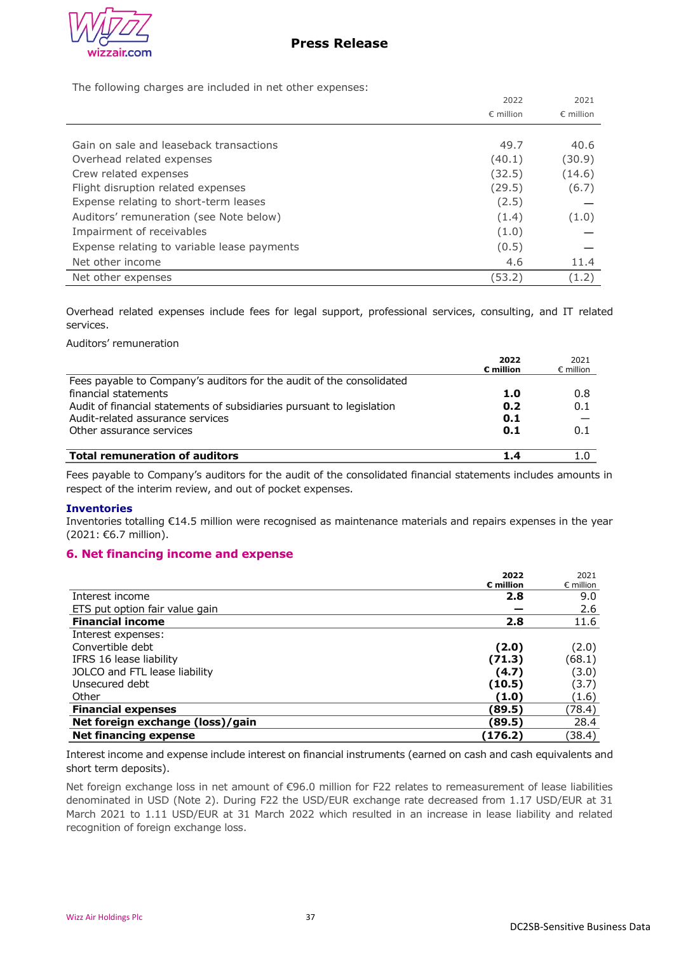

The following charges are included in net other expenses:

|                                             | 2022               | 2021               |
|---------------------------------------------|--------------------|--------------------|
|                                             | $\epsilon$ million | $\epsilon$ million |
|                                             |                    |                    |
| Gain on sale and leaseback transactions     | 49.7               | 40.6               |
| Overhead related expenses                   | (40.1)             | (30.9)             |
| Crew related expenses                       | (32.5)             | (14.6)             |
| Flight disruption related expenses          | (29.5)             | (6.7)              |
| Expense relating to short-term leases       | (2.5)              |                    |
| Auditors' remuneration (see Note below)     | (1.4)              | (1.0)              |
| Impairment of receivables                   | (1.0)              |                    |
| Expense relating to variable lease payments | (0.5)              |                    |
| Net other income                            | 4.6                | 11.4               |
| Net other expenses                          | (53.2)             | (1.2)              |

Overhead related expenses include fees for legal support, professional services, consulting, and IT related services.

Auditors' remuneration

|                                                                       | 2022               | 2021               |
|-----------------------------------------------------------------------|--------------------|--------------------|
|                                                                       | $\epsilon$ million | $\epsilon$ million |
| Fees payable to Company's auditors for the audit of the consolidated  |                    |                    |
| financial statements                                                  | 1.0                | 0.8                |
| Audit of financial statements of subsidiaries pursuant to legislation | 0.2                | 0.1                |
| Audit-related assurance services                                      | 0.1                |                    |
| Other assurance services                                              | 0.1                | 0.1                |
| <b>Total remuneration of auditors</b>                                 | 1.4                |                    |

Fees payable to Company's auditors for the audit of the consolidated financial statements includes amounts in respect of the interim review, and out of pocket expenses.

### **Inventories**

Inventories totalling €14.5 million were recognised as maintenance materials and repairs expenses in the year (2021: €6.7 million).

## **6. Net financing income and expense**

|                                  | 2022                  | 2021               |
|----------------------------------|-----------------------|--------------------|
|                                  | $\varepsilon$ million | $\epsilon$ million |
| Interest income                  | 2.8                   | 9.0                |
| ETS put option fair value gain   |                       | 2.6                |
| <b>Financial income</b>          | 2.8                   | 11.6               |
| Interest expenses:               |                       |                    |
| Convertible debt                 | (2.0)                 | (2.0)              |
| IFRS 16 lease liability          | (71.3)                | (68.1)             |
| JOLCO and FTL lease liability    | (4.7)                 | (3.0)              |
| Unsecured debt                   | (10.5)                | (3.7)              |
| Other                            | (1.0)                 | (1.6)              |
| <b>Financial expenses</b>        | (89.5)                | (78.4)             |
| Net foreign exchange (loss)/gain | (89.5)                | 28.4               |
| Net financing expense            | (176.2)               | (38.4)             |

Interest income and expense include interest on financial instruments (earned on cash and cash equivalents and short term deposits).

Net foreign exchange loss in net amount of €96.0 million for F22 relates to remeasurement of lease liabilities denominated in USD (Note 2). During F22 the USD/EUR exchange rate decreased from 1.17 USD/EUR at 31 March 2021 to 1.11 USD/EUR at 31 March 2022 which resulted in an increase in lease liability and related recognition of foreign exchange loss.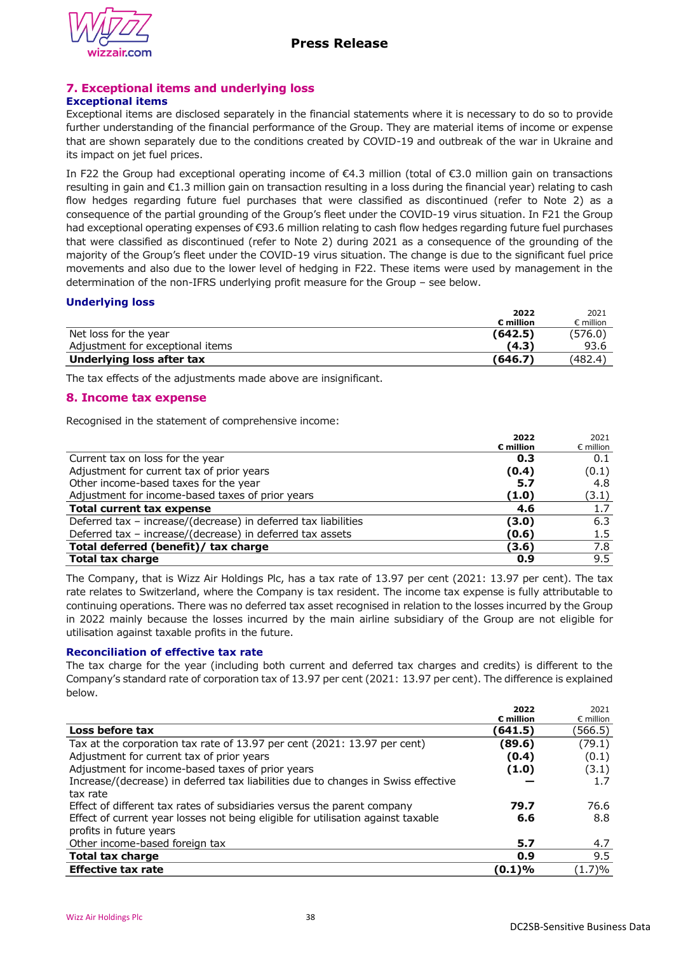

# **7. Exceptional items and underlying loss**

## **Exceptional items**

Exceptional items are disclosed separately in the financial statements where it is necessary to do so to provide further understanding of the financial performance of the Group. They are material items of income or expense that are shown separately due to the conditions created by COVID-19 and outbreak of the war in Ukraine and its impact on jet fuel prices.

In F22 the Group had exceptional operating income of €4.3 million (total of €3.0 million gain on transactions resulting in gain and €1.3 million gain on transaction resulting in a loss during the financial year) relating to cash flow hedges regarding future fuel purchases that were classified as discontinued (refer to Note 2) as a consequence of the partial grounding of the Group's fleet under the COVID-19 virus situation. In F21 the Group had exceptional operating expenses of €93.6 million relating to cash flow hedges regarding future fuel purchases that were classified as discontinued (refer to Note 2) during 2021 as a consequence of the grounding of the majority of the Group's fleet under the COVID-19 virus situation. The change is due to the significant fuel price movements and also due to the lower level of hedging in F22. These items were used by management in the determination of the non-IFRS underlying profit measure for the Group – see below.

## **Underlying loss**

|                                  | 2022               | 2021               |
|----------------------------------|--------------------|--------------------|
|                                  | $\epsilon$ million | $\epsilon$ million |
| Net loss for the year            | (642.5)            | (576.0)            |
| Adjustment for exceptional items | (4.3)              | 93.6               |
| Underlying loss after tax        | (646.7)            | (482.4)            |

The tax effects of the adjustments made above are insignificant.

## **8. Income tax expense**

Recognised in the statement of comprehensive income:

|                                                                | 2022                  | 2021               |
|----------------------------------------------------------------|-----------------------|--------------------|
|                                                                | $\varepsilon$ million | $\epsilon$ million |
| Current tax on loss for the year                               | 0.3                   | 0.1                |
| Adjustment for current tax of prior years                      | (0.4)                 | (0.1)              |
| Other income-based taxes for the year                          | 5.7                   | 4.8                |
| Adjustment for income-based taxes of prior years               | (1.0)                 | (3.1)              |
| <b>Total current tax expense</b>                               | 4.6                   | 1.7                |
| Deferred tax - increase/(decrease) in deferred tax liabilities | (3.0)                 | 6.3                |
| Deferred tax - increase/(decrease) in deferred tax assets      | (0.6)                 | 1.5                |
| Total deferred (benefit)/ tax charge                           | (3.6)                 | 7.8                |
| <b>Total tax charge</b>                                        | 0.9                   | 9.5                |

The Company, that is Wizz Air Holdings Plc, has a tax rate of 13.97 per cent (2021: 13.97 per cent). The tax rate relates to Switzerland, where the Company is tax resident. The income tax expense is fully attributable to continuing operations. There was no deferred tax asset recognised in relation to the losses incurred by the Group in 2022 mainly because the losses incurred by the main airline subsidiary of the Group are not eligible for utilisation against taxable profits in the future.

## **Reconciliation of effective tax rate**

The tax charge for the year (including both current and deferred tax charges and credits) is different to the Company's standard rate of corporation tax of 13.97 per cent (2021: 13.97 per cent). The difference is explained below.

|                                                                                   | 2022                  | 2021               |
|-----------------------------------------------------------------------------------|-----------------------|--------------------|
|                                                                                   | $\varepsilon$ million | $\epsilon$ million |
| Loss before tax                                                                   | (641.5)               | (566.5)            |
| Tax at the corporation tax rate of 13.97 per cent (2021: 13.97 per cent)          | (89.6)                | (79.1)             |
| Adjustment for current tax of prior years                                         | (0.4)                 | (0.1)              |
| Adjustment for income-based taxes of prior years                                  | (1.0)                 | (3.1)              |
| Increase/(decrease) in deferred tax liabilities due to changes in Swiss effective |                       | 1.7                |
| tax rate                                                                          |                       |                    |
| Effect of different tax rates of subsidiaries versus the parent company           | 79.7                  | 76.6               |
| Effect of current year losses not being eligible for utilisation against taxable  | 6.6                   | 8.8                |
| profits in future years                                                           |                       |                    |
| Other income-based foreign tax                                                    | 5.7                   | 4.7                |
| <b>Total tax charge</b>                                                           | 0.9                   | 9.5                |
| <b>Effective tax rate</b>                                                         | (0.1)%                | (1.7)%             |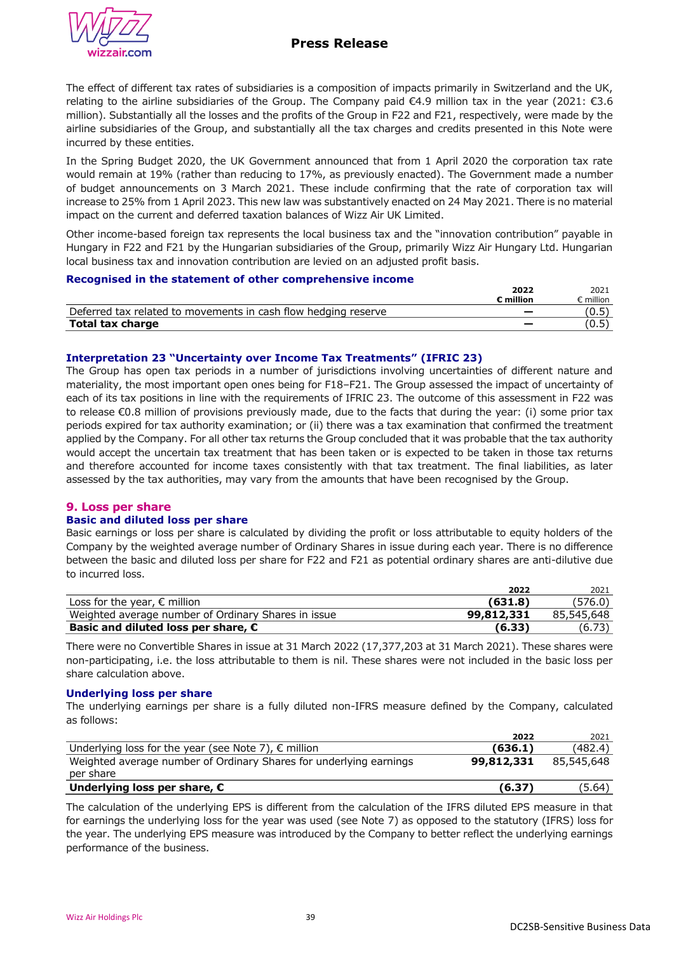

The effect of different tax rates of subsidiaries is a composition of impacts primarily in Switzerland and the UK, relating to the airline subsidiaries of the Group. The Company paid €4.9 million tax in the year (2021: €3.6 million). Substantially all the losses and the profits of the Group in F22 and F21, respectively, were made by the airline subsidiaries of the Group, and substantially all the tax charges and credits presented in this Note were incurred by these entities.

In the Spring Budget 2020, the UK Government announced that from 1 April 2020 the corporation tax rate would remain at 19% (rather than reducing to 17%, as previously enacted). The Government made a number of budget announcements on 3 March 2021. These include confirming that the rate of corporation tax will increase to 25% from 1 April 2023. This new law was substantively enacted on 24 May 2021. There is no material impact on the current and deferred taxation balances of Wizz Air UK Limited.

Other income-based foreign tax represents the local business tax and the "innovation contribution" payable in Hungary in F22 and F21 by the Hungarian subsidiaries of the Group, primarily Wizz Air Hungary Ltd. Hungarian local business tax and innovation contribution are levied on an adjusted profit basis.

#### **Recognised in the statement of other comprehensive income**

|                                                                | ∠202               | 2021    |
|----------------------------------------------------------------|--------------------|---------|
|                                                                | $^{\circ}$ million | million |
| Deferred tax related to movements in cash flow hedging reserve |                    | (0.5)   |
| <b>Total tax charge</b>                                        |                    | (0.5)   |

## **Interpretation 23 "Uncertainty over Income Tax Treatments" (IFRIC 23)**

The Group has open tax periods in a number of jurisdictions involving uncertainties of different nature and materiality, the most important open ones being for F18–F21. The Group assessed the impact of uncertainty of each of its tax positions in line with the requirements of IFRIC 23. The outcome of this assessment in F22 was to release €0.8 million of provisions previously made, due to the facts that during the year: (i) some prior tax periods expired for tax authority examination; or (ii) there was a tax examination that confirmed the treatment applied by the Company. For all other tax returns the Group concluded that it was probable that the tax authority would accept the uncertain tax treatment that has been taken or is expected to be taken in those tax returns and therefore accounted for income taxes consistently with that tax treatment. The final liabilities, as later assessed by the tax authorities, may vary from the amounts that have been recognised by the Group.

### **9. Loss per share**

### **Basic and diluted loss per share**

Basic earnings or loss per share is calculated by dividing the profit or loss attributable to equity holders of the Company by the weighted average number of Ordinary Shares in issue during each year. There is no difference between the basic and diluted loss per share for F22 and F21 as potential ordinary shares are anti-dilutive due to incurred loss.

|                                                     | 2022       | 2021       |
|-----------------------------------------------------|------------|------------|
| Loss for the year, $\epsilon$ million               | (631.8)    | (576.0)    |
| Weighted average number of Ordinary Shares in issue | 99,812,331 | 85,545,648 |
| Basic and diluted loss per share, $\epsilon$        | (6.33)     | (6.73)     |

There were no Convertible Shares in issue at 31 March 2022 (17,377,203 at 31 March 2021). These shares were non-participating, i.e. the loss attributable to them is nil. These shares were not included in the basic loss per share calculation above.

#### **Underlying loss per share**

The underlying earnings per share is a fully diluted non-IFRS measure defined by the Company, calculated as follows:

|                                                                                 | 2022       | 2021       |
|---------------------------------------------------------------------------------|------------|------------|
| Underlying loss for the year (see Note 7), $\epsilon$ million                   | (636.1)    | (482.4)    |
| Weighted average number of Ordinary Shares for underlying earnings<br>per share | 99,812,331 | 85,545,648 |
| Underlying loss per share, $\epsilon$                                           | (6.37)     | (5.64)     |

The calculation of the underlying EPS is different from the calculation of the IFRS diluted EPS measure in that for earnings the underlying loss for the year was used (see Note 7) as opposed to the statutory (IFRS) loss for the year. The underlying EPS measure was introduced by the Company to better reflect the underlying earnings performance of the business.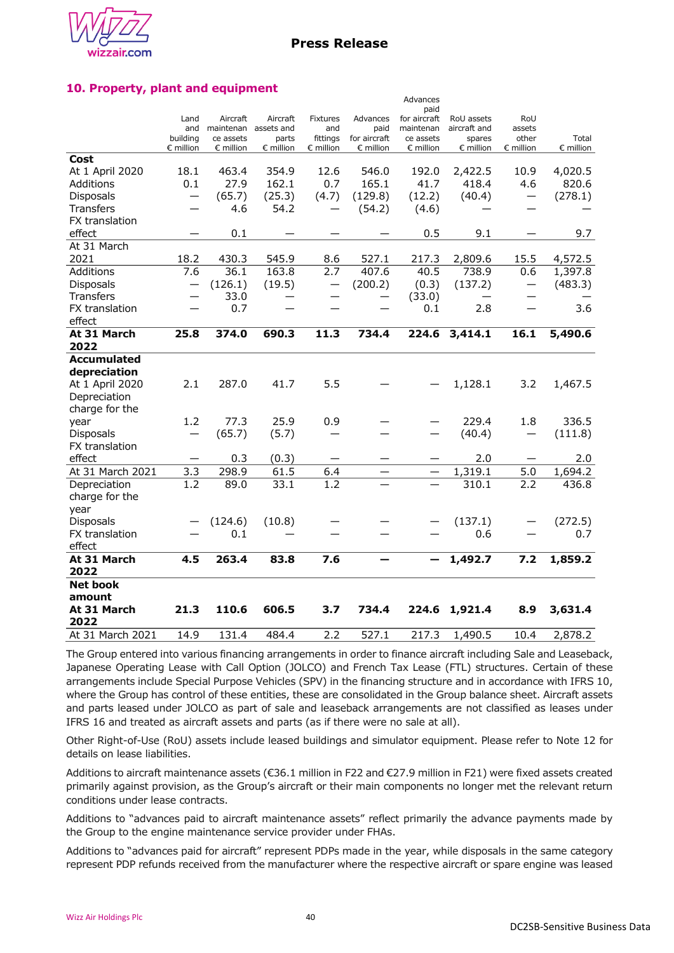

Advances

## **10. Property, plant and equipment**

|                    |                    |                      |                    |                    |                          | paid               |                    |                          |                    |
|--------------------|--------------------|----------------------|--------------------|--------------------|--------------------------|--------------------|--------------------|--------------------------|--------------------|
|                    | Land               | Aircraft             | Aircraft           | <b>Fixtures</b>    | Advances                 | for aircraft       | RoU assets         | RoU                      |                    |
|                    | and                | maintenan assets and |                    | and                | paid                     | maintenan          | aircraft and       | assets                   |                    |
|                    | building           | ce assets            | parts              | fittings           | for aircraft             | ce assets          | spares             | other                    | Total              |
|                    | $\epsilon$ million | $\epsilon$ million   | $\epsilon$ million | $\epsilon$ million | $\epsilon$ million       | $\epsilon$ million | $\epsilon$ million | € million                | $\epsilon$ million |
| Cost               |                    |                      |                    |                    |                          |                    |                    |                          |                    |
| At 1 April 2020    | 18.1               | 463.4                | 354.9              | 12.6               | 546.0                    | 192.0              | 2,422.5            | 10.9                     | 4,020.5            |
| Additions          | 0.1                | 27.9                 | 162.1              | 0.7                | 165.1                    | 41.7               | 418.4              | 4.6                      | 820.6              |
| <b>Disposals</b>   |                    | (65.7)               | (25.3)             | (4.7)              | (129.8)                  | (12.2)             | (40.4)             |                          | (278.1)            |
| <b>Transfers</b>   |                    | 4.6                  | 54.2               |                    | (54.2)                   | (4.6)              |                    |                          |                    |
| FX translation     |                    |                      |                    |                    |                          |                    |                    |                          |                    |
| effect             |                    | 0.1                  |                    |                    |                          | 0.5                | 9.1                |                          | 9.7                |
| At 31 March        |                    |                      |                    |                    |                          |                    |                    |                          |                    |
| 2021               | 18.2               | 430.3                | 545.9              | 8.6                | 527.1                    | 217.3              | 2,809.6            | 15.5                     | 4,572.5            |
| Additions          | 7.6                | 36.1                 | 163.8              | 2.7                | 407.6                    | 40.5               | 738.9              | 0.6                      | 1,397.8            |
| <b>Disposals</b>   |                    | (126.1)              | (19.5)             |                    | (200.2)                  | (0.3)              | (137.2)            | $\overline{\phantom{0}}$ | (483.3)            |
| <b>Transfers</b>   |                    | 33.0                 |                    |                    |                          | (33.0)             |                    |                          |                    |
| FX translation     |                    | 0.7                  |                    |                    |                          | 0.1                | 2.8                |                          | 3.6                |
| effect             |                    |                      |                    |                    |                          |                    |                    |                          |                    |
| At 31 March        | 25.8               | 374.0                | 690.3              | 11.3               | 734.4                    | 224.6              | 3,414.1            | 16.1                     | 5,490.6            |
| 2022               |                    |                      |                    |                    |                          |                    |                    |                          |                    |
| <b>Accumulated</b> |                    |                      |                    |                    |                          |                    |                    |                          |                    |
| depreciation       |                    |                      |                    |                    |                          |                    |                    |                          |                    |
| At 1 April 2020    | 2.1                | 287.0                | 41.7               | 5.5                |                          |                    | 1,128.1            | 3.2                      | 1,467.5            |
| Depreciation       |                    |                      |                    |                    |                          |                    |                    |                          |                    |
| charge for the     |                    |                      |                    |                    |                          |                    |                    |                          |                    |
| year               | 1.2                | 77.3                 | 25.9               | 0.9                |                          |                    | 229.4              | 1.8                      | 336.5              |
| <b>Disposals</b>   | —                  | (65.7)               | (5.7)              |                    |                          |                    | (40.4)             | —                        | (111.8)            |
| FX translation     |                    |                      |                    |                    |                          |                    |                    |                          |                    |
| effect             |                    | 0.3                  | (0.3)              |                    |                          |                    | 2.0                |                          | 2.0                |
| At 31 March 2021   | 3.3                | 298.9                | 61.5               | 6.4                | $\overline{\phantom{0}}$ |                    | 1,319.1            | 5.0                      | 1,694.2            |
| Depreciation       | 1.2                | 89.0                 | 33.1               | 1.2                |                          |                    | 310.1              | 2.2                      | 436.8              |
| charge for the     |                    |                      |                    |                    |                          |                    |                    |                          |                    |
| year               |                    |                      |                    |                    |                          |                    |                    |                          |                    |
| <b>Disposals</b>   |                    | (124.6)              | (10.8)             |                    |                          |                    | (137.1)            |                          | (272.5)            |
| FX translation     |                    | 0.1                  |                    |                    |                          |                    | 0.6                |                          | 0.7                |
| effect             |                    |                      |                    |                    |                          |                    |                    |                          |                    |
| At 31 March        | 4.5                | 263.4                | 83.8               | 7.6                |                          |                    | 1,492.7            | 7.2                      | 1,859.2            |
| 2022               |                    |                      |                    |                    |                          |                    |                    |                          |                    |
| <b>Net book</b>    |                    |                      |                    |                    |                          |                    |                    |                          |                    |
| amount             |                    |                      |                    |                    |                          |                    |                    |                          |                    |
| At 31 March        | 21.3               | 110.6                | 606.5              | 3.7                | 734.4                    | 224.6              | 1,921.4            | 8.9                      | 3,631.4            |
| 2022               |                    |                      |                    |                    |                          |                    |                    |                          |                    |
| At 31 March 2021   | 14.9               | 131.4                | 484.4              | 2.2                | 527.1                    | 217.3              | 1,490.5            | 10.4                     | 2,878.2            |

The Group entered into various financing arrangements in order to finance aircraft including Sale and Leaseback, Japanese Operating Lease with Call Option (JOLCO) and French Tax Lease (FTL) structures. Certain of these arrangements include Special Purpose Vehicles (SPV) in the financing structure and in accordance with IFRS 10, where the Group has control of these entities, these are consolidated in the Group balance sheet. Aircraft assets and parts leased under JOLCO as part of sale and leaseback arrangements are not classified as leases under IFRS 16 and treated as aircraft assets and parts (as if there were no sale at all).

Other Right-of-Use (RoU) assets include leased buildings and simulator equipment. Please refer to Note 12 for details on lease liabilities.

Additions to aircraft maintenance assets (€36.1 million in F22 and €27.9 million in F21) were fixed assets created primarily against provision, as the Group's aircraft or their main components no longer met the relevant return conditions under lease contracts.

Additions to "advances paid to aircraft maintenance assets" reflect primarily the advance payments made by the Group to the engine maintenance service provider under FHAs.

Additions to "advances paid for aircraft" represent PDPs made in the year, while disposals in the same category represent PDP refunds received from the manufacturer where the respective aircraft or spare engine was leased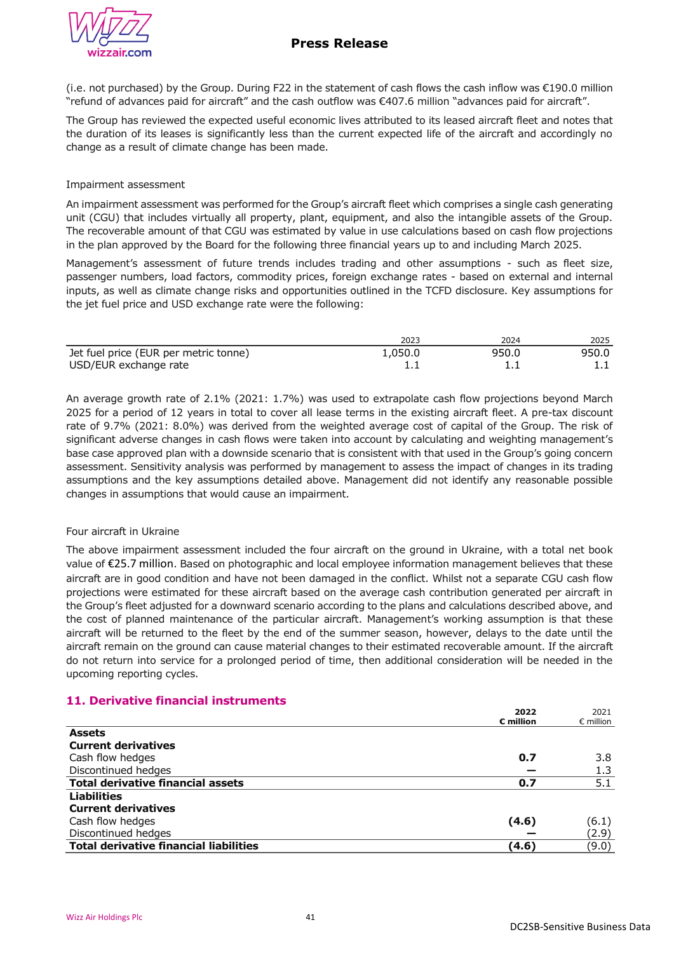(i.e. not purchased) by the Group. During F22 in the statement of cash flows the cash inflow was €190.0 million "refund of advances paid for aircraft" and the cash outflow was €407.6 million "advances paid for aircraft".

The Group has reviewed the expected useful economic lives attributed to its leased aircraft fleet and notes that the duration of its leases is significantly less than the current expected life of the aircraft and accordingly no change as a result of climate change has been made.

## Impairment assessment

An impairment assessment was performed for the Group's aircraft fleet which comprises a single cash generating unit (CGU) that includes virtually all property, plant, equipment, and also the intangible assets of the Group. The recoverable amount of that CGU was estimated by value in use calculations based on cash flow projections in the plan approved by the Board for the following three financial years up to and including March 2025.

Management's assessment of future trends includes trading and other assumptions - such as fleet size, passenger numbers, load factors, commodity prices, foreign exchange rates - based on external and internal inputs, as well as climate change risks and opportunities outlined in the TCFD disclosure. Key assumptions for the jet fuel price and USD exchange rate were the following:

|                                       | 2023     | 2024  | 2025  |
|---------------------------------------|----------|-------|-------|
| Jet fuel price (EUR per metric tonne) | 0.050. ∡ | 950.0 | 950.0 |
| USD/EUR exchange rate                 |          |       |       |

An average growth rate of 2.1% (2021: 1.7%) was used to extrapolate cash flow projections beyond March 2025 for a period of 12 years in total to cover all lease terms in the existing aircraft fleet. A pre-tax discount rate of 9.7% (2021: 8.0%) was derived from the weighted average cost of capital of the Group. The risk of significant adverse changes in cash flows were taken into account by calculating and weighting management's base case approved plan with a downside scenario that is consistent with that used in the Group's going concern assessment. Sensitivity analysis was performed by management to assess the impact of changes in its trading assumptions and the key assumptions detailed above. Management did not identify any reasonable possible changes in assumptions that would cause an impairment.

## Four aircraft in Ukraine

The above impairment assessment included the four aircraft on the ground in Ukraine, with a total net book value of €25.7 million. Based on photographic and local employee information management believes that these aircraft are in good condition and have not been damaged in the conflict. Whilst not a separate CGU cash flow projections were estimated for these aircraft based on the average cash contribution generated per aircraft in the Group's fleet adjusted for a downward scenario according to the plans and calculations described above, and the cost of planned maintenance of the particular aircraft. Management's working assumption is that these aircraft will be returned to the fleet by the end of the summer season, however, delays to the date until the aircraft remain on the ground can cause material changes to their estimated recoverable amount. If the aircraft do not return into service for a prolonged period of time, then additional consideration will be needed in the upcoming reporting cycles.

# **11. Derivative financial instruments**

|                                               | 2022                  | 2021               |
|-----------------------------------------------|-----------------------|--------------------|
|                                               | $\varepsilon$ million | $\epsilon$ million |
| <b>Assets</b>                                 |                       |                    |
| <b>Current derivatives</b>                    |                       |                    |
| Cash flow hedges                              | 0.7                   | 3.8                |
| Discontinued hedges                           |                       | 1.3                |
| <b>Total derivative financial assets</b>      | 0.7                   | 5.1                |
| <b>Liabilities</b>                            |                       |                    |
| <b>Current derivatives</b>                    |                       |                    |
| Cash flow hedges                              | (4.6)                 | (6.1)              |
| Discontinued hedges                           |                       | (2.9)              |
| <b>Total derivative financial liabilities</b> | (4.6)                 | (9.0)              |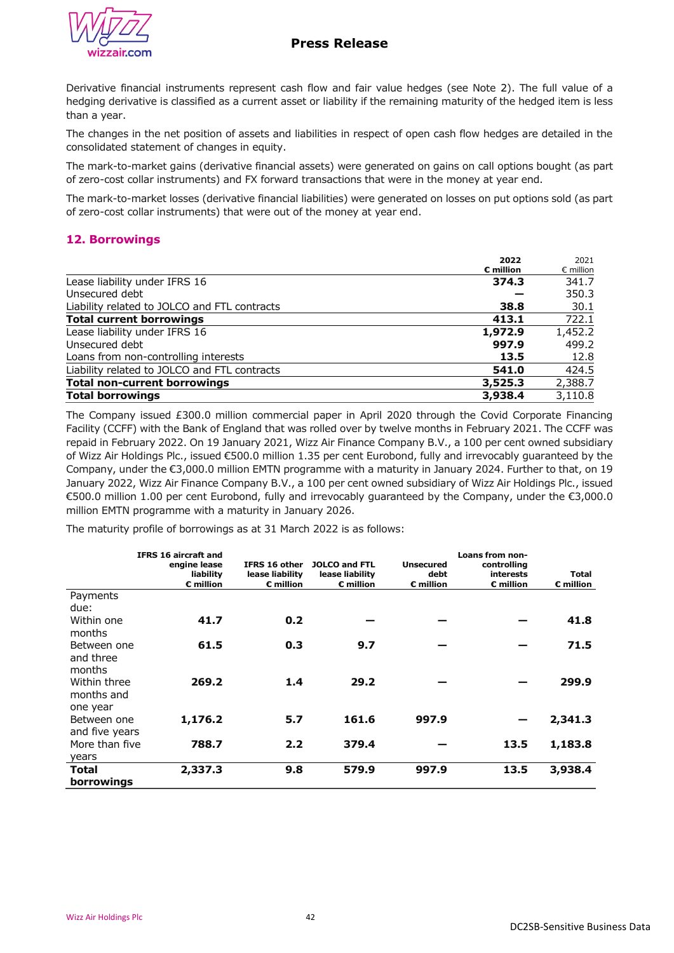



Derivative financial instruments represent cash flow and fair value hedges (see Note 2). The full value of a hedging derivative is classified as a current asset or liability if the remaining maturity of the hedged item is less than a year.

The changes in the net position of assets and liabilities in respect of open cash flow hedges are detailed in the consolidated statement of changes in equity.

The mark-to-market gains (derivative financial assets) were generated on gains on call options bought (as part of zero-cost collar instruments) and FX forward transactions that were in the money at year end.

The mark-to-market losses (derivative financial liabilities) were generated on losses on put options sold (as part of zero-cost collar instruments) that were out of the money at year end.

## **12. Borrowings**

|                                              | 2022                  | 2021               |
|----------------------------------------------|-----------------------|--------------------|
|                                              | $\varepsilon$ million | $\epsilon$ million |
| Lease liability under IFRS 16                | 374.3                 | 341.7              |
| Unsecured debt                               |                       | 350.3              |
| Liability related to JOLCO and FTL contracts | 38.8                  | 30.1               |
| <b>Total current borrowings</b>              | 413.1                 | 722.1              |
| Lease liability under IFRS 16                | 1,972.9               | 1,452.2            |
| Unsecured debt                               | 997.9                 | 499.2              |
| Loans from non-controlling interests         | 13.5                  | 12.8               |
| Liability related to JOLCO and FTL contracts | 541.0                 | 424.5              |
| <b>Total non-current borrowings</b>          | 3,525.3               | 2,388.7            |
| <b>Total borrowings</b>                      | 3,938.4               | 3,110.8            |

The Company issued £300.0 million commercial paper in April 2020 through the Covid Corporate Financing Facility (CCFF) with the Bank of England that was rolled over by twelve months in February 2021. The CCFF was repaid in February 2022. On 19 January 2021, Wizz Air Finance Company B.V., a 100 per cent owned subsidiary of Wizz Air Holdings Plc., issued €500.0 million 1.35 per cent Eurobond, fully and irrevocably guaranteed by the Company, under the €3,000.0 million EMTN programme with a maturity in January 2024. Further to that, on 19 January 2022, Wizz Air Finance Company B.V., a 100 per cent owned subsidiary of Wizz Air Holdings Plc., issued €500.0 million 1.00 per cent Eurobond, fully and irrevocably guaranteed by the Company, under the €3,000.0 million EMTN programme with a maturity in January 2026.

The maturity profile of borrowings as at 31 March 2022 is as follows:

|                | <b>IFRS 16 aircraft and</b> |                 |                      |                    | Loans from non-    |                    |
|----------------|-----------------------------|-----------------|----------------------|--------------------|--------------------|--------------------|
|                | engine lease                | IFRS 16 other   | <b>JOLCO and FTL</b> | <b>Unsecured</b>   | controlling        |                    |
|                | liability                   | lease liability | lease liability      | debt               | interests          | Total              |
|                | $\epsilon$ million          | $E$ million     | $\epsilon$ million   | $\epsilon$ million | $\epsilon$ million | $\epsilon$ million |
| Payments       |                             |                 |                      |                    |                    |                    |
| due:           |                             |                 |                      |                    |                    |                    |
| Within one     | 41.7                        | 0.2             |                      |                    |                    | 41.8               |
| months         |                             |                 |                      |                    |                    |                    |
| Between one    | 61.5                        | 0.3             | 9.7                  |                    |                    | 71.5               |
| and three      |                             |                 |                      |                    |                    |                    |
| months         |                             |                 |                      |                    |                    |                    |
| Within three   | 269.2                       | 1.4             | 29.2                 |                    |                    | 299.9              |
| months and     |                             |                 |                      |                    |                    |                    |
| one year       |                             |                 |                      |                    |                    |                    |
| Between one    | 1,176.2                     | 5.7             | 161.6                | 997.9              |                    | 2,341.3            |
| and five years |                             |                 |                      |                    |                    |                    |
| More than five | 788.7                       | 2.2             | 379.4                |                    | 13.5               | 1,183.8            |
| years          |                             |                 |                      |                    |                    |                    |
| Total          | 2,337.3                     | 9.8             | 579.9                | 997.9              | 13.5               | 3,938.4            |
| borrowings     |                             |                 |                      |                    |                    |                    |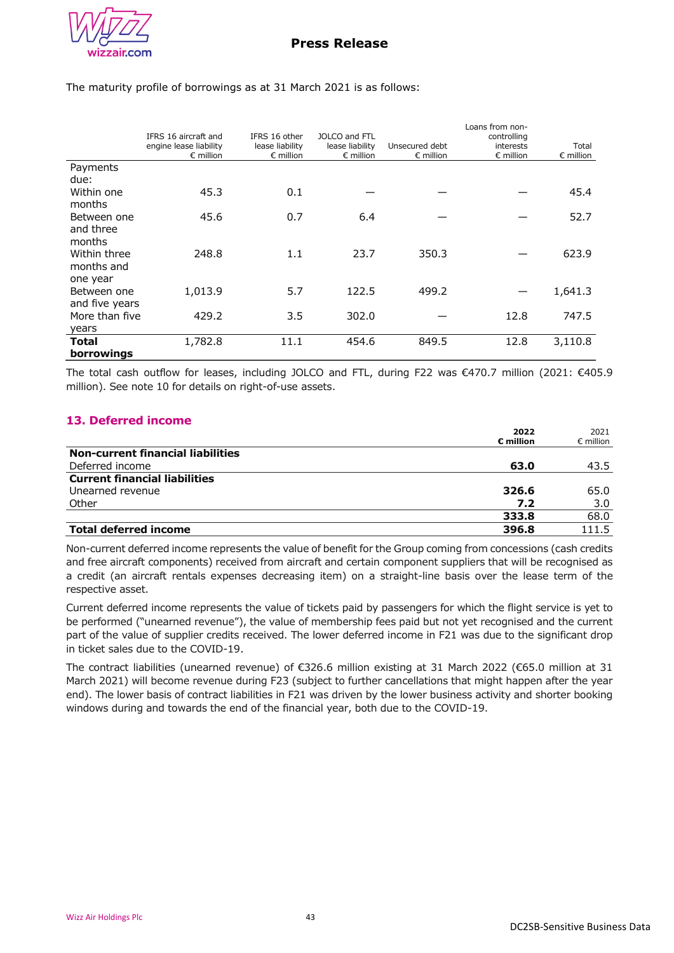

The maturity profile of borrowings as at 31 March 2021 is as follows:

|                          | IFRS 16 aircraft and<br>engine lease liability<br>$\epsilon$ million | IFRS 16 other<br>lease liability<br>$\epsilon$ million | JOLCO and FTL<br>lease liability<br>$\epsilon$ million | Unsecured debt<br>$\epsilon$ million | Loans from non-<br>controlling<br>interests<br>$\epsilon$ million | Total<br>$\epsilon$ million |
|--------------------------|----------------------------------------------------------------------|--------------------------------------------------------|--------------------------------------------------------|--------------------------------------|-------------------------------------------------------------------|-----------------------------|
| Payments                 |                                                                      |                                                        |                                                        |                                      |                                                                   |                             |
| due:                     |                                                                      |                                                        |                                                        |                                      |                                                                   |                             |
| Within one               | 45.3                                                                 | 0.1                                                    |                                                        |                                      |                                                                   | 45.4                        |
| months                   |                                                                      |                                                        |                                                        |                                      |                                                                   |                             |
| Between one<br>and three | 45.6                                                                 | 0.7                                                    | 6.4                                                    |                                      |                                                                   | 52.7                        |
| months                   |                                                                      |                                                        |                                                        |                                      |                                                                   |                             |
| Within three             | 248.8                                                                | 1.1                                                    | 23.7                                                   | 350.3                                |                                                                   | 623.9                       |
| months and               |                                                                      |                                                        |                                                        |                                      |                                                                   |                             |
| one year                 |                                                                      |                                                        |                                                        |                                      |                                                                   |                             |
| Between one              | 1,013.9                                                              | 5.7                                                    | 122.5                                                  | 499.2                                |                                                                   | 1,641.3                     |
| and five years           |                                                                      |                                                        |                                                        |                                      |                                                                   |                             |
| More than five           | 429.2                                                                | 3.5                                                    | 302.0                                                  |                                      | 12.8                                                              | 747.5                       |
| years                    |                                                                      |                                                        |                                                        |                                      |                                                                   |                             |
| Total                    | 1,782.8                                                              | 11.1                                                   | 454.6                                                  | 849.5                                | 12.8                                                              | 3,110.8                     |
| borrowings               |                                                                      |                                                        |                                                        |                                      |                                                                   |                             |

The total cash outflow for leases, including JOLCO and FTL, during F22 was €470.7 million (2021: €405.9 million). See note 10 for details on right-of-use assets.

## **13. Deferred income**

|                                          | 2022                  | 2021               |
|------------------------------------------|-----------------------|--------------------|
|                                          | $\varepsilon$ million | $\epsilon$ million |
| <b>Non-current financial liabilities</b> |                       |                    |
| Deferred income                          | 63.0                  | 43.5               |
| <b>Current financial liabilities</b>     |                       |                    |
| Unearned revenue                         | 326.6                 | 65.0               |
| Other                                    | 7.2                   | 3.0                |
|                                          | 333.8                 | 68.0               |
| <b>Total deferred income</b>             | 396.8                 | 111.5              |

Non-current deferred income represents the value of benefit for the Group coming from concessions (cash credits and free aircraft components) received from aircraft and certain component suppliers that will be recognised as a credit (an aircraft rentals expenses decreasing item) on a straight-line basis over the lease term of the respective asset.

Current deferred income represents the value of tickets paid by passengers for which the flight service is yet to be performed ("unearned revenue"), the value of membership fees paid but not yet recognised and the current part of the value of supplier credits received. The lower deferred income in F21 was due to the significant drop in ticket sales due to the COVID-19.

The contract liabilities (unearned revenue) of €326.6 million existing at 31 March 2022 (€65.0 million at 31 March 2021) will become revenue during F23 (subject to further cancellations that might happen after the year end). The lower basis of contract liabilities in F21 was driven by the lower business activity and shorter booking windows during and towards the end of the financial year, both due to the COVID-19.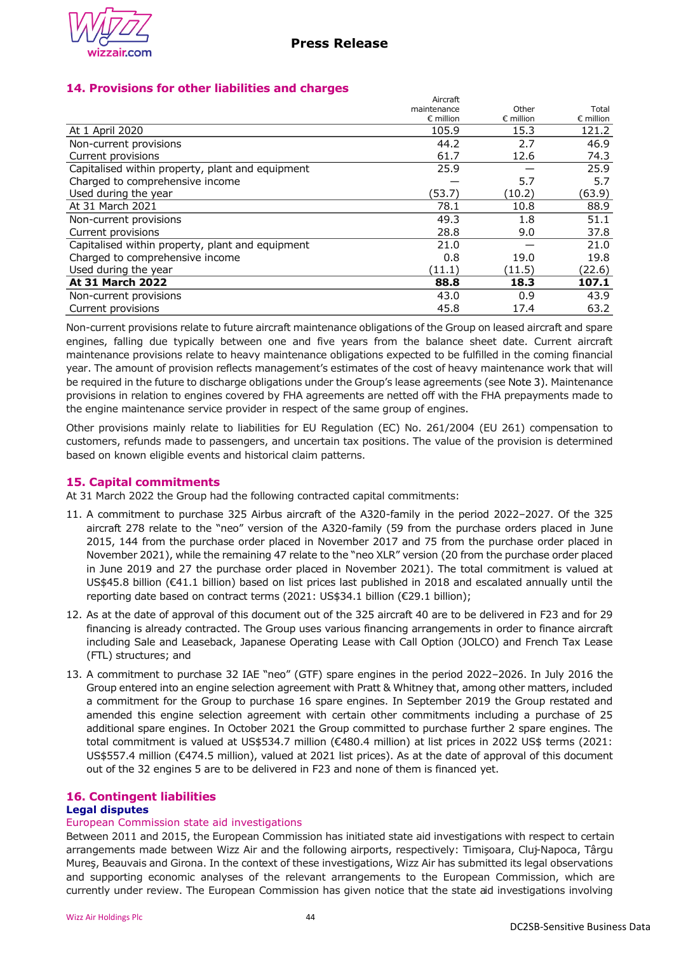

## **14. Provisions for other liabilities and charges**

|                                                  | Aircraft           |                    |                    |
|--------------------------------------------------|--------------------|--------------------|--------------------|
|                                                  | maintenance        | Other              | Total              |
|                                                  | $\epsilon$ million | $\epsilon$ million | $\epsilon$ million |
| At 1 April 2020                                  | 105.9              | 15.3               | 121.2              |
| Non-current provisions                           | 44.2               | 2.7                | 46.9               |
| Current provisions                               | 61.7               | 12.6               | 74.3               |
| Capitalised within property, plant and equipment | 25.9               |                    | 25.9               |
| Charged to comprehensive income                  |                    | 5.7                | 5.7                |
| Used during the year                             | (53.7)             | (10.2)             | (63.9)             |
| At 31 March 2021                                 | 78.1               | 10.8               | 88.9               |
| Non-current provisions                           | 49.3               | 1.8                | 51.1               |
| Current provisions                               | 28.8               | 9.0                | 37.8               |
| Capitalised within property, plant and equipment | 21.0               |                    | 21.0               |
| Charged to comprehensive income                  | 0.8                | 19.0               | 19.8               |
| Used during the year                             | (11.1)             | (11.5)             | (22.6)             |
| <b>At 31 March 2022</b>                          | 88.8               | 18.3               | 107.1              |
| Non-current provisions                           | 43.0               | 0.9                | 43.9               |
| Current provisions                               | 45.8               | 17.4               | 63.2               |
|                                                  |                    |                    |                    |

Non-current provisions relate to future aircraft maintenance obligations of the Group on leased aircraft and spare engines, falling due typically between one and five years from the balance sheet date. Current aircraft maintenance provisions relate to heavy maintenance obligations expected to be fulfilled in the coming financial year. The amount of provision reflects management's estimates of the cost of heavy maintenance work that will be required in the future to discharge obligations under the Group's lease agreements (see Note 3). Maintenance provisions in relation to engines covered by FHA agreements are netted off with the FHA prepayments made to the engine maintenance service provider in respect of the same group of engines.

Other provisions mainly relate to liabilities for EU Regulation (EC) No. 261/2004 (EU 261) compensation to customers, refunds made to passengers, and uncertain tax positions. The value of the provision is determined based on known eligible events and historical claim patterns.

## **15. Capital commitments**

At 31 March 2022 the Group had the following contracted capital commitments:

- 11. A commitment to purchase 325 Airbus aircraft of the A320-family in the period 2022–2027. Of the 325 aircraft 278 relate to the "neo" version of the A320-family (59 from the purchase orders placed in June 2015, 144 from the purchase order placed in November 2017 and 75 from the purchase order placed in November 2021), while the remaining 47 relate to the "neo XLR" version (20 from the purchase order placed in June 2019 and 27 the purchase order placed in November 2021). The total commitment is valued at US\$45.8 billion (€41.1 billion) based on list prices last published in 2018 and escalated annually until the reporting date based on contract terms (2021: US\$34.1 billion (€29.1 billion);
- 12. As at the date of approval of this document out of the 325 aircraft 40 are to be delivered in F23 and for 29 financing is already contracted. The Group uses various financing arrangements in order to finance aircraft including Sale and Leaseback, Japanese Operating Lease with Call Option (JOLCO) and French Tax Lease (FTL) structures; and
- 13. A commitment to purchase 32 IAE "neo" (GTF) spare engines in the period 2022–2026. In July 2016 the Group entered into an engine selection agreement with Pratt & Whitney that, among other matters, included a commitment for the Group to purchase 16 spare engines. In September 2019 the Group restated and amended this engine selection agreement with certain other commitments including a purchase of 25 additional spare engines. In October 2021 the Group committed to purchase further 2 spare engines. The total commitment is valued at US\$534.7 million (€480.4 million) at list prices in 2022 US\$ terms (2021: US\$557.4 million (€474.5 million), valued at 2021 list prices). As at the date of approval of this document out of the 32 engines 5 are to be delivered in F23 and none of them is financed yet.

# **16. Contingent liabilities Legal disputes**

### European Commission state aid investigations

Between 2011 and 2015, the European Commission has initiated state aid investigations with respect to certain arrangements made between Wizz Air and the following airports, respectively: Timişoara, Cluj-Napoca, Târgu Mureş, Beauvais and Girona. In the context of these investigations, Wizz Air has submitted its legal observations and supporting economic analyses of the relevant arrangements to the European Commission, which are currently under review. The European Commission has given notice that the state aid investigations involving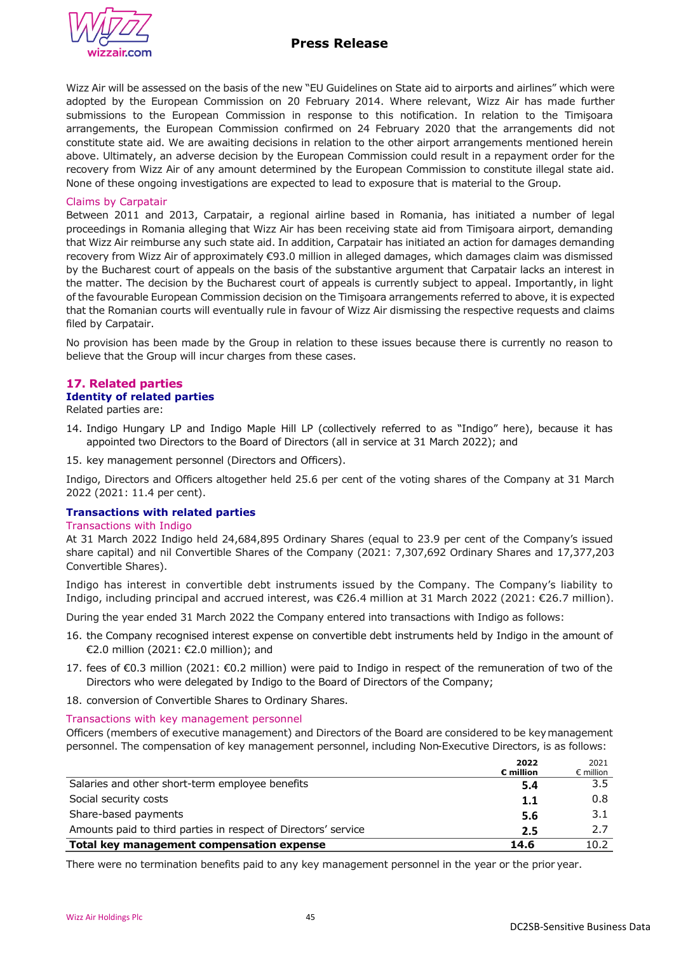

## **Press Release**

Wizz Air will be assessed on the basis of the new "EU Guidelines on State aid to airports and airlines" which were adopted by the European Commission on 20 February 2014. Where relevant, Wizz Air has made further submissions to the European Commission in response to this notification. In relation to the Timişoara arrangements, the European Commission confirmed on 24 February 2020 that the arrangements did not constitute state aid. We are awaiting decisions in relation to the other airport arrangements mentioned herein above. Ultimately, an adverse decision by the European Commission could result in a repayment order for the recovery from Wizz Air of any amount determined by the European Commission to constitute illegal state aid. None of these ongoing investigations are expected to lead to exposure that is material to the Group.

#### Claims by Carpatair

Between 2011 and 2013, Carpatair, a regional airline based in Romania, has initiated a number of legal proceedings in Romania alleging that Wizz Air has been receiving state aid from Timişoara airport, demanding that Wizz Air reimburse any such state aid. In addition, Carpatair has initiated an action for damages demanding recovery from Wizz Air of approximately €93.0 million in alleged damages, which damages claim was dismissed by the Bucharest court of appeals on the basis of the substantive argument that Carpatair lacks an interest in the matter. The decision by the Bucharest court of appeals is currently subject to appeal. Importantly, in light of the favourable European Commission decision on the Timişoara arrangements referred to above, it is expected that the Romanian courts will eventually rule in favour of Wizz Air dismissing the respective requests and claims filed by Carpatair.

No provision has been made by the Group in relation to these issues because there is currently no reason to believe that the Group will incur charges from these cases.

## **17. Related parties**

# **Identity of related parties**

Related parties are:

- 14. Indigo Hungary LP and Indigo Maple Hill LP (collectively referred to as "Indigo" here), because it has appointed two Directors to the Board of Directors (all in service at 31 March 2022); and
- 15. key management personnel (Directors and Officers).

Indigo, Directors and Officers altogether held 25.6 per cent of the voting shares of the Company at 31 March 2022 (2021: 11.4 per cent).

## **Transactions with related parties**

#### Transactions with Indigo

At 31 March 2022 Indigo held 24,684,895 Ordinary Shares (equal to 23.9 per cent of the Company's issued share capital) and nil Convertible Shares of the Company (2021: 7,307,692 Ordinary Shares and 17,377,203 Convertible Shares).

Indigo has interest in convertible debt instruments issued by the Company. The Company's liability to Indigo, including principal and accrued interest, was €26.4 million at 31 March 2022 (2021: €26.7 million).

During the year ended 31 March 2022 the Company entered into transactions with Indigo as follows:

- 16. the Company recognised interest expense on convertible debt instruments held by Indigo in the amount of €2.0 million (2021: €2.0 million); and
- 17. fees of €0.3 million (2021: €0.2 million) were paid to Indigo in respect of the remuneration of two of the Directors who were delegated by Indigo to the Board of Directors of the Company;
- 18. conversion of Convertible Shares to Ordinary Shares.

### Transactions with key management personnel

Officers (members of executive management) and Directors of the Board are considered to be key management personnel. The compensation of key management personnel, including Non-Executive Directors, is as follows:

|                                                                | 2022<br>$\varepsilon$ million | 2021<br>$\epsilon$ million |
|----------------------------------------------------------------|-------------------------------|----------------------------|
| Salaries and other short-term employee benefits                | 5.4                           | 3.5                        |
| Social security costs                                          | 1.1                           | 0.8                        |
| Share-based payments                                           | 5.6                           | 3.1                        |
| Amounts paid to third parties in respect of Directors' service | 2.5                           | 2.7                        |
| Total key management compensation expense                      | 14.6                          | 10.2                       |

There were no termination benefits paid to any key management personnel in the year or the prior year.